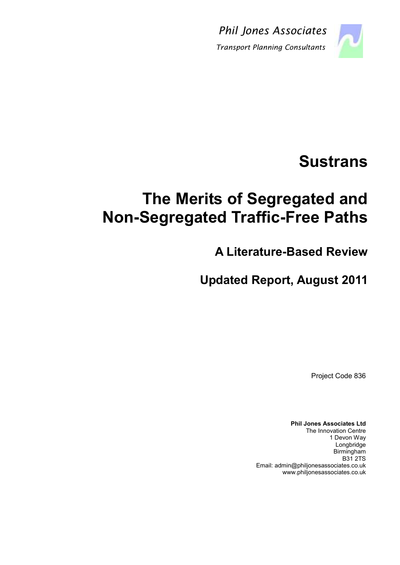Phil Jones Associates



Transport Planning Consultants

# **Sustrans**

# The Merits of Segregated and Non-Segregated Traffic-Free Paths

A Literature-Based Review

Updated Report, August 2011

Project Code 836

Phil Jones Associates Ltd The Innovation Centre 1 Devon Way Longbridge Birmingham B31 2TS Email: admin@philjonesassociates.co.uk www.philjonesassociates.co.uk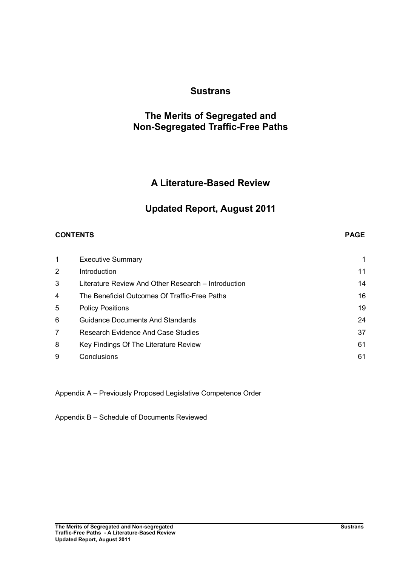# **Sustrans**

# The Merits of Segregated and Non-Segregated Traffic-Free Paths

# A Literature-Based Review

# Updated Report, August 2011

## CONTENTS PAGE

| 1              | <b>Executive Summary</b>                            |    |
|----------------|-----------------------------------------------------|----|
| $\overline{2}$ | Introduction                                        | 11 |
| 3              | Literature Review And Other Research - Introduction | 14 |
| 4              | The Beneficial Outcomes Of Traffic-Free Paths       | 16 |
| 5              | <b>Policy Positions</b>                             | 19 |
| 6              | <b>Guidance Documents And Standards</b>             | 24 |
| 7              | <b>Research Evidence And Case Studies</b>           | 37 |
| 8              | Key Findings Of The Literature Review               | 61 |
| 9              | Conclusions                                         | 61 |

Appendix A – Previously Proposed Legislative Competence Order

Appendix B – Schedule of Documents Reviewed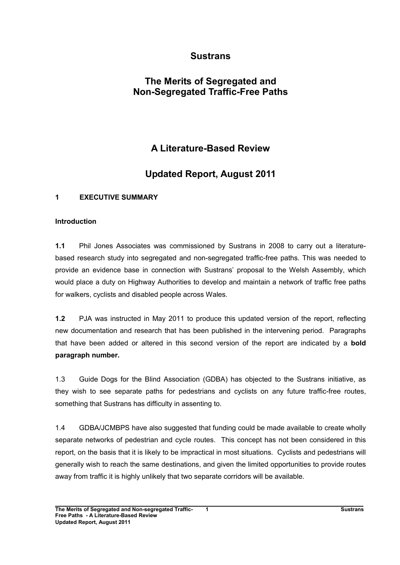# Sustrans

# The Merits of Segregated and Non-Segregated Traffic-Free Paths

# A Literature-Based Review

# Updated Report, August 2011

## 1 EXECUTIVE SUMMARY

#### Introduction

1.1 Phil Jones Associates was commissioned by Sustrans in 2008 to carry out a literaturebased research study into segregated and non-segregated traffic-free paths. This was needed to provide an evidence base in connection with Sustrans' proposal to the Welsh Assembly, which would place a duty on Highway Authorities to develop and maintain a network of traffic free paths for walkers, cyclists and disabled people across Wales.

1.2 PJA was instructed in May 2011 to produce this updated version of the report, reflecting new documentation and research that has been published in the intervening period. Paragraphs that have been added or altered in this second version of the report are indicated by a bold paragraph number.

1.3 Guide Dogs for the Blind Association (GDBA) has objected to the Sustrans initiative, as they wish to see separate paths for pedestrians and cyclists on any future traffic-free routes, something that Sustrans has difficulty in assenting to.

1.4 GDBA/JCMBPS have also suggested that funding could be made available to create wholly separate networks of pedestrian and cycle routes. This concept has not been considered in this report, on the basis that it is likely to be impractical in most situations. Cyclists and pedestrians will generally wish to reach the same destinations, and given the limited opportunities to provide routes away from traffic it is highly unlikely that two separate corridors will be available.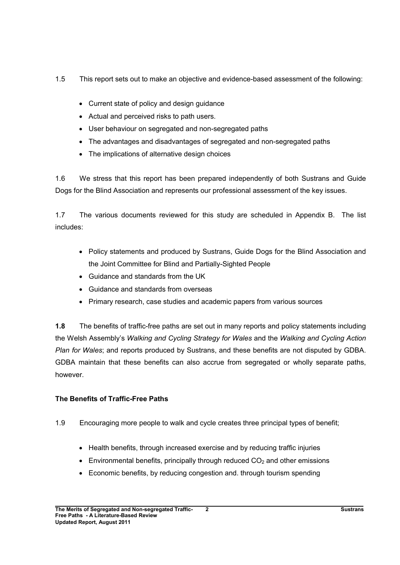- 1.5 This report sets out to make an objective and evidence-based assessment of the following:
	- Current state of policy and design guidance
	- Actual and perceived risks to path users.
	- User behaviour on segregated and non-segregated paths
	- The advantages and disadvantages of segregated and non-segregated paths
	- The implications of alternative design choices

1.6 We stress that this report has been prepared independently of both Sustrans and Guide Dogs for the Blind Association and represents our professional assessment of the key issues.

1.7 The various documents reviewed for this study are scheduled in Appendix B. The list includes:

- Policy statements and produced by Sustrans, Guide Dogs for the Blind Association and the Joint Committee for Blind and Partially-Sighted People
- Guidance and standards from the UK
- Guidance and standards from overseas
- Primary research, case studies and academic papers from various sources

1.8 The benefits of traffic-free paths are set out in many reports and policy statements including the Welsh Assembly's Walking and Cycling Strategy for Wales and the Walking and Cycling Action Plan for Wales; and reports produced by Sustrans, and these benefits are not disputed by GDBA. GDBA maintain that these benefits can also accrue from segregated or wholly separate paths, however.

# The Benefits of Traffic-Free Paths

- 1.9 Encouraging more people to walk and cycle creates three principal types of benefit;
	- Health benefits, through increased exercise and by reducing traffic injuries
	- Environmental benefits, principally through reduced  $CO<sub>2</sub>$  and other emissions
	- Economic benefits, by reducing congestion and. through tourism spending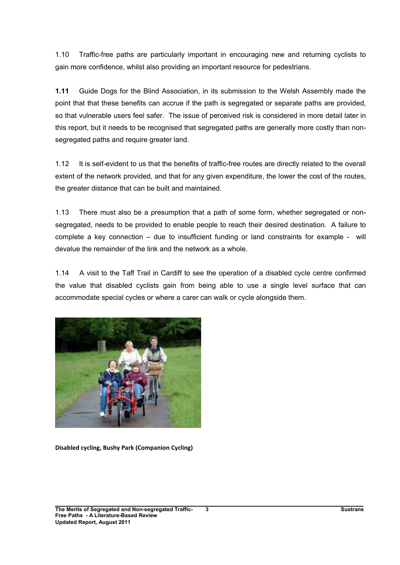1.10 Traffic-free paths are particularly important in encouraging new and returning cyclists to gain more confidence, whilst also providing an important resource for pedestrians.

1.11 Guide Dogs for the Blind Association, in its submission to the Welsh Assembly made the point that that these benefits can accrue if the path is segregated or separate paths are provided, so that vulnerable users feel safer. The issue of perceived risk is considered in more detail later in this report, but it needs to be recognised that segregated paths are generally more costly than nonsegregated paths and require greater land.

1.12 It is self-evident to us that the benefits of traffic-free routes are directly related to the overall extent of the network provided, and that for any given expenditure, the lower the cost of the routes, the greater distance that can be built and maintained.

1.13 There must also be a presumption that a path of some form, whether segregated or nonsegregated, needs to be provided to enable people to reach their desired destination. A failure to complete a key connection – due to insufficient funding or land constraints for example - will devalue the remainder of the link and the network as a whole.

1.14 A visit to the Taff Trail in Cardiff to see the operation of a disabled cycle centre confirmed the value that disabled cyclists gain from being able to use a single level surface that can accommodate special cycles or where a carer can walk or cycle alongside them.



Disabled cycling, Bushy Park (Companion Cycling)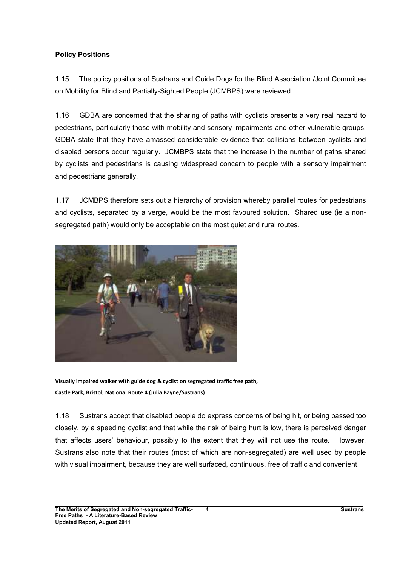## Policy Positions

1.15 The policy positions of Sustrans and Guide Dogs for the Blind Association /Joint Committee on Mobility for Blind and Partially-Sighted People (JCMBPS) were reviewed.

1.16 GDBA are concerned that the sharing of paths with cyclists presents a very real hazard to pedestrians, particularly those with mobility and sensory impairments and other vulnerable groups. GDBA state that they have amassed considerable evidence that collisions between cyclists and disabled persons occur regularly. JCMBPS state that the increase in the number of paths shared by cyclists and pedestrians is causing widespread concern to people with a sensory impairment and pedestrians generally.

1.17 JCMBPS therefore sets out a hierarchy of provision whereby parallel routes for pedestrians and cyclists, separated by a verge, would be the most favoured solution. Shared use (ie a nonsegregated path) would only be acceptable on the most quiet and rural routes.



Visually impaired walker with guide dog & cyclist on segregated traffic free path, Castle Park, Bristol, National Route 4 (Julia Bayne/Sustrans)

1.18 Sustrans accept that disabled people do express concerns of being hit, or being passed too closely, by a speeding cyclist and that while the risk of being hurt is low, there is perceived danger that affects users' behaviour, possibly to the extent that they will not use the route. However, Sustrans also note that their routes (most of which are non-segregated) are well used by people with visual impairment, because they are well surfaced, continuous, free of traffic and convenient.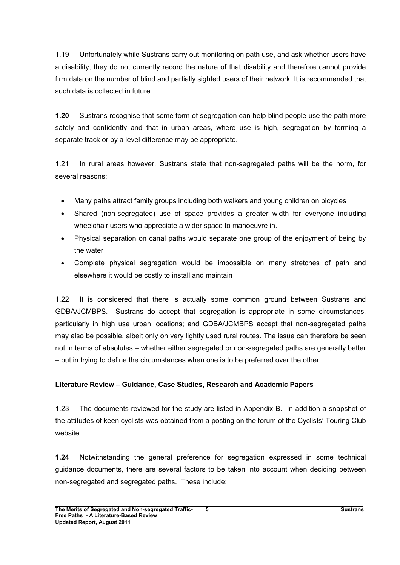1.19 Unfortunately while Sustrans carry out monitoring on path use, and ask whether users have a disability, they do not currently record the nature of that disability and therefore cannot provide firm data on the number of blind and partially sighted users of their network. It is recommended that such data is collected in future.

1.20 Sustrans recognise that some form of segregation can help blind people use the path more safely and confidently and that in urban areas, where use is high, segregation by forming a separate track or by a level difference may be appropriate.

1.21 In rural areas however, Sustrans state that non-segregated paths will be the norm, for several reasons:

- Many paths attract family groups including both walkers and young children on bicycles
- Shared (non-segregated) use of space provides a greater width for everyone including wheelchair users who appreciate a wider space to manoeuvre in.
- Physical separation on canal paths would separate one group of the enjoyment of being by the water
- Complete physical segregation would be impossible on many stretches of path and elsewhere it would be costly to install and maintain

1.22 It is considered that there is actually some common ground between Sustrans and GDBA/JCMBPS. Sustrans do accept that segregation is appropriate in some circumstances, particularly in high use urban locations; and GDBA/JCMBPS accept that non-segregated paths may also be possible, albeit only on very lightly used rural routes. The issue can therefore be seen not in terms of absolutes – whether either segregated or non-segregated paths are generally better – but in trying to define the circumstances when one is to be preferred over the other.

# Literature Review – Guidance, Case Studies, Research and Academic Papers

1.23 The documents reviewed for the study are listed in Appendix B. In addition a snapshot of the attitudes of keen cyclists was obtained from a posting on the forum of the Cyclists' Touring Club website.

1.24 Notwithstanding the general preference for segregation expressed in some technical guidance documents, there are several factors to be taken into account when deciding between non-segregated and segregated paths. These include: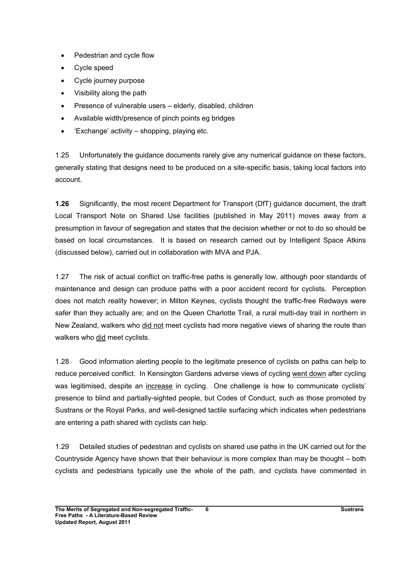- Pedestrian and cycle flow
- Cycle speed
- Cycle journey purpose
- Visibility along the path
- Presence of vulnerable users elderly, disabled, children
- Available width/presence of pinch points eg bridges
- 'Exchange' activity shopping, playing etc.

1.25 Unfortunately the guidance documents rarely give any numerical guidance on these factors, generally stating that designs need to be produced on a site-specific basis, taking local factors into account.

1.26 Significantly, the most recent Department for Transport (DfT) guidance document, the draft Local Transport Note on Shared Use facilities (published in May 2011) moves away from a presumption in favour of segregation and states that the decision whether or not to do so should be based on local circumstances. It is based on research carried out by Intelligent Space Atkins (discussed below), carried out in collaboration with MVA and PJA.

1.27 The risk of actual conflict on traffic-free paths is generally low, although poor standards of maintenance and design can produce paths with a poor accident record for cyclists. Perception does not match reality however; in Milton Keynes, cyclists thought the traffic-free Redways were safer than they actually are; and on the Queen Charlotte Trail, a rural multi-day trail in northern in New Zealand, walkers who did not meet cyclists had more negative views of sharing the route than walkers who did meet cyclists.

1.28 Good information alerting people to the legitimate presence of cyclists on paths can help to reduce perceived conflict. In Kensington Gardens adverse views of cycling went down after cycling was legitimised, despite an increase in cycling. One challenge is how to communicate cyclists' presence to blind and partially-sighted people, but Codes of Conduct, such as those promoted by Sustrans or the Royal Parks, and well-designed tactile surfacing which indicates when pedestrians are entering a path shared with cyclists can help.

1.29 Detailed studies of pedestrian and cyclists on shared use paths in the UK carried out for the Countryside Agency have shown that their behaviour is more complex than may be thought – both cyclists and pedestrians typically use the whole of the path, and cyclists have commented in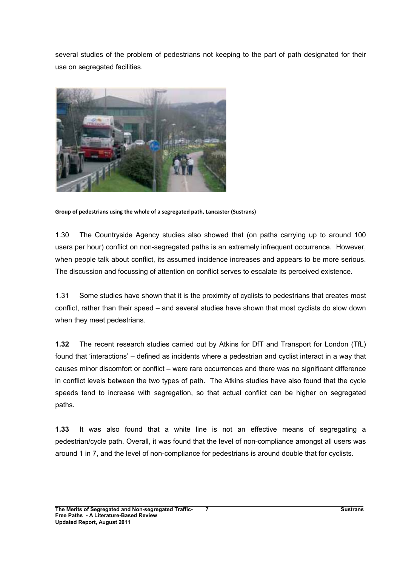several studies of the problem of pedestrians not keeping to the part of path designated for their use on segregated facilities.



Group of pedestrians using the whole of a segregated path, Lancaster (Sustrans)

1.30 The Countryside Agency studies also showed that (on paths carrying up to around 100 users per hour) conflict on non-segregated paths is an extremely infrequent occurrence. However, when people talk about conflict, its assumed incidence increases and appears to be more serious. The discussion and focussing of attention on conflict serves to escalate its perceived existence.

1.31 Some studies have shown that it is the proximity of cyclists to pedestrians that creates most conflict, rather than their speed – and several studies have shown that most cyclists do slow down when they meet pedestrians.

1.32 The recent research studies carried out by Atkins for DfT and Transport for London (TfL) found that 'interactions' – defined as incidents where a pedestrian and cyclist interact in a way that causes minor discomfort or conflict – were rare occurrences and there was no significant difference in conflict levels between the two types of path. The Atkins studies have also found that the cycle speeds tend to increase with segregation, so that actual conflict can be higher on segregated paths.

1.33 It was also found that a white line is not an effective means of segregating a pedestrian/cycle path. Overall, it was found that the level of non-compliance amongst all users was around 1 in 7, and the level of non-compliance for pedestrians is around double that for cyclists.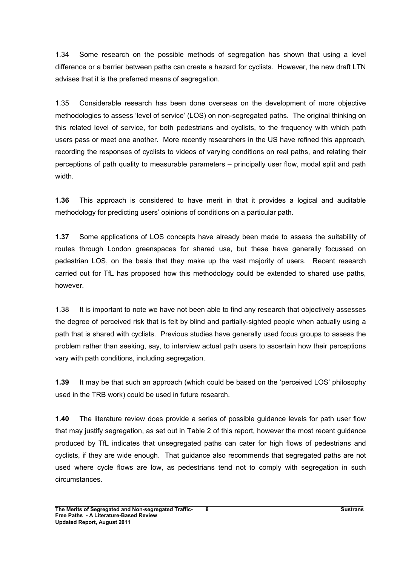1.34 Some research on the possible methods of segregation has shown that using a level difference or a barrier between paths can create a hazard for cyclists. However, the new draft LTN advises that it is the preferred means of segregation.

1.35 Considerable research has been done overseas on the development of more objective methodologies to assess 'level of service' (LOS) on non-segregated paths. The original thinking on this related level of service, for both pedestrians and cyclists, to the frequency with which path users pass or meet one another. More recently researchers in the US have refined this approach, recording the responses of cyclists to videos of varying conditions on real paths, and relating their perceptions of path quality to measurable parameters – principally user flow, modal split and path width.

1.36 This approach is considered to have merit in that it provides a logical and auditable methodology for predicting users' opinions of conditions on a particular path.

1.37 Some applications of LOS concepts have already been made to assess the suitability of routes through London greenspaces for shared use, but these have generally focussed on pedestrian LOS, on the basis that they make up the vast majority of users. Recent research carried out for TfL has proposed how this methodology could be extended to shared use paths, however.

1.38 It is important to note we have not been able to find any research that objectively assesses the degree of perceived risk that is felt by blind and partially-sighted people when actually using a path that is shared with cyclists. Previous studies have generally used focus groups to assess the problem rather than seeking, say, to interview actual path users to ascertain how their perceptions vary with path conditions, including segregation.

1.39 It may be that such an approach (which could be based on the 'perceived LOS' philosophy used in the TRB work) could be used in future research.

1.40 The literature review does provide a series of possible guidance levels for path user flow that may justify segregation, as set out in Table 2 of this report, however the most recent guidance produced by TfL indicates that unsegregated paths can cater for high flows of pedestrians and cyclists, if they are wide enough. That guidance also recommends that segregated paths are not used where cycle flows are low, as pedestrians tend not to comply with segregation in such circumstances.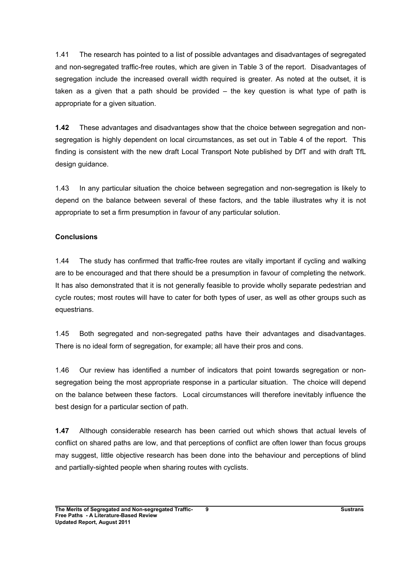1.41 The research has pointed to a list of possible advantages and disadvantages of segregated and non-segregated traffic-free routes, which are given in Table 3 of the report. Disadvantages of segregation include the increased overall width required is greater. As noted at the outset, it is taken as a given that a path should be provided – the key question is what type of path is appropriate for a given situation.

1.42 These advantages and disadvantages show that the choice between segregation and nonsegregation is highly dependent on local circumstances, as set out in Table 4 of the report. This finding is consistent with the new draft Local Transport Note published by DfT and with draft TfL design guidance.

1.43 In any particular situation the choice between segregation and non-segregation is likely to depend on the balance between several of these factors, and the table illustrates why it is not appropriate to set a firm presumption in favour of any particular solution.

#### **Conclusions**

1.44 The study has confirmed that traffic-free routes are vitally important if cycling and walking are to be encouraged and that there should be a presumption in favour of completing the network. It has also demonstrated that it is not generally feasible to provide wholly separate pedestrian and cycle routes; most routes will have to cater for both types of user, as well as other groups such as equestrians.

1.45 Both segregated and non-segregated paths have their advantages and disadvantages. There is no ideal form of segregation, for example; all have their pros and cons.

1.46 Our review has identified a number of indicators that point towards segregation or nonsegregation being the most appropriate response in a particular situation. The choice will depend on the balance between these factors. Local circumstances will therefore inevitably influence the best design for a particular section of path.

1.47 Although considerable research has been carried out which shows that actual levels of conflict on shared paths are low, and that perceptions of conflict are often lower than focus groups may suggest, little objective research has been done into the behaviour and perceptions of blind and partially-sighted people when sharing routes with cyclists.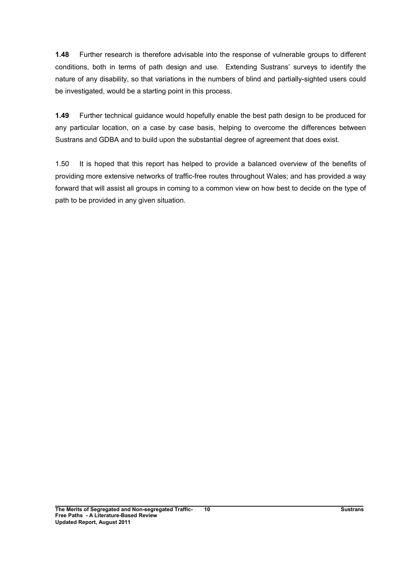1.48 Further research is therefore advisable into the response of vulnerable groups to different conditions, both in terms of path design and use. Extending Sustrans' surveys to identify the nature of any disability, so that variations in the numbers of blind and partially-sighted users could be investigated, would be a starting point in this process.

1.49 Further technical guidance would hopefully enable the best path design to be produced for any particular location, on a case by case basis, helping to overcome the differences between Sustrans and GDBA and to build upon the substantial degree of agreement that does exist.

1.50 It is hoped that this report has helped to provide a balanced overview of the benefits of providing more extensive networks of traffic-free routes throughout Wales; and has provided a way forward that will assist all groups in coming to a common view on how best to decide on the type of path to be provided in any given situation.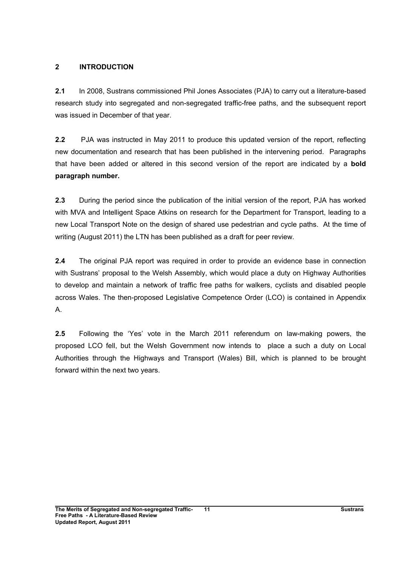## 2 INTRODUCTION

2.1 In 2008, Sustrans commissioned Phil Jones Associates (PJA) to carry out a literature-based research study into segregated and non-segregated traffic-free paths, and the subsequent report was issued in December of that year.

2.2 PJA was instructed in May 2011 to produce this updated version of the report, reflecting new documentation and research that has been published in the intervening period. Paragraphs that have been added or altered in this second version of the report are indicated by a bold paragraph number.

2.3 During the period since the publication of the initial version of the report, PJA has worked with MVA and Intelligent Space Atkins on research for the Department for Transport, leading to a new Local Transport Note on the design of shared use pedestrian and cycle paths. At the time of writing (August 2011) the LTN has been published as a draft for peer review.

2.4 The original PJA report was required in order to provide an evidence base in connection with Sustrans' proposal to the Welsh Assembly, which would place a duty on Highway Authorities to develop and maintain a network of traffic free paths for walkers, cyclists and disabled people across Wales. The then-proposed Legislative Competence Order (LCO) is contained in Appendix A.

2.5 Following the 'Yes' vote in the March 2011 referendum on law-making powers, the proposed LCO fell, but the Welsh Government now intends to place a such a duty on Local Authorities through the Highways and Transport (Wales) Bill, which is planned to be brought forward within the next two years.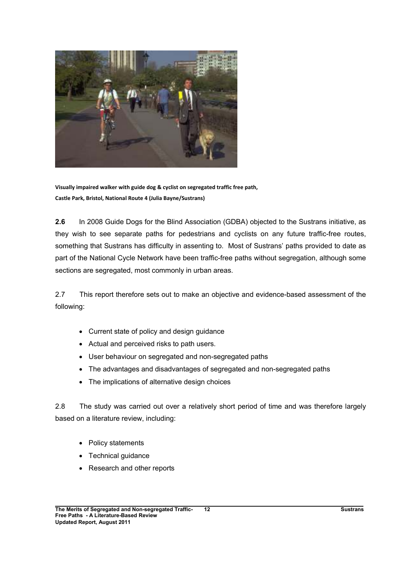

Visually impaired walker with guide dog & cyclist on segregated traffic free path, Castle Park, Bristol, National Route 4 (Julia Bayne/Sustrans)

2.6 In 2008 Guide Dogs for the Blind Association (GDBA) objected to the Sustrans initiative, as they wish to see separate paths for pedestrians and cyclists on any future traffic-free routes, something that Sustrans has difficulty in assenting to. Most of Sustrans' paths provided to date as part of the National Cycle Network have been traffic-free paths without segregation, although some sections are segregated, most commonly in urban areas.

2.7 This report therefore sets out to make an objective and evidence-based assessment of the following:

- Current state of policy and design guidance
- Actual and perceived risks to path users.
- User behaviour on segregated and non-segregated paths
- The advantages and disadvantages of segregated and non-segregated paths
- The implications of alternative design choices

2.8 The study was carried out over a relatively short period of time and was therefore largely based on a literature review, including:

- Policy statements
- Technical guidance
- Research and other reports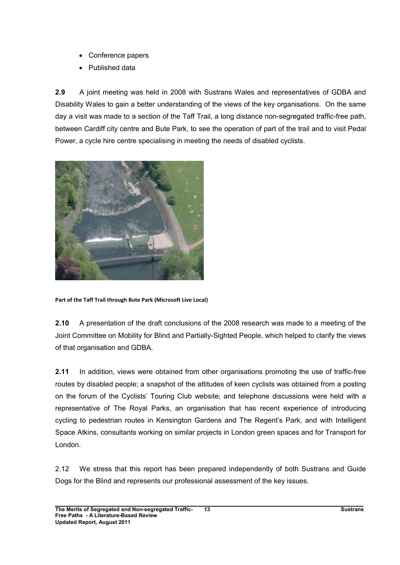- Conference papers
- Published data

2.9 A joint meeting was held in 2008 with Sustrans Wales and representatives of GDBA and Disability Wales to gain a better understanding of the views of the key organisations. On the same day a visit was made to a section of the Taff Trail, a long distance non-segregated traffic-free path, between Cardiff city centre and Bute Park, to see the operation of part of the trail and to visit Pedal Power, a cycle hire centre specialising in meeting the needs of disabled cyclists.



Part of the Taff Trail through Bute Park (Microsoft Live Local)

2.10 A presentation of the draft conclusions of the 2008 research was made to a meeting of the Joint Committee on Mobility for Blind and Partially-Sighted People, which helped to clarify the views of that organisation and GDBA.

2.11 In addition, views were obtained from other organisations promoting the use of traffic-free routes by disabled people; a snapshot of the attitudes of keen cyclists was obtained from a posting on the forum of the Cyclists' Touring Club website; and telephone discussions were held with a representative of The Royal Parks, an organisation that has recent experience of introducing cycling to pedestrian routes in Kensington Gardens and The Regent's Park, and with Intelligent Space Atkins, consultants working on similar projects in London green spaces and for Transport for London.

2.12 We stress that this report has been prepared independently of both Sustrans and Guide Dogs for the Blind and represents our professional assessment of the key issues.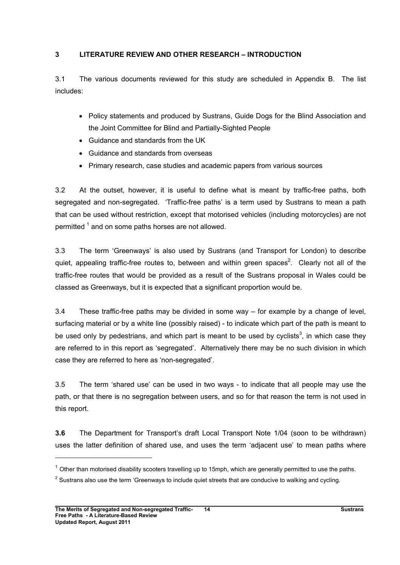## 3 LITERATURE REVIEW AND OTHER RESEARCH – INTRODUCTION

3.1 The various documents reviewed for this study are scheduled in Appendix B. The list includes:

- Policy statements and produced by Sustrans, Guide Dogs for the Blind Association and the Joint Committee for Blind and Partially-Sighted People
- Guidance and standards from the UK
- Guidance and standards from overseas
- Primary research, case studies and academic papers from various sources

3.2 At the outset, however, it is useful to define what is meant by traffic-free paths, both segregated and non-segregated. 'Traffic-free paths' is a term used by Sustrans to mean a path that can be used without restriction, except that motorised vehicles (including motorcycles) are not permitted <sup>1</sup> and on some paths horses are not allowed.

3.3 The term 'Greenways' is also used by Sustrans (and Transport for London) to describe quiet, appealing traffic-free routes to, between and within green spaces<sup>2</sup>. Clearly not all of the traffic-free routes that would be provided as a result of the Sustrans proposal in Wales could be classed as Greenways, but it is expected that a significant proportion would be.

3.4 These traffic-free paths may be divided in some way – for example by a change of level, surfacing material or by a white line (possibly raised) - to indicate which part of the path is meant to be used only by pedestrians, and which part is meant to be used by cyclists<sup>3</sup>, in which case they are referred to in this report as 'segregated'. Alternatively there may be no such division in which case they are referred to here as 'non-segregated'.

3.5 The term 'shared use' can be used in two ways - to indicate that all people may use the path, or that there is no segregation between users, and so for that reason the term is not used in this report.

3.6 The Department for Transport's draft Local Transport Note 1/04 (soon to be withdrawn) uses the latter definition of shared use, and uses the term 'adjacent use' to mean paths where

 $\overline{a}$ 

 $1$  Other than motorised disability scooters travelling up to 15mph, which are generally permitted to use the paths.

 $2$  Sustrans also use the term 'Greenways to include quiet streets that are conducive to walking and cycling.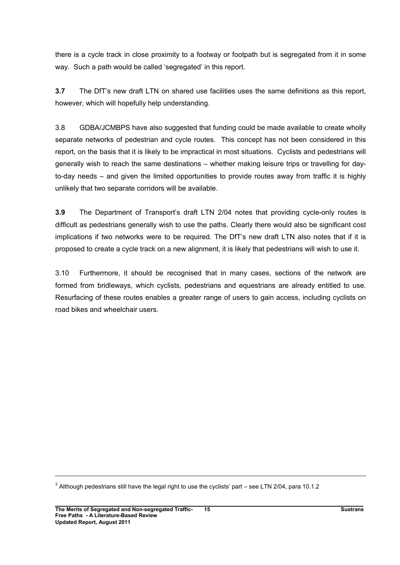there is a cycle track in close proximity to a footway or footpath but is segregated from it in some way. Such a path would be called 'segregated' in this report.

3.7 The DfT's new draft LTN on shared use facilities uses the same definitions as this report, however, which will hopefully help understanding.

3.8 GDBA/JCMBPS have also suggested that funding could be made available to create wholly separate networks of pedestrian and cycle routes. This concept has not been considered in this report, on the basis that it is likely to be impractical in most situations. Cyclists and pedestrians will generally wish to reach the same destinations – whether making leisure trips or travelling for dayto-day needs – and given the limited opportunities to provide routes away from traffic it is highly unlikely that two separate corridors will be available.

3.9 The Department of Transport's draft LTN 2/04 notes that providing cycle-only routes is difficult as pedestrians generally wish to use the paths. Clearly there would also be significant cost implications if two networks were to be required. The DfT's new draft LTN also notes that if it is proposed to create a cycle track on a new alignment, it is likely that pedestrians will wish to use it.

3.10 Furthermore, it should be recognised that in many cases, sections of the network are formed from bridleways, which cyclists, pedestrians and equestrians are already entitled to use. Resurfacing of these routes enables a greater range of users to gain access, including cyclists on road bikes and wheelchair users.

 $^3$  Although pedestrians still have the legal right to use the cyclists' part – see LTN 2/04, para 10.1.2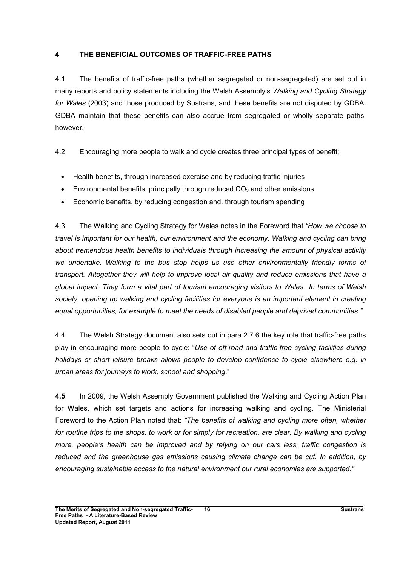## 4 THE BENEFICIAL OUTCOMES OF TRAFFIC-FREE PATHS

4.1 The benefits of traffic-free paths (whether segregated or non-segregated) are set out in many reports and policy statements including the Welsh Assembly's Walking and Cycling Strategy for Wales (2003) and those produced by Sustrans, and these benefits are not disputed by GDBA. GDBA maintain that these benefits can also accrue from segregated or wholly separate paths, however.

4.2 Encouraging more people to walk and cycle creates three principal types of benefit;

- Health benefits, through increased exercise and by reducing traffic injuries
- Environmental benefits, principally through reduced  $CO<sub>2</sub>$  and other emissions
- Economic benefits, by reducing congestion and. through tourism spending

4.3 The Walking and Cycling Strategy for Wales notes in the Foreword that "How we choose to travel is important for our health, our environment and the economy. Walking and cycling can bring about tremendous health benefits to individuals through increasing the amount of physical activity we undertake. Walking to the bus stop helps us use other environmentally friendly forms of transport. Altogether they will help to improve local air quality and reduce emissions that have a global impact. They form a vital part of tourism encouraging visitors to Wales In terms of Welsh society, opening up walking and cycling facilities for everyone is an important element in creating equal opportunities, for example to meet the needs of disabled people and deprived communities."

4.4 The Welsh Strategy document also sets out in para 2.7.6 the key role that traffic-free paths play in encouraging more people to cycle: "Use of off-road and traffic-free cycling facilities during holidays or short leisure breaks allows people to develop confidence to cycle elsewhere e.g. in urban areas for journeys to work, school and shopping."

4.5 In 2009, the Welsh Assembly Government published the Walking and Cycling Action Plan for Wales, which set targets and actions for increasing walking and cycling. The Ministerial Foreword to the Action Plan noted that: "The benefits of walking and cycling more often, whether for routine trips to the shops, to work or for simply for recreation, are clear. By walking and cycling more, people's health can be improved and by relying on our cars less, traffic congestion is reduced and the greenhouse gas emissions causing climate change can be cut. In addition, by encouraging sustainable access to the natural environment our rural economies are supported."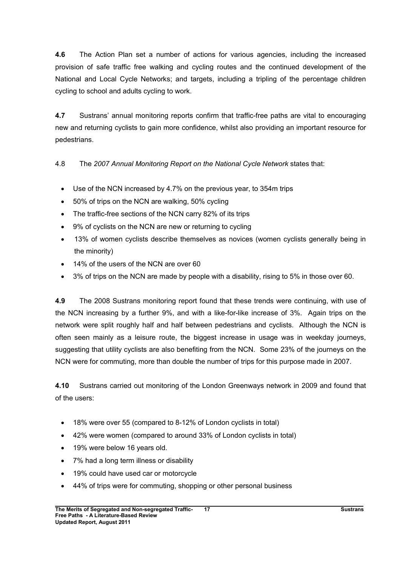4.6 The Action Plan set a number of actions for various agencies, including the increased provision of safe traffic free walking and cycling routes and the continued development of the National and Local Cycle Networks; and targets, including a tripling of the percentage children cycling to school and adults cycling to work.

4.7 Sustrans' annual monitoring reports confirm that traffic-free paths are vital to encouraging new and returning cyclists to gain more confidence, whilst also providing an important resource for pedestrians.

4.8 The 2007 Annual Monitoring Report on the National Cycle Network states that:

- Use of the NCN increased by 4.7% on the previous year, to 354m trips
- 50% of trips on the NCN are walking, 50% cycling
- The traffic-free sections of the NCN carry 82% of its trips
- 9% of cyclists on the NCN are new or returning to cycling
- 13% of women cyclists describe themselves as novices (women cyclists generally being in the minority)
- 14% of the users of the NCN are over 60
- 3% of trips on the NCN are made by people with a disability, rising to 5% in those over 60.

4.9 The 2008 Sustrans monitoring report found that these trends were continuing, with use of the NCN increasing by a further 9%, and with a like-for-like increase of 3%. Again trips on the network were split roughly half and half between pedestrians and cyclists. Although the NCN is often seen mainly as a leisure route, the biggest increase in usage was in weekday journeys, suggesting that utility cyclists are also benefiting from the NCN. Some 23% of the journeys on the NCN were for commuting, more than double the number of trips for this purpose made in 2007.

4.10 Sustrans carried out monitoring of the London Greenways network in 2009 and found that of the users:

- 18% were over 55 (compared to 8-12% of London cyclists in total)
- 42% were women (compared to around 33% of London cyclists in total)
- 19% were below 16 years old.
- 7% had a long term illness or disability
- 19% could have used car or motorcycle
- 44% of trips were for commuting, shopping or other personal business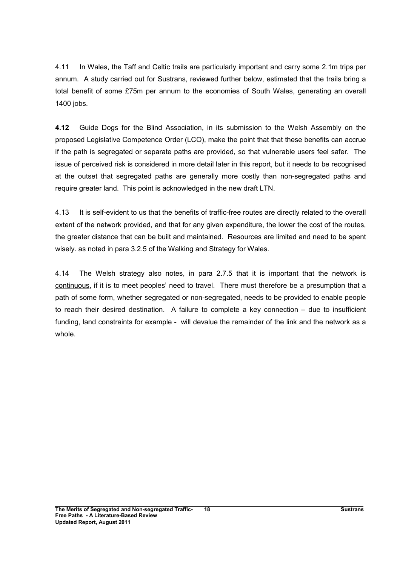4.11 In Wales, the Taff and Celtic trails are particularly important and carry some 2.1m trips per annum. A study carried out for Sustrans, reviewed further below, estimated that the trails bring a total benefit of some £75m per annum to the economies of South Wales, generating an overall 1400 jobs.

4.12 Guide Dogs for the Blind Association, in its submission to the Welsh Assembly on the proposed Legislative Competence Order (LCO), make the point that that these benefits can accrue if the path is segregated or separate paths are provided, so that vulnerable users feel safer. The issue of perceived risk is considered in more detail later in this report, but it needs to be recognised at the outset that segregated paths are generally more costly than non-segregated paths and require greater land. This point is acknowledged in the new draft LTN.

4.13 It is self-evident to us that the benefits of traffic-free routes are directly related to the overall extent of the network provided, and that for any given expenditure, the lower the cost of the routes, the greater distance that can be built and maintained. Resources are limited and need to be spent wisely. as noted in para 3.2.5 of the Walking and Strategy for Wales.

4.14 The Welsh strategy also notes, in para 2.7.5 that it is important that the network is continuous, if it is to meet peoples' need to travel. There must therefore be a presumption that a path of some form, whether segregated or non-segregated, needs to be provided to enable people to reach their desired destination. A failure to complete a key connection – due to insufficient funding, land constraints for example - will devalue the remainder of the link and the network as a whole.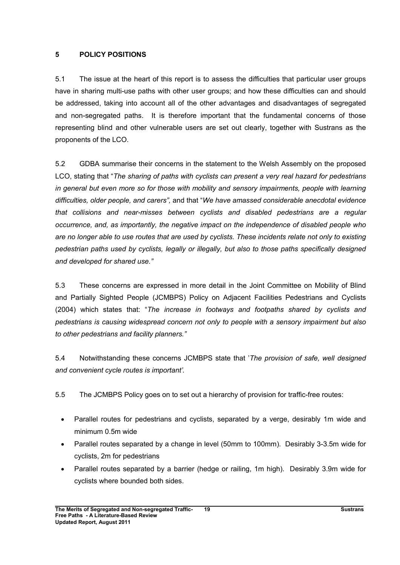#### 5 POLICY POSITIONS

5.1 The issue at the heart of this report is to assess the difficulties that particular user groups have in sharing multi-use paths with other user groups; and how these difficulties can and should be addressed, taking into account all of the other advantages and disadvantages of segregated and non-segregated paths. It is therefore important that the fundamental concerns of those representing blind and other vulnerable users are set out clearly, together with Sustrans as the proponents of the LCO.

5.2 GDBA summarise their concerns in the statement to the Welsh Assembly on the proposed LCO, stating that "The sharing of paths with cyclists can present a very real hazard for pedestrians in general but even more so for those with mobility and sensory impairments, people with learning difficulties, older people, and carers", and that "We have amassed considerable anecdotal evidence that collisions and near-misses between cyclists and disabled pedestrians are a regular occurrence, and, as importantly, the negative impact on the independence of disabled people who are no longer able to use routes that are used by cyclists. These incidents relate not only to existing pedestrian paths used by cyclists, legally or illegally, but also to those paths specifically designed and developed for shared use."

5.3 These concerns are expressed in more detail in the Joint Committee on Mobility of Blind and Partially Sighted People (JCMBPS) Policy on Adjacent Facilities Pedestrians and Cyclists (2004) which states that: "The increase in footways and footpaths shared by cyclists and pedestrians is causing widespread concern not only to people with a sensory impairment but also to other pedestrians and facility planners."

5.4 Notwithstanding these concerns JCMBPS state that 'The provision of safe, well designed and convenient cycle routes is important'.

5.5 The JCMBPS Policy goes on to set out a hierarchy of provision for traffic-free routes:

- Parallel routes for pedestrians and cyclists, separated by a verge, desirably 1m wide and minimum 0.5m wide
- Parallel routes separated by a change in level (50mm to 100mm). Desirably 3-3.5m wide for cyclists, 2m for pedestrians
- Parallel routes separated by a barrier (hedge or railing, 1m high). Desirably 3.9m wide for cyclists where bounded both sides.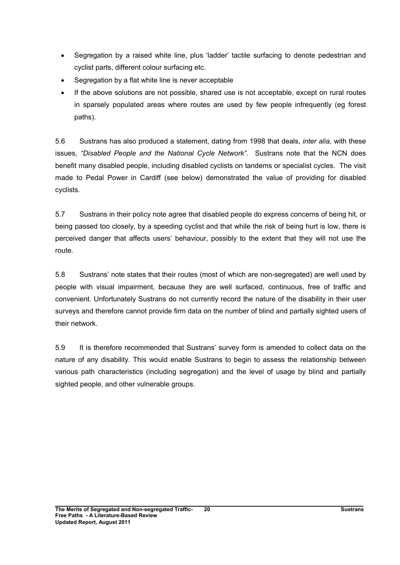- Segregation by a raised white line, plus 'ladder' tactile surfacing to denote pedestrian and cyclist parts, different colour surfacing etc.
- Segregation by a flat white line is never acceptable
- If the above solutions are not possible, shared use is not acceptable, except on rural routes in sparsely populated areas where routes are used by few people infrequently (eg forest paths).

5.6 Sustrans has also produced a statement, dating from 1998 that deals, inter alia, with these issues, "Disabled People and the National Cycle Network". Sustrans note that the NCN does benefit many disabled people, including disabled cyclists on tandems or specialist cycles. The visit made to Pedal Power in Cardiff (see below) demonstrated the value of providing for disabled cyclists.

5.7 Sustrans in their policy note agree that disabled people do express concerns of being hit, or being passed too closely, by a speeding cyclist and that while the risk of being hurt is low, there is perceived danger that affects users' behaviour, possibly to the extent that they will not use the route.

5.8 Sustrans' note states that their routes (most of which are non-segregated) are well used by people with visual impairment, because they are well surfaced, continuous, free of traffic and convenient. Unfortunately Sustrans do not currently record the nature of the disability in their user surveys and therefore cannot provide firm data on the number of blind and partially sighted users of their network.

5.9 It is therefore recommended that Sustrans' survey form is amended to collect data on the nature of any disability. This would enable Sustrans to begin to assess the relationship between various path characteristics (including segregation) and the level of usage by blind and partially sighted people, and other vulnerable groups.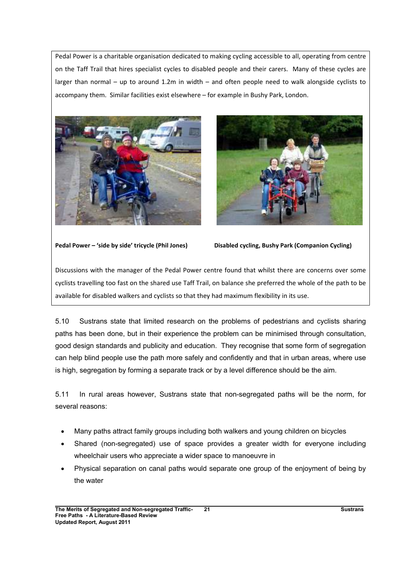Pedal Power is a charitable organisation dedicated to making cycling accessible to all, operating from centre on the Taff Trail that hires specialist cycles to disabled people and their carers. Many of these cycles are larger than normal – up to around 1.2m in width – and often people need to walk alongside cyclists to accompany them. Similar facilities exist elsewhere – for example in Bushy Park, London.





Pedal Power – 'side by side' tricycle (Phil Jones) Disabled cycling, Bushy Park (Companion Cycling)

Discussions with the manager of the Pedal Power centre found that whilst there are concerns over some cyclists travelling too fast on the shared use Taff Trail, on balance she preferred the whole of the path to be available for disabled walkers and cyclists so that they had maximum flexibility in its use.

5.10 Sustrans state that limited research on the problems of pedestrians and cyclists sharing paths has been done, but in their experience the problem can be minimised through consultation, good design standards and publicity and education. They recognise that some form of segregation can help blind people use the path more safely and confidently and that in urban areas, where use is high, segregation by forming a separate track or by a level difference should be the aim.

5.11 In rural areas however, Sustrans state that non-segregated paths will be the norm, for several reasons:

- Many paths attract family groups including both walkers and young children on bicycles
- Shared (non-segregated) use of space provides a greater width for everyone including wheelchair users who appreciate a wider space to manoeuvre in
- Physical separation on canal paths would separate one group of the enjoyment of being by the water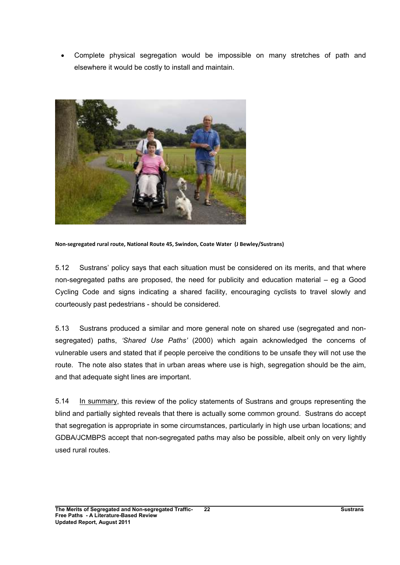• Complete physical segregation would be impossible on many stretches of path and elsewhere it would be costly to install and maintain.



Non-segregated rural route, National Route 45, Swindon, Coate Water (J Bewley/Sustrans)

5.12 Sustrans' policy says that each situation must be considered on its merits, and that where non-segregated paths are proposed, the need for publicity and education material – eg a Good Cycling Code and signs indicating a shared facility, encouraging cyclists to travel slowly and courteously past pedestrians - should be considered.

5.13 Sustrans produced a similar and more general note on shared use (segregated and nonsegregated) paths, 'Shared Use Paths' (2000) which again acknowledged the concerns of vulnerable users and stated that if people perceive the conditions to be unsafe they will not use the route. The note also states that in urban areas where use is high, segregation should be the aim, and that adequate sight lines are important.

5.14 In summary, this review of the policy statements of Sustrans and groups representing the blind and partially sighted reveals that there is actually some common ground. Sustrans do accept that segregation is appropriate in some circumstances, particularly in high use urban locations; and GDBA/JCMBPS accept that non-segregated paths may also be possible, albeit only on very lightly used rural routes.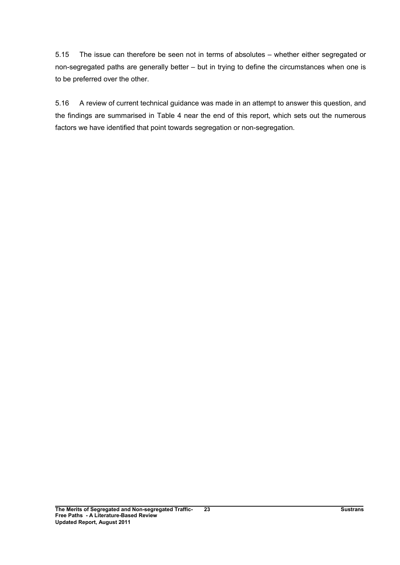5.15 The issue can therefore be seen not in terms of absolutes – whether either segregated or non-segregated paths are generally better – but in trying to define the circumstances when one is to be preferred over the other.

5.16 A review of current technical guidance was made in an attempt to answer this question, and the findings are summarised in Table 4 near the end of this report, which sets out the numerous factors we have identified that point towards segregation or non-segregation.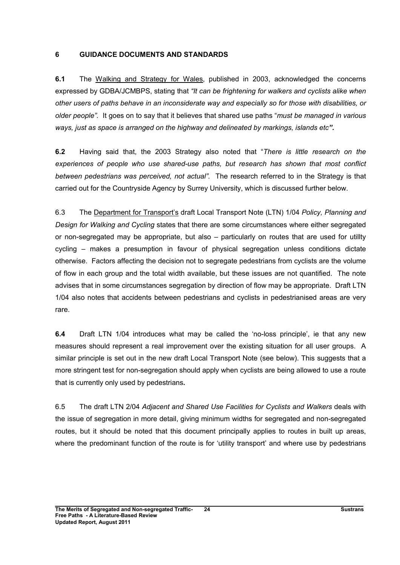## 6 GUIDANCE DOCUMENTS AND STANDARDS

6.1 The Walking and Strategy for Wales, published in 2003, acknowledged the concerns expressed by GDBA/JCMBPS, stating that "It can be frightening for walkers and cyclists alike when other users of paths behave in an inconsiderate way and especially so for those with disabilities, or older people". It goes on to say that it believes that shared use paths "must be managed in various" ways, just as space is arranged on the highway and delineated by markings, islands etc".

6.2 Having said that, the 2003 Strategy also noted that "There is little research on the experiences of people who use shared-use paths, but research has shown that most conflict between pedestrians was perceived, not actual". The research referred to in the Strategy is that carried out for the Countryside Agency by Surrey University, which is discussed further below.

6.3 The Department for Transport's draft Local Transport Note (LTN) 1/04 Policy, Planning and Design for Walking and Cycling states that there are some circumstances where either segregated or non-segregated may be appropriate, but also – particularly on routes that are used for utillty cycling – makes a presumption in favour of physical segregation unless conditions dictate otherwise. Factors affecting the decision not to segregate pedestrians from cyclists are the volume of flow in each group and the total width available, but these issues are not quantified. The note advises that in some circumstances segregation by direction of flow may be appropriate. Draft LTN 1/04 also notes that accidents between pedestrians and cyclists in pedestrianised areas are very rare.

6.4 Draft LTN 1/04 introduces what may be called the 'no-loss principle', ie that any new measures should represent a real improvement over the existing situation for all user groups. A similar principle is set out in the new draft Local Transport Note (see below). This suggests that a more stringent test for non-segregation should apply when cyclists are being allowed to use a route that is currently only used by pedestrians.

6.5 The draft LTN 2/04 Adjacent and Shared Use Facilities for Cyclists and Walkers deals with the issue of segregation in more detail, giving minimum widths for segregated and non-segregated routes, but it should be noted that this document principally applies to routes in built up areas, where the predominant function of the route is for 'utility transport' and where use by pedestrians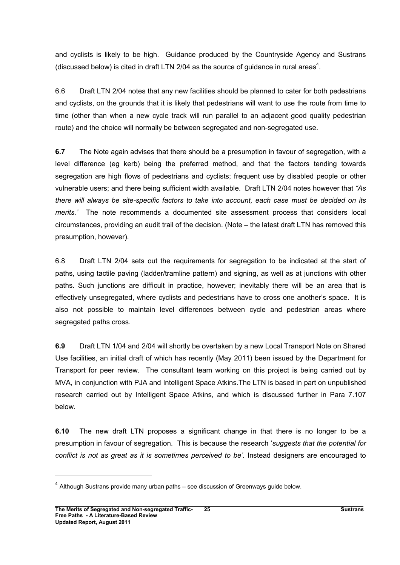and cyclists is likely to be high. Guidance produced by the Countryside Agency and Sustrans (discussed below) is cited in draft LTN 2/04 as the source of guidance in rural areas<sup>4</sup>.

6.6 Draft LTN 2/04 notes that any new facilities should be planned to cater for both pedestrians and cyclists, on the grounds that it is likely that pedestrians will want to use the route from time to time (other than when a new cycle track will run parallel to an adjacent good quality pedestrian route) and the choice will normally be between segregated and non-segregated use.

6.7 The Note again advises that there should be a presumption in favour of segregation, with a level difference (eg kerb) being the preferred method, and that the factors tending towards segregation are high flows of pedestrians and cyclists; frequent use by disabled people or other vulnerable users; and there being sufficient width available. Draft LTN 2/04 notes however that "As there will always be site-specific factors to take into account, each case must be decided on its merits.' The note recommends a documented site assessment process that considers local circumstances, providing an audit trail of the decision. (Note – the latest draft LTN has removed this presumption, however).

6.8 Draft LTN 2/04 sets out the requirements for segregation to be indicated at the start of paths, using tactile paving (ladder/tramline pattern) and signing, as well as at junctions with other paths. Such junctions are difficult in practice, however; inevitably there will be an area that is effectively unsegregated, where cyclists and pedestrians have to cross one another's space. It is also not possible to maintain level differences between cycle and pedestrian areas where segregated paths cross.

6.9 Draft LTN 1/04 and 2/04 will shortly be overtaken by a new Local Transport Note on Shared Use facilities, an initial draft of which has recently (May 2011) been issued by the Department for Transport for peer review. The consultant team working on this project is being carried out by MVA, in conjunction with PJA and Intelligent Space Atkins.The LTN is based in part on unpublished research carried out by Intelligent Space Atkins, and which is discussed further in Para 7.107 below.

6.10 The new draft LTN proposes a significant change in that there is no longer to be a presumption in favour of segregation. This is because the research 'suggests that the potential for conflict is not as great as it is sometimes perceived to be'. Instead designers are encouraged to

 $<sup>4</sup>$  Although Sustrans provide many urban paths – see discussion of Greenways guide below.</sup>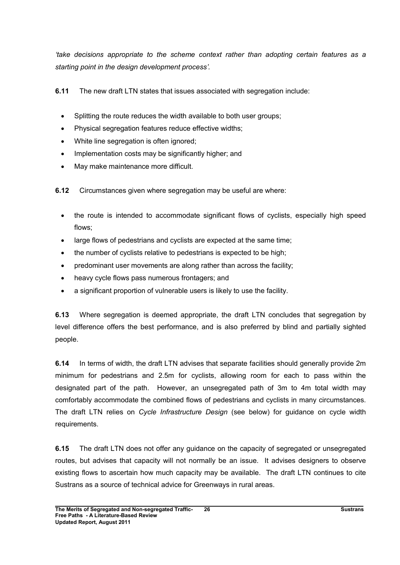'take decisions appropriate to the scheme context rather than adopting certain features as a starting point in the design development process'.

6.11 The new draft LTN states that issues associated with segregation include:

- Splitting the route reduces the width available to both user groups;
- Physical segregation features reduce effective widths;
- White line segregation is often ignored;
- Implementation costs may be significantly higher; and
- May make maintenance more difficult.

6.12 Circumstances given where segregation may be useful are where:

- the route is intended to accommodate significant flows of cyclists, especially high speed flows;
- large flows of pedestrians and cyclists are expected at the same time;
- the number of cyclists relative to pedestrians is expected to be high;
- predominant user movements are along rather than across the facility;
- heavy cycle flows pass numerous frontagers; and
- a significant proportion of vulnerable users is likely to use the facility.

6.13 Where segregation is deemed appropriate, the draft LTN concludes that segregation by level difference offers the best performance, and is also preferred by blind and partially sighted people.

6.14 In terms of width, the draft LTN advises that separate facilities should generally provide 2m minimum for pedestrians and 2.5m for cyclists, allowing room for each to pass within the designated part of the path. However, an unsegregated path of 3m to 4m total width may comfortably accommodate the combined flows of pedestrians and cyclists in many circumstances. The draft LTN relies on Cycle Infrastructure Design (see below) for guidance on cycle width requirements.

6.15 The draft LTN does not offer any guidance on the capacity of segregated or unsegregated routes, but advises that capacity will not normally be an issue. It advises designers to observe existing flows to ascertain how much capacity may be available. The draft LTN continues to cite Sustrans as a source of technical advice for Greenways in rural areas.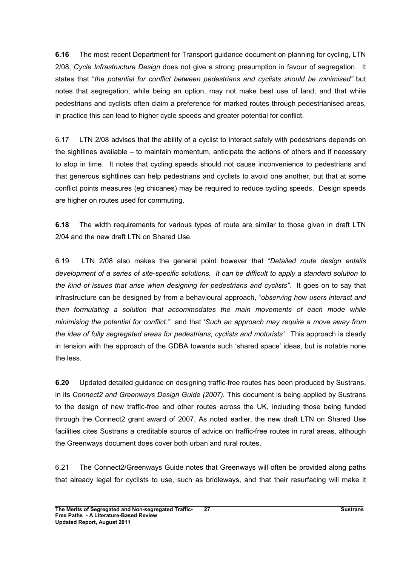6.16 The most recent Department for Transport guidance document on planning for cycling, LTN 2/08, Cycle Infrastructure Design does not give a strong presumption in favour of segregation. It states that "the potential for conflict between pedestrians and cyclists should be minimised" but notes that segregation, while being an option, may not make best use of land; and that while pedestrians and cyclists often claim a preference for marked routes through pedestrianised areas, in practice this can lead to higher cycle speeds and greater potential for conflict.

6.17 LTN 2/08 advises that the ability of a cyclist to interact safely with pedestrians depends on the sightlines available – to maintain momentum, anticipate the actions of others and if necessary to stop in time. It notes that cycling speeds should not cause inconvenience to pedestrians and that generous sightlines can help pedestrians and cyclists to avoid one another, but that at some conflict points measures (eg chicanes) may be required to reduce cycling speeds. Design speeds are higher on routes used for commuting.

6.18 The width requirements for various types of route are similar to those given in draft LTN 2/04 and the new draft LTN on Shared Use.

6.19 LTN 2/08 also makes the general point however that "Detailed route design entails development of a series of site-specific solutions. It can be difficult to apply a standard solution to the kind of issues that arise when designing for pedestrians and cyclists". It goes on to say that infrastructure can be designed by from a behavioural approach, "observing how users interact and then formulating a solution that accommodates the main movements of each mode while minimising the potential for conflict." and that 'Such an approach may require a move away from the idea of fully segregated areas for pedestrians, cyclists and motorists'. This approach is clearly in tension with the approach of the GDBA towards such 'shared space' ideas, but is notable none the less.

6.20 Updated detailed guidance on designing traffic-free routes has been produced by Sustrans, in its Connect2 and Greenways Design Guide (2007). This document is being applied by Sustrans to the design of new traffic-free and other routes across the UK, including those being funded through the Connect2 grant award of 2007. As noted earlier, the new draft LTN on Shared Use facilities cites Sustrans a creditable source of advice on traffic-free routes in rural areas, although the Greenways document does cover both urban and rural routes.

6.21 The Connect2/Greenways Guide notes that Greenways will often be provided along paths that already legal for cyclists to use, such as bridleways, and that their resurfacing will make it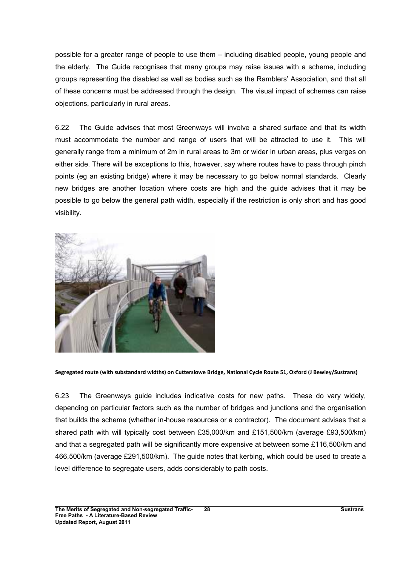possible for a greater range of people to use them – including disabled people, young people and the elderly. The Guide recognises that many groups may raise issues with a scheme, including groups representing the disabled as well as bodies such as the Ramblers' Association, and that all of these concerns must be addressed through the design. The visual impact of schemes can raise objections, particularly in rural areas.

6.22 The Guide advises that most Greenways will involve a shared surface and that its width must accommodate the number and range of users that will be attracted to use it. This will generally range from a minimum of 2m in rural areas to 3m or wider in urban areas, plus verges on either side. There will be exceptions to this, however, say where routes have to pass through pinch points (eg an existing bridge) where it may be necessary to go below normal standards. Clearly new bridges are another location where costs are high and the guide advises that it may be possible to go below the general path width, especially if the restriction is only short and has good visibility.



Segregated route (with substandard widths) on Cutterslowe Bridge, National Cycle Route 51, Oxford (J Bewley/Sustrans)

6.23 The Greenways guide includes indicative costs for new paths. These do vary widely, depending on particular factors such as the number of bridges and junctions and the organisation that builds the scheme (whether in-house resources or a contractor). The document advises that a shared path with will typically cost between £35,000/km and £151,500/km (average £93,500/km) and that a segregated path will be significantly more expensive at between some £116,500/km and 466,500/km (average £291,500/km). The guide notes that kerbing, which could be used to create a level difference to segregate users, adds considerably to path costs.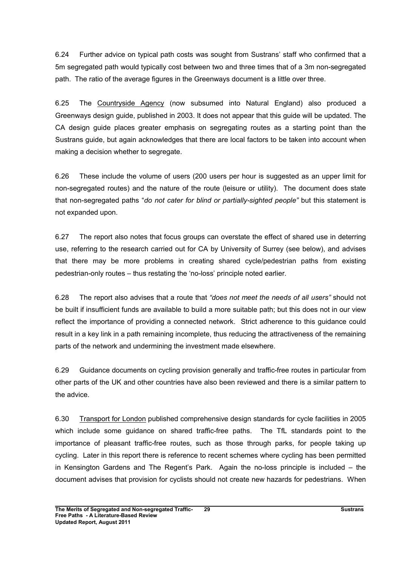6.24 Further advice on typical path costs was sought from Sustrans' staff who confirmed that a 5m segregated path would typically cost between two and three times that of a 3m non-segregated path. The ratio of the average figures in the Greenways document is a little over three.

6.25 The Countryside Agency (now subsumed into Natural England) also produced a Greenways design guide, published in 2003. It does not appear that this guide will be updated. The CA design guide places greater emphasis on segregating routes as a starting point than the Sustrans guide, but again acknowledges that there are local factors to be taken into account when making a decision whether to segregate.

6.26 These include the volume of users (200 users per hour is suggested as an upper limit for non-segregated routes) and the nature of the route (leisure or utility). The document does state that non-segregated paths "do not cater for blind or partially-sighted people" but this statement is not expanded upon.

6.27 The report also notes that focus groups can overstate the effect of shared use in deterring use, referring to the research carried out for CA by University of Surrey (see below), and advises that there may be more problems in creating shared cycle/pedestrian paths from existing pedestrian-only routes – thus restating the 'no-loss' principle noted earlier.

6.28 The report also advises that a route that "does not meet the needs of all users" should not be built if insufficient funds are available to build a more suitable path; but this does not in our view reflect the importance of providing a connected network. Strict adherence to this guidance could result in a key link in a path remaining incomplete, thus reducing the attractiveness of the remaining parts of the network and undermining the investment made elsewhere.

6.29 Guidance documents on cycling provision generally and traffic-free routes in particular from other parts of the UK and other countries have also been reviewed and there is a similar pattern to the advice.

6.30 Transport for London published comprehensive design standards for cycle facilities in 2005 which include some guidance on shared traffic-free paths. The TfL standards point to the importance of pleasant traffic-free routes, such as those through parks, for people taking up cycling. Later in this report there is reference to recent schemes where cycling has been permitted in Kensington Gardens and The Regent's Park. Again the no-loss principle is included – the document advises that provision for cyclists should not create new hazards for pedestrians. When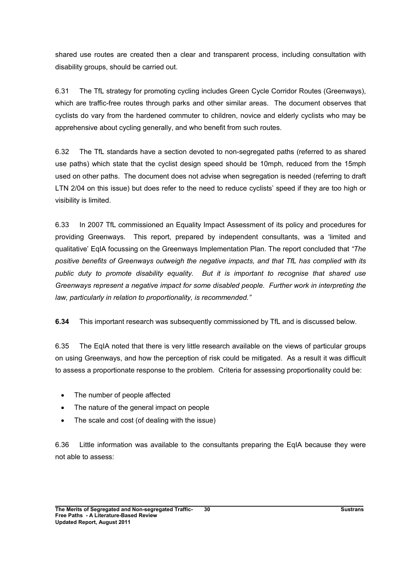shared use routes are created then a clear and transparent process, including consultation with disability groups, should be carried out.

6.31 The TfL strategy for promoting cycling includes Green Cycle Corridor Routes (Greenways), which are traffic-free routes through parks and other similar areas. The document observes that cyclists do vary from the hardened commuter to children, novice and elderly cyclists who may be apprehensive about cycling generally, and who benefit from such routes.

6.32 The TfL standards have a section devoted to non-segregated paths (referred to as shared use paths) which state that the cyclist design speed should be 10mph, reduced from the 15mph used on other paths. The document does not advise when segregation is needed (referring to draft LTN 2/04 on this issue) but does refer to the need to reduce cyclists' speed if they are too high or visibility is limited.

6.33 In 2007 TfL commissioned an Equality Impact Assessment of its policy and procedures for providing Greenways. This report, prepared by independent consultants, was a 'limited and qualitative' EqIA focussing on the Greenways Implementation Plan. The report concluded that "The positive benefits of Greenways outweigh the negative impacts, and that TfL has complied with its public duty to promote disability equality. But it is important to recognise that shared use Greenways represent a negative impact for some disabled people. Further work in interpreting the law, particularly in relation to proportionality, is recommended."

6.34 This important research was subsequently commissioned by TfL and is discussed below.

6.35 The EqIA noted that there is very little research available on the views of particular groups on using Greenways, and how the perception of risk could be mitigated. As a result it was difficult to assess a proportionate response to the problem. Criteria for assessing proportionality could be:

- The number of people affected
- The nature of the general impact on people
- The scale and cost (of dealing with the issue)

6.36 Little information was available to the consultants preparing the EqIA because they were not able to assess: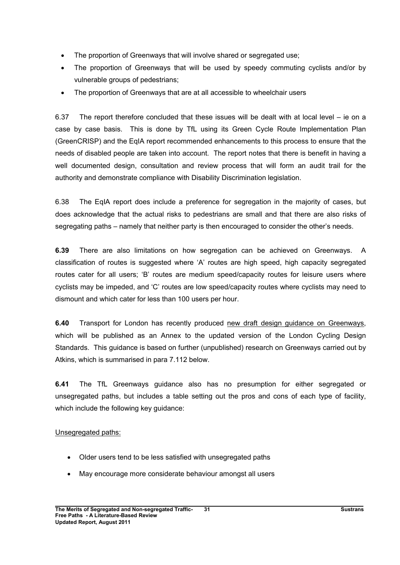- The proportion of Greenways that will involve shared or segregated use;
- The proportion of Greenways that will be used by speedy commuting cyclists and/or by vulnerable groups of pedestrians;
- The proportion of Greenways that are at all accessible to wheelchair users

6.37 The report therefore concluded that these issues will be dealt with at local level – ie on a case by case basis. This is done by TfL using its Green Cycle Route Implementation Plan (GreenCRISP) and the EqIA report recommended enhancements to this process to ensure that the needs of disabled people are taken into account. The report notes that there is benefit in having a well documented design, consultation and review process that will form an audit trail for the authority and demonstrate compliance with Disability Discrimination legislation.

6.38 The EqIA report does include a preference for segregation in the majority of cases, but does acknowledge that the actual risks to pedestrians are small and that there are also risks of segregating paths – namely that neither party is then encouraged to consider the other's needs.

6.39 There are also limitations on how segregation can be achieved on Greenways. A classification of routes is suggested where 'A' routes are high speed, high capacity segregated routes cater for all users; 'B' routes are medium speed/capacity routes for leisure users where cyclists may be impeded, and 'C' routes are low speed/capacity routes where cyclists may need to dismount and which cater for less than 100 users per hour.

6.40 Transport for London has recently produced new draft design guidance on Greenways, which will be published as an Annex to the updated version of the London Cycling Design Standards. This guidance is based on further (unpublished) research on Greenways carried out by Atkins, which is summarised in para 7.112 below.

6.41 The TfL Greenways guidance also has no presumption for either segregated or unsegregated paths, but includes a table setting out the pros and cons of each type of facility, which include the following key quidance:

## Unsegregated paths:

- Older users tend to be less satisfied with unsegregated paths
- May encourage more considerate behaviour amongst all users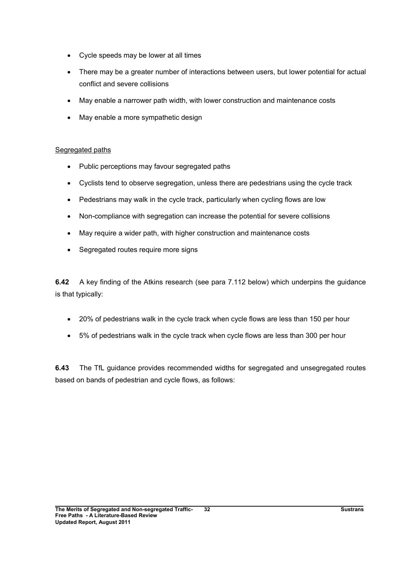- Cycle speeds may be lower at all times
- There may be a greater number of interactions between users, but lower potential for actual conflict and severe collisions
- May enable a narrower path width, with lower construction and maintenance costs
- May enable a more sympathetic design

## Segregated paths

- Public perceptions may favour segregated paths
- Cyclists tend to observe segregation, unless there are pedestrians using the cycle track
- Pedestrians may walk in the cycle track, particularly when cycling flows are low
- Non-compliance with segregation can increase the potential for severe collisions
- May require a wider path, with higher construction and maintenance costs
- Segregated routes require more signs

6.42 A key finding of the Atkins research (see para 7.112 below) which underpins the guidance is that typically:

- 20% of pedestrians walk in the cycle track when cycle flows are less than 150 per hour
- 5% of pedestrians walk in the cycle track when cycle flows are less than 300 per hour

6.43 The TfL guidance provides recommended widths for segregated and unsegregated routes based on bands of pedestrian and cycle flows, as follows: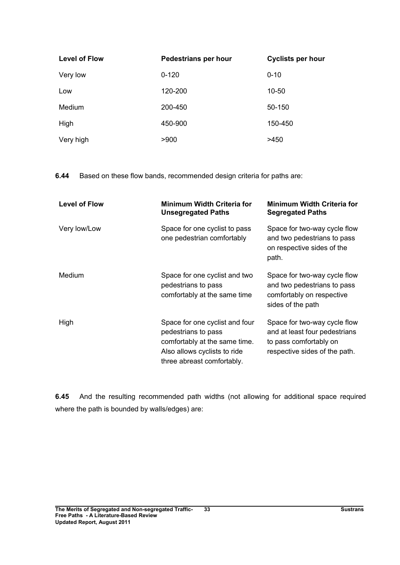| <b>Level of Flow</b> | Pedestrians per hour | <b>Cyclists per hour</b> |  |
|----------------------|----------------------|--------------------------|--|
| Very low             | $0 - 120$            | $0 - 10$                 |  |
| Low                  | 120-200              | $10 - 50$                |  |
| Medium               | 200-450              | 50-150                   |  |
| High                 | 450-900              | 150-450                  |  |
| Very high            | >900                 | >450                     |  |

6.44 Based on these flow bands, recommended design criteria for paths are:

| <b>Level of Flow</b> | <b>Minimum Width Criteria for</b><br><b>Unsegregated Paths</b>                                                                                       | <b>Minimum Width Criteria for</b><br><b>Segregated Paths</b>                                                             |
|----------------------|------------------------------------------------------------------------------------------------------------------------------------------------------|--------------------------------------------------------------------------------------------------------------------------|
| Very low/Low         | Space for one cyclist to pass<br>one pedestrian comfortably                                                                                          | Space for two-way cycle flow<br>and two pedestrians to pass<br>on respective sides of the<br>path.                       |
| Medium               | Space for one cyclist and two<br>pedestrians to pass<br>comfortably at the same time                                                                 | Space for two-way cycle flow<br>and two pedestrians to pass<br>comfortably on respective<br>sides of the path            |
| High                 | Space for one cyclist and four<br>pedestrians to pass<br>comfortably at the same time.<br>Also allows cyclists to ride<br>three abreast comfortably. | Space for two-way cycle flow<br>and at least four pedestrians<br>to pass comfortably on<br>respective sides of the path. |

6.45 And the resulting recommended path widths (not allowing for additional space required where the path is bounded by walls/edges) are: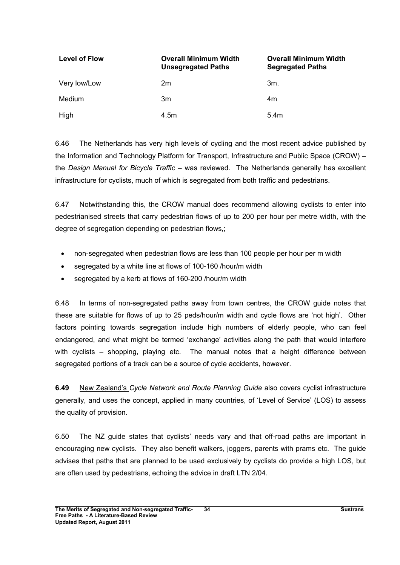| <b>Level of Flow</b> | <b>Overall Minimum Width</b><br><b>Unsegregated Paths</b> | <b>Overall Minimum Width</b><br><b>Segregated Paths</b> |
|----------------------|-----------------------------------------------------------|---------------------------------------------------------|
| Very low/Low         | 2m                                                        | 3m.                                                     |
| <b>Medium</b>        | 3m                                                        | 4m                                                      |
| High                 | 4.5m                                                      | 5.4 <sub>m</sub>                                        |

6.46 The Netherlands has very high levels of cycling and the most recent advice published by the Information and Technology Platform for Transport, Infrastructure and Public Space (CROW) – the Design Manual for Bicycle Traffic – was reviewed. The Netherlands generally has excellent infrastructure for cyclists, much of which is segregated from both traffic and pedestrians.

6.47 Notwithstanding this, the CROW manual does recommend allowing cyclists to enter into pedestrianised streets that carry pedestrian flows of up to 200 per hour per metre width, with the degree of segregation depending on pedestrian flows,;

- non-segregated when pedestrian flows are less than 100 people per hour per m width
- segregated by a white line at flows of 100-160 /hour/m width
- segregated by a kerb at flows of 160-200 /hour/m width

6.48 In terms of non-segregated paths away from town centres, the CROW guide notes that these are suitable for flows of up to 25 peds/hour/m width and cycle flows are 'not high'. Other factors pointing towards segregation include high numbers of elderly people, who can feel endangered, and what might be termed 'exchange' activities along the path that would interfere with cyclists – shopping, playing etc. The manual notes that a height difference between segregated portions of a track can be a source of cycle accidents, however.

6.49 New Zealand's Cycle Network and Route Planning Guide also covers cyclist infrastructure generally, and uses the concept, applied in many countries, of 'Level of Service' (LOS) to assess the quality of provision.

6.50 The NZ guide states that cyclists' needs vary and that off-road paths are important in encouraging new cyclists. They also benefit walkers, joggers, parents with prams etc. The guide advises that paths that are planned to be used exclusively by cyclists do provide a high LOS, but are often used by pedestrians, echoing the advice in draft LTN 2/04.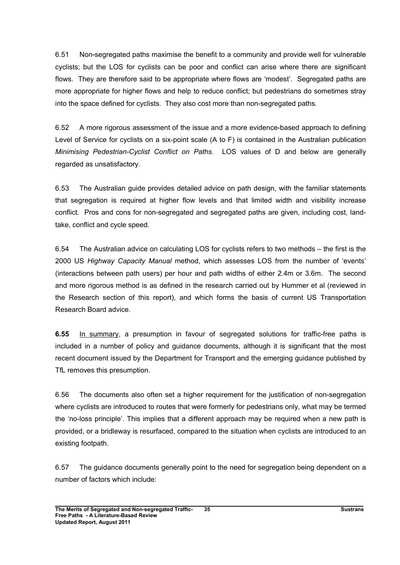6.51 Non-segregated paths maximise the benefit to a community and provide well for vulnerable cyclists; but the LOS for cyclists can be poor and conflict can arise where there are significant flows. They are therefore said to be appropriate where flows are 'modest'. Segregated paths are more appropriate for higher flows and help to reduce conflict; but pedestrians do sometimes stray into the space defined for cyclists. They also cost more than non-segregated paths.

6.52 A more rigorous assessment of the issue and a more evidence-based approach to defining Level of Service for cyclists on a six-point scale (A to F) is contained in the Australian publication Minimising Pedestrian-Cyclist Conflict on Paths. LOS values of D and below are generally regarded as unsatisfactory.

6.53 The Australian guide provides detailed advice on path design, with the familiar statements that segregation is required at higher flow levels and that limited width and visibility increase conflict. Pros and cons for non-segregated and segregated paths are given, including cost, landtake, conflict and cycle speed.

6.54 The Australian advice on calculating LOS for cyclists refers to two methods – the first is the 2000 US Highway Capacity Manual method, which assesses LOS from the number of 'events' (interactions between path users) per hour and path widths of either 2.4m or 3.6m. The second and more rigorous method is as defined in the research carried out by Hummer et al (reviewed in the Research section of this report), and which forms the basis of current US Transportation Research Board advice.

6.55 In summary, a presumption in favour of segregated solutions for traffic-free paths is included in a number of policy and guidance documents, although it is significant that the most recent document issued by the Department for Transport and the emerging guidance published by TfL removes this presumption.

6.56 The documents also often set a higher requirement for the justification of non-segregation where cyclists are introduced to routes that were formerly for pedestrians only, what may be termed the 'no-loss principle'. This implies that a different approach may be required when a new path is provided, or a bridleway is resurfaced, compared to the situation when cyclists are introduced to an existing footpath.

6.57 The guidance documents generally point to the need for segregation being dependent on a number of factors which include: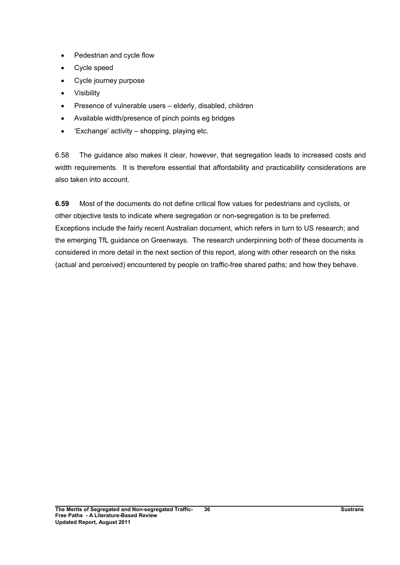- Pedestrian and cycle flow
- Cycle speed
- Cycle journey purpose
- Visibility
- Presence of vulnerable users elderly, disabled, children
- Available width/presence of pinch points eg bridges
- 'Exchange' activity shopping, playing etc.

6.58 The guidance also makes it clear, however, that segregation leads to increased costs and width requirements. It is therefore essential that affordability and practicability considerations are also taken into account.

6.59 Most of the documents do not define critical flow values for pedestrians and cyclists, or other objective tests to indicate where segregation or non-segregation is to be preferred. Exceptions include the fairly recent Australian document, which refers in turn to US research; and the emerging TfL guidance on Greenways. The research underpinning both of these documents is considered in more detail in the next section of this report, along with other research on the risks (actual and perceived) encountered by people on traffic-free shared paths; and how they behave.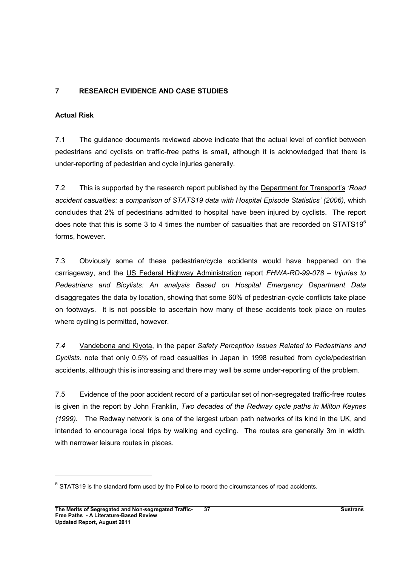# 7 RESEARCH EVIDENCE AND CASE STUDIES

#### Actual Risk

7.1 The guidance documents reviewed above indicate that the actual level of conflict between pedestrians and cyclists on traffic-free paths is small, although it is acknowledged that there is under-reporting of pedestrian and cycle injuries generally.

7.2 This is supported by the research report published by the Department for Transport's 'Road accident casualties: a comparison of STATS19 data with Hospital Episode Statistics' (2006), which concludes that 2% of pedestrians admitted to hospital have been injured by cyclists. The report does note that this is some 3 to 4 times the number of casualties that are recorded on STATS19 $5$ forms, however.

7.3 Obviously some of these pedestrian/cycle accidents would have happened on the carriageway, and the US Federal Highway Administration report FHWA-RD-99-078 – Injuries to Pedestrians and Bicylists: An analysis Based on Hospital Emergency Department Data disaggregates the data by location, showing that some 60% of pedestrian-cycle conflicts take place on footways. It is not possible to ascertain how many of these accidents took place on routes where cycling is permitted, however.

7.4 Vandebona and Kiyota, in the paper Safety Perception Issues Related to Pedestrians and Cyclists. note that only 0.5% of road casualties in Japan in 1998 resulted from cycle/pedestrian accidents, although this is increasing and there may well be some under-reporting of the problem.

7.5 Evidence of the poor accident record of a particular set of non-segregated traffic-free routes is given in the report by John Franklin, Two decades of the Redway cycle paths in Milton Keynes (1999). The Redway network is one of the largest urban path networks of its kind in the UK, and intended to encourage local trips by walking and cycling. The routes are generally 3m in width, with narrower leisure routes in places.

 $<sup>5</sup>$  STATS19 is the standard form used by the Police to record the circumstances of road accidents.</sup>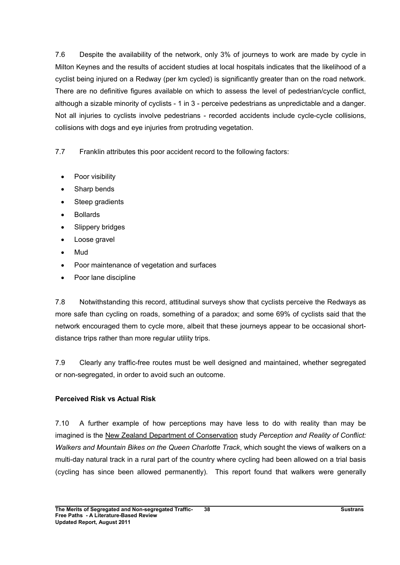7.6 Despite the availability of the network, only 3% of journeys to work are made by cycle in Milton Keynes and the results of accident studies at local hospitals indicates that the likelihood of a cyclist being injured on a Redway (per km cycled) is significantly greater than on the road network. There are no definitive figures available on which to assess the level of pedestrian/cycle conflict, although a sizable minority of cyclists - 1 in 3 - perceive pedestrians as unpredictable and a danger. Not all injuries to cyclists involve pedestrians - recorded accidents include cycle-cycle collisions, collisions with dogs and eye injuries from protruding vegetation.

7.7 Franklin attributes this poor accident record to the following factors:

- Poor visibility
- Sharp bends
- Steep gradients
- Bollards
- Slippery bridges
- Loose gravel
- Mud
- Poor maintenance of vegetation and surfaces
- Poor lane discipline

7.8 Notwithstanding this record, attitudinal surveys show that cyclists perceive the Redways as more safe than cycling on roads, something of a paradox; and some 69% of cyclists said that the network encouraged them to cycle more, albeit that these journeys appear to be occasional shortdistance trips rather than more regular utility trips.

7.9 Clearly any traffic-free routes must be well designed and maintained, whether segregated or non-segregated, in order to avoid such an outcome.

### Perceived Risk vs Actual Risk

7.10 A further example of how perceptions may have less to do with reality than may be imagined is the New Zealand Department of Conservation study Perception and Reality of Conflict: Walkers and Mountain Bikes on the Queen Charlotte Track, which sought the views of walkers on a multi-day natural track in a rural part of the country where cycling had been allowed on a trial basis (cycling has since been allowed permanently). This report found that walkers were generally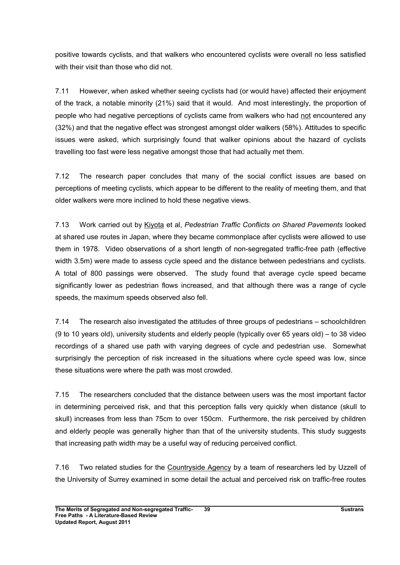positive towards cyclists, and that walkers who encountered cyclists were overall no less satisfied with their visit than those who did not.

7.11 However, when asked whether seeing cyclists had (or would have) affected their enjoyment of the track, a notable minority (21%) said that it would. And most interestingly, the proportion of people who had negative perceptions of cyclists came from walkers who had not encountered any (32%) and that the negative effect was strongest amongst older walkers (58%). Attitudes to specific issues were asked, which surprisingly found that walker opinions about the hazard of cyclists travelling too fast were less negative amongst those that had actually met them.

7.12 The research paper concludes that many of the social conflict issues are based on perceptions of meeting cyclists, which appear to be different to the reality of meeting them, and that older walkers were more inclined to hold these negative views.

7.13 Work carried out by Kiyota et al, Pedestrian Traffic Conflicts on Shared Pavements looked at shared use routes in Japan, where they became commonplace after cyclists were allowed to use them in 1978. Video observations of a short length of non-segregated traffic-free path (effective width 3.5m) were made to assess cycle speed and the distance between pedestrians and cyclists. A total of 800 passings were observed. The study found that average cycle speed became significantly lower as pedestrian flows increased, and that although there was a range of cycle speeds, the maximum speeds observed also fell.

7.14 The research also investigated the attitudes of three groups of pedestrians – schoolchildren (9 to 10 years old), university students and elderly people (typically over 65 years old) – to 38 video recordings of a shared use path with varying degrees of cycle and pedestrian use. Somewhat surprisingly the perception of risk increased in the situations where cycle speed was low, since these situations were where the path was most crowded.

7.15 The researchers concluded that the distance between users was the most important factor in determining perceived risk, and that this perception falls very quickly when distance (skull to skull) increases from less than 75cm to over 150cm. Furthermore, the risk perceived by children and elderly people was generally higher than that of the university students. This study suggests that increasing path width may be a useful way of reducing perceived conflict.

7.16 Two related studies for the Countryside Agency by a team of researchers led by Uzzell of the University of Surrey examined in some detail the actual and perceived risk on traffic-free routes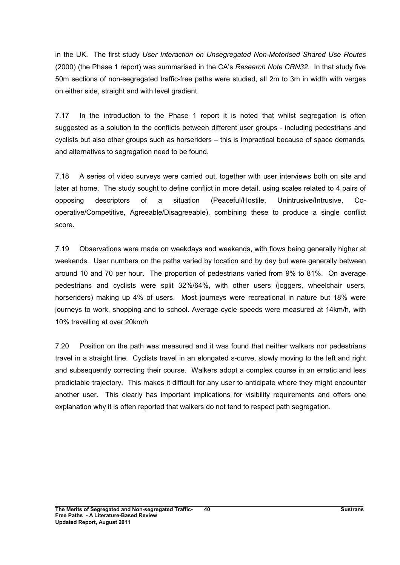in the UK. The first study User Interaction on Unsegregated Non-Motorised Shared Use Routes (2000) (the Phase 1 report) was summarised in the CA's Research Note CRN32. In that study five 50m sections of non-segregated traffic-free paths were studied, all 2m to 3m in width with verges on either side, straight and with level gradient.

7.17 In the introduction to the Phase 1 report it is noted that whilst segregation is often suggested as a solution to the conflicts between different user groups - including pedestrians and cyclists but also other groups such as horseriders – this is impractical because of space demands, and alternatives to segregation need to be found.

7.18 A series of video surveys were carried out, together with user interviews both on site and later at home. The study sought to define conflict in more detail, using scales related to 4 pairs of opposing descriptors of a situation (Peaceful/Hostile, Unintrusive/Intrusive, Cooperative/Competitive, Agreeable/Disagreeable), combining these to produce a single conflict score.

7.19 Observations were made on weekdays and weekends, with flows being generally higher at weekends. User numbers on the paths varied by location and by day but were generally between around 10 and 70 per hour. The proportion of pedestrians varied from 9% to 81%. On average pedestrians and cyclists were split 32%/64%, with other users (joggers, wheelchair users, horseriders) making up 4% of users. Most journeys were recreational in nature but 18% were journeys to work, shopping and to school. Average cycle speeds were measured at 14km/h, with 10% travelling at over 20km/h

7.20 Position on the path was measured and it was found that neither walkers nor pedestrians travel in a straight line. Cyclists travel in an elongated s-curve, slowly moving to the left and right and subsequently correcting their course. Walkers adopt a complex course in an erratic and less predictable trajectory. This makes it difficult for any user to anticipate where they might encounter another user. This clearly has important implications for visibility requirements and offers one explanation why it is often reported that walkers do not tend to respect path segregation.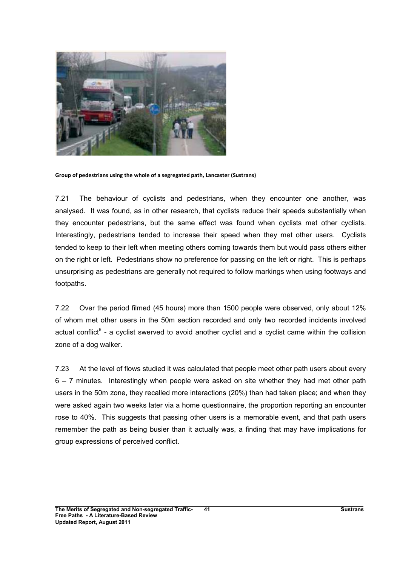

Group of pedestrians using the whole of a segregated path, Lancaster (Sustrans)

7.21 The behaviour of cyclists and pedestrians, when they encounter one another, was analysed. It was found, as in other research, that cyclists reduce their speeds substantially when they encounter pedestrians, but the same effect was found when cyclists met other cyclists. Interestingly, pedestrians tended to increase their speed when they met other users. Cyclists tended to keep to their left when meeting others coming towards them but would pass others either on the right or left. Pedestrians show no preference for passing on the left or right. This is perhaps unsurprising as pedestrians are generally not required to follow markings when using footways and footpaths.

7.22 Over the period filmed (45 hours) more than 1500 people were observed, only about 12% of whom met other users in the 50m section recorded and only two recorded incidents involved actual conflict<sup>6</sup> - a cyclist swerved to avoid another cyclist and a cyclist came within the collision zone of a dog walker.

7.23 At the level of flows studied it was calculated that people meet other path users about every 6 – 7 minutes. Interestingly when people were asked on site whether they had met other path users in the 50m zone, they recalled more interactions (20%) than had taken place; and when they were asked again two weeks later via a home questionnaire, the proportion reporting an encounter rose to 40%. This suggests that passing other users is a memorable event, and that path users remember the path as being busier than it actually was, a finding that may have implications for group expressions of perceived conflict.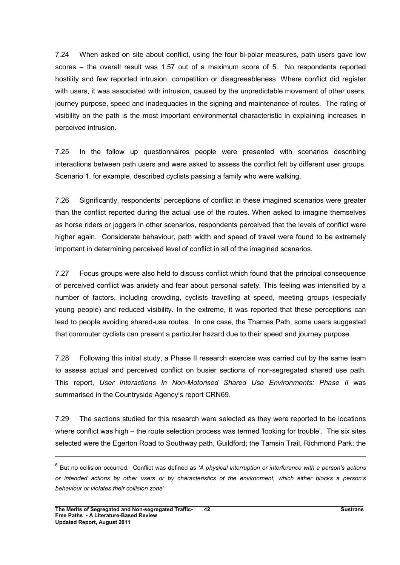7.24 When asked on site about conflict, using the four bi-polar measures, path users gave low scores – the overall result was 1.57 out of a maximum score of 5. No respondents reported hostility and few reported intrusion, competition or disagreeableness. Where conflict did register with users, it was associated with intrusion, caused by the unpredictable movement of other users, journey purpose, speed and inadequacies in the signing and maintenance of routes. The rating of visibility on the path is the most important environmental characteristic in explaining increases in perceived intrusion.

7.25 In the follow up questionnaires people were presented with scenarios describing interactions between path users and were asked to assess the conflict felt by different user groups. Scenario 1, for example, described cyclists passing a family who were walking.

7.26 Significantly, respondents' perceptions of conflict in these imagined scenarios were greater than the conflict reported during the actual use of the routes. When asked to imagine themselves as horse riders or joggers in other scenarios, respondents perceived that the levels of conflict were higher again. Considerate behaviour, path width and speed of travel were found to be extremely important in determining perceived level of conflict in all of the imagined scenarios.

7.27 Focus groups were also held to discuss conflict which found that the principal consequence of perceived conflict was anxiety and fear about personal safety. This feeling was intensified by a number of factors, including crowding, cyclists travelling at speed, meeting groups (especially young people) and reduced visibility. In the extreme, it was reported that these perceptions can lead to people avoiding shared-use routes. In one case, the Thames Path, some users suggested that commuter cyclists can present a particular hazard due to their speed and journey purpose.

7.28 Following this initial study, a Phase II research exercise was carried out by the same team to assess actual and perceived conflict on busier sections of non-segregated shared use path. This report, User Interactions In Non-Motorised Shared Use Environments: Phase II was summarised in the Countryside Agency's report CRN69.

7.29 The sections studied for this research were selected as they were reported to be locations where conflict was high – the route selection process was termed 'looking for trouble'. The six sites selected were the Egerton Road to Southway path, Guildford; the Tamsin Trail, Richmond Park; the

 $\overline{a}$ 

 $^6$  But no collision occurred. Conflict was defined as 'A physical interruption or interference with a person's actions or intended actions by other users or by characteristics of the environment, which either blocks a person's behaviour or violates their collision zone'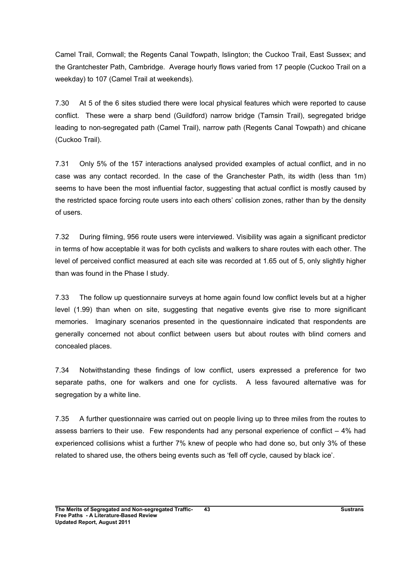Camel Trail, Cornwall; the Regents Canal Towpath, Islington; the Cuckoo Trail, East Sussex; and the Grantchester Path, Cambridge. Average hourly flows varied from 17 people (Cuckoo Trail on a weekday) to 107 (Camel Trail at weekends).

7.30 At 5 of the 6 sites studied there were local physical features which were reported to cause conflict. These were a sharp bend (Guildford) narrow bridge (Tamsin Trail), segregated bridge leading to non-segregated path (Camel Trail), narrow path (Regents Canal Towpath) and chicane (Cuckoo Trail).

7.31 Only 5% of the 157 interactions analysed provided examples of actual conflict, and in no case was any contact recorded. In the case of the Granchester Path, its width (less than 1m) seems to have been the most influential factor, suggesting that actual conflict is mostly caused by the restricted space forcing route users into each others' collision zones, rather than by the density of users.

7.32 During filming, 956 route users were interviewed. Visibility was again a significant predictor in terms of how acceptable it was for both cyclists and walkers to share routes with each other. The level of perceived conflict measured at each site was recorded at 1.65 out of 5, only slightly higher than was found in the Phase I study.

7.33 The follow up questionnaire surveys at home again found low conflict levels but at a higher level (1.99) than when on site, suggesting that negative events give rise to more significant memories. Imaginary scenarios presented in the questionnaire indicated that respondents are generally concerned not about conflict between users but about routes with blind corners and concealed places.

7.34 Notwithstanding these findings of low conflict, users expressed a preference for two separate paths, one for walkers and one for cyclists. A less favoured alternative was for segregation by a white line.

7.35 A further questionnaire was carried out on people living up to three miles from the routes to assess barriers to their use. Few respondents had any personal experience of conflict – 4% had experienced collisions whist a further 7% knew of people who had done so, but only 3% of these related to shared use, the others being events such as 'fell off cycle, caused by black ice'.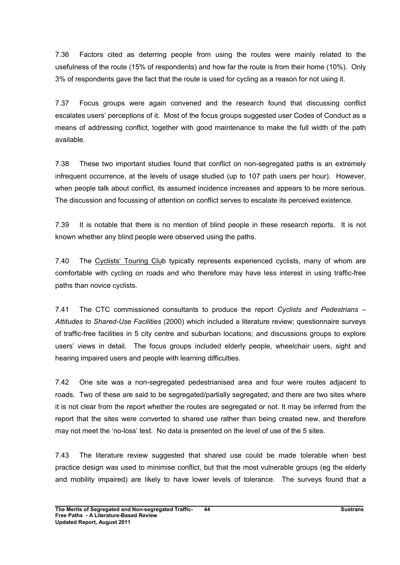7.36 Factors cited as deterring people from using the routes were mainly related to the usefulness of the route (15% of respondents) and how far the route is from their home (10%). Only 3% of respondents gave the fact that the route is used for cycling as a reason for not using it.

7.37 Focus groups were again convened and the research found that discussing conflict escalates users' perceptions of it. Most of the focus groups suggested user Codes of Conduct as a means of addressing conflict, together with good maintenance to make the full width of the path available.

7.38 These two important studies found that conflict on non-segregated paths is an extremely infrequent occurrence, at the levels of usage studied (up to 107 path users per hour). However, when people talk about conflict, its assumed incidence increases and appears to be more serious. The discussion and focussing of attention on conflict serves to escalate its perceived existence.

7.39 It is notable that there is no mention of blind people in these research reports. It is not known whether any blind people were observed using the paths.

7.40 The Cyclists' Touring Club typically represents experienced cyclists, many of whom are comfortable with cycling on roads and who therefore may have less interest in using traffic-free paths than novice cyclists.

7.41 The CTC commissioned consultants to produce the report Cyclists and Pedestrians – Attitudes to Shared-Use Facilities (2000) which included a literature review; questionnaire surveys of traffic-free facilities in 5 city centre and suburban locations; and discussions groups to explore users' views in detail. The focus groups included elderly people, wheelchair users, sight and hearing impaired users and people with learning difficulties.

7.42 One site was a non-segregated pedestrianised area and four were routes adjacent to roads. Two of these are said to be segregated/partially segregated; and there are two sites where it is not clear from the report whether the routes are segregated or not. It may be inferred from the report that the sites were converted to shared use rather than being created new, and therefore may not meet the 'no-loss' test. No data is presented on the level of use of the 5 sites.

7.43 The literature review suggested that shared use could be made tolerable when best practice design was used to minimise conflict, but that the most vulnerable groups (eg the elderly and mobility impaired) are likely to have lower levels of tolerance. The surveys found that a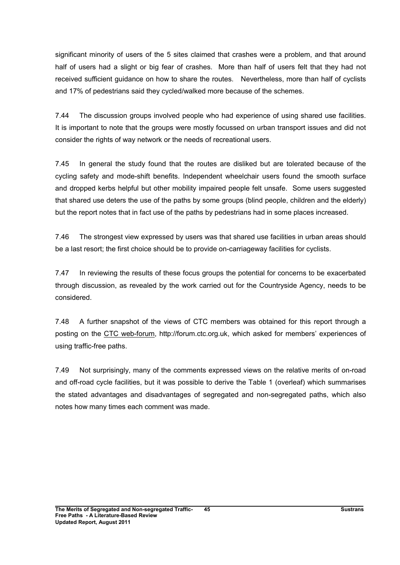significant minority of users of the 5 sites claimed that crashes were a problem, and that around half of users had a slight or big fear of crashes. More than half of users felt that they had not received sufficient guidance on how to share the routes. Nevertheless, more than half of cyclists and 17% of pedestrians said they cycled/walked more because of the schemes.

7.44 The discussion groups involved people who had experience of using shared use facilities. It is important to note that the groups were mostly focussed on urban transport issues and did not consider the rights of way network or the needs of recreational users.

7.45 In general the study found that the routes are disliked but are tolerated because of the cycling safety and mode-shift benefits. Independent wheelchair users found the smooth surface and dropped kerbs helpful but other mobility impaired people felt unsafe. Some users suggested that shared use deters the use of the paths by some groups (blind people, children and the elderly) but the report notes that in fact use of the paths by pedestrians had in some places increased.

7.46 The strongest view expressed by users was that shared use facilities in urban areas should be a last resort; the first choice should be to provide on-carriageway facilities for cyclists.

7.47 In reviewing the results of these focus groups the potential for concerns to be exacerbated through discussion, as revealed by the work carried out for the Countryside Agency, needs to be considered.

7.48 A further snapshot of the views of CTC members was obtained for this report through a posting on the CTC web-forum, http://forum.ctc.org.uk, which asked for members' experiences of using traffic-free paths.

7.49 Not surprisingly, many of the comments expressed views on the relative merits of on-road and off-road cycle facilities, but it was possible to derive the Table 1 (overleaf) which summarises the stated advantages and disadvantages of segregated and non-segregated paths, which also notes how many times each comment was made.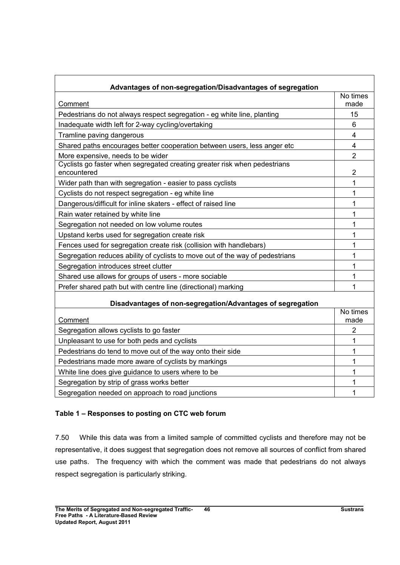| Advantages of non-segregation/Disadvantages of segregation                               |                  |
|------------------------------------------------------------------------------------------|------------------|
|                                                                                          | No times         |
| Comment                                                                                  | made             |
| Pedestrians do not always respect segregation - eg white line, planting                  | 15               |
| Inadequate width left for 2-way cycling/overtaking                                       | 6                |
| Tramline paving dangerous                                                                | $\overline{4}$   |
| Shared paths encourages better cooperation between users, less anger etc                 | $\overline{4}$   |
| More expensive, needs to be wider                                                        | $\overline{2}$   |
| Cyclists go faster when segregated creating greater risk when pedestrians<br>encountered | $\overline{2}$   |
| Wider path than with segregation - easier to pass cyclists                               | 1                |
| Cyclists do not respect segregation - eg white line                                      | 1                |
| Dangerous/difficult for inline skaters - effect of raised line                           | 1                |
| Rain water retained by white line                                                        | 1                |
| Segregation not needed on low volume routes                                              | 1                |
| Upstand kerbs used for segregation create risk                                           | 1                |
| Fences used for segregation create risk (collision with handlebars)                      | 1                |
| Segregation reduces ability of cyclists to move out of the way of pedestrians            | 1                |
| Segregation introduces street clutter                                                    | 1                |
| Shared use allows for groups of users - more sociable                                    | 1                |
| Prefer shared path but with centre line (directional) marking                            | 1                |
| Disadvantages of non-segregation/Advantages of segregation                               |                  |
| Comment                                                                                  | No times<br>made |
| Segregation allows cyclists to go faster                                                 | $\overline{2}$   |
| Unpleasant to use for both peds and cyclists                                             | 1                |
| Pedestrians do tend to move out of the way onto their side                               | 1                |
| Pedestrians made more aware of cyclists by markings                                      | 1                |
| White line does give guidance to users where to be                                       | 1                |
| Segregation by strip of grass works better                                               | 1                |
| Segregation needed on approach to road junctions                                         | 1                |

# Table 1 – Responses to posting on CTC web forum

7.50 While this data was from a limited sample of committed cyclists and therefore may not be representative, it does suggest that segregation does not remove all sources of conflict from shared use paths. The frequency with which the comment was made that pedestrians do not always respect segregation is particularly striking.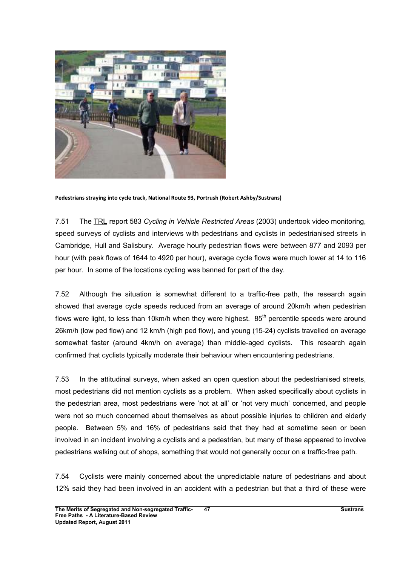

Pedestrians straying into cycle track, National Route 93, Portrush (Robert Ashby/Sustrans)

7.51 The TRL report 583 Cycling in Vehicle Restricted Areas (2003) undertook video monitoring, speed surveys of cyclists and interviews with pedestrians and cyclists in pedestrianised streets in Cambridge, Hull and Salisbury. Average hourly pedestrian flows were between 877 and 2093 per hour (with peak flows of 1644 to 4920 per hour), average cycle flows were much lower at 14 to 116 per hour. In some of the locations cycling was banned for part of the day.

7.52 Although the situation is somewhat different to a traffic-free path, the research again showed that average cycle speeds reduced from an average of around 20km/h when pedestrian flows were light, to less than 10km/h when they were highest.  $85<sup>th</sup>$  percentile speeds were around 26km/h (low ped flow) and 12 km/h (high ped flow), and young (15-24) cyclists travelled on average somewhat faster (around 4km/h on average) than middle-aged cyclists. This research again confirmed that cyclists typically moderate their behaviour when encountering pedestrians.

7.53 In the attitudinal surveys, when asked an open question about the pedestrianised streets, most pedestrians did not mention cyclists as a problem. When asked specifically about cyclists in the pedestrian area, most pedestrians were 'not at all' or 'not very much' concerned, and people were not so much concerned about themselves as about possible injuries to children and elderly people. Between 5% and 16% of pedestrians said that they had at sometime seen or been involved in an incident involving a cyclists and a pedestrian, but many of these appeared to involve pedestrians walking out of shops, something that would not generally occur on a traffic-free path.

7.54 Cyclists were mainly concerned about the unpredictable nature of pedestrians and about 12% said they had been involved in an accident with a pedestrian but that a third of these were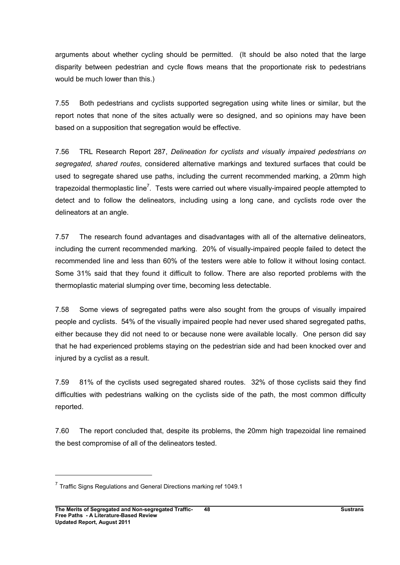arguments about whether cycling should be permitted. (It should be also noted that the large disparity between pedestrian and cycle flows means that the proportionate risk to pedestrians would be much lower than this.)

7.55 Both pedestrians and cyclists supported segregation using white lines or similar, but the report notes that none of the sites actually were so designed, and so opinions may have been based on a supposition that segregation would be effective.

7.56 TRL Research Report 287, Delineation for cyclists and visually impaired pedestrians on segregated, shared routes, considered alternative markings and textured surfaces that could be used to segregate shared use paths, including the current recommended marking, a 20mm high trapezoidal thermoplastic line<sup>7</sup>. Tests were carried out where visually-impaired people attempted to detect and to follow the delineators, including using a long cane, and cyclists rode over the delineators at an angle.

7.57 The research found advantages and disadvantages with all of the alternative delineators, including the current recommended marking. 20% of visually-impaired people failed to detect the recommended line and less than 60% of the testers were able to follow it without losing contact. Some 31% said that they found it difficult to follow. There are also reported problems with the thermoplastic material slumping over time, becoming less detectable.

7.58 Some views of segregated paths were also sought from the groups of visually impaired people and cyclists. 54% of the visually impaired people had never used shared segregated paths, either because they did not need to or because none were available locally. One person did say that he had experienced problems staying on the pedestrian side and had been knocked over and injured by a cyclist as a result.

7.59 81% of the cyclists used segregated shared routes. 32% of those cyclists said they find difficulties with pedestrians walking on the cyclists side of the path, the most common difficulty reported.

7.60 The report concluded that, despite its problems, the 20mm high trapezoidal line remained the best compromise of all of the delineators tested.

 $7$  Traffic Signs Regulations and General Directions marking ref 1049.1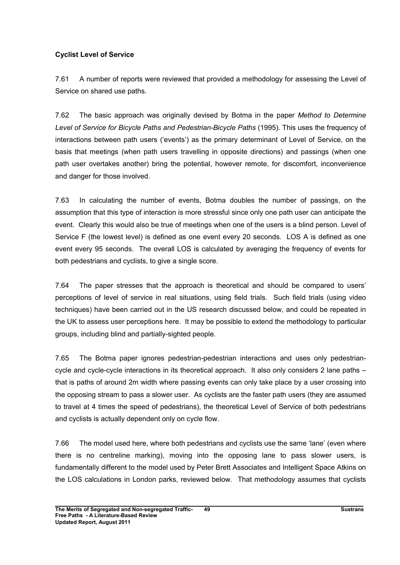# Cyclist Level of Service

7.61 A number of reports were reviewed that provided a methodology for assessing the Level of Service on shared use paths.

7.62 The basic approach was originally devised by Botma in the paper Method to Determine Level of Service for Bicycle Paths and Pedestrian-Bicycle Paths (1995). This uses the frequency of interactions between path users ('events') as the primary determinant of Level of Service, on the basis that meetings (when path users travelling in opposite directions) and passings (when one path user overtakes another) bring the potential, however remote, for discomfort, inconvenience and danger for those involved.

7.63 In calculating the number of events, Botma doubles the number of passings, on the assumption that this type of interaction is more stressful since only one path user can anticipate the event. Clearly this would also be true of meetings when one of the users is a blind person. Level of Service F (the lowest level) is defined as one event every 20 seconds. LOS A is defined as one event every 95 seconds. The overall LOS is calculated by averaging the frequency of events for both pedestrians and cyclists, to give a single score.

7.64 The paper stresses that the approach is theoretical and should be compared to users' perceptions of level of service in real situations, using field trials. Such field trials (using video techniques) have been carried out in the US research discussed below, and could be repeated in the UK to assess user perceptions here. It may be possible to extend the methodology to particular groups, including blind and partially-sighted people.

7.65 The Botma paper ignores pedestrian-pedestrian interactions and uses only pedestriancycle and cycle-cycle interactions in its theoretical approach. It also only considers 2 lane paths – that is paths of around 2m width where passing events can only take place by a user crossing into the opposing stream to pass a slower user. As cyclists are the faster path users (they are assumed to travel at 4 times the speed of pedestrians), the theoretical Level of Service of both pedestrians and cyclists is actually dependent only on cycle flow.

7.66 The model used here, where both pedestrians and cyclists use the same 'lane' (even where there is no centreline marking), moving into the opposing lane to pass slower users, is fundamentally different to the model used by Peter Brett Associates and Intelligent Space Atkins on the LOS calculations in London parks, reviewed below. That methodology assumes that cyclists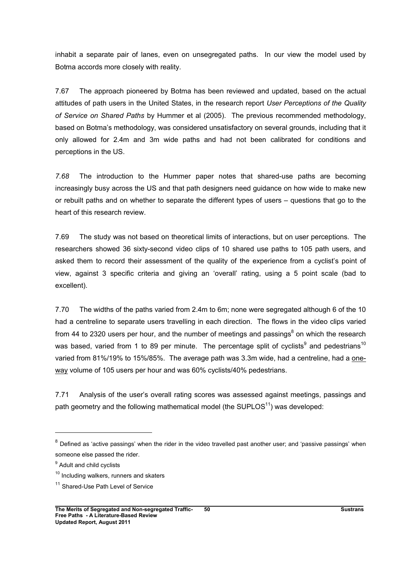inhabit a separate pair of lanes, even on unsegregated paths. In our view the model used by Botma accords more closely with reality.

7.67 The approach pioneered by Botma has been reviewed and updated, based on the actual attitudes of path users in the United States, in the research report User Perceptions of the Quality of Service on Shared Paths by Hummer et al (2005). The previous recommended methodology, based on Botma's methodology, was considered unsatisfactory on several grounds, including that it only allowed for 2.4m and 3m wide paths and had not been calibrated for conditions and perceptions in the US.

7.68 The introduction to the Hummer paper notes that shared-use paths are becoming increasingly busy across the US and that path designers need guidance on how wide to make new or rebuilt paths and on whether to separate the different types of users – questions that go to the heart of this research review.

7.69 The study was not based on theoretical limits of interactions, but on user perceptions. The researchers showed 36 sixty-second video clips of 10 shared use paths to 105 path users, and asked them to record their assessment of the quality of the experience from a cyclist's point of view, against 3 specific criteria and giving an 'overall' rating, using a 5 point scale (bad to excellent).

7.70 The widths of the paths varied from 2.4m to 6m; none were segregated although 6 of the 10 had a centreline to separate users travelling in each direction. The flows in the video clips varied from 44 to 2320 users per hour, and the number of meetings and passings<sup>8</sup> on which the research was based, varied from 1 to 89 per minute. The percentage split of cyclists<sup>9</sup> and pedestrians<sup>10</sup> varied from 81%/19% to 15%/85%. The average path was 3.3m wide, had a centreline, had a oneway volume of 105 users per hour and was 60% cyclists/40% pedestrians.

7.71 Analysis of the user's overall rating scores was assessed against meetings, passings and path geometry and the following mathematical model (the SUPLOS $11$ ) was developed:

 $\overline{a}$ 

 $^8$  Defined as 'active passings' when the rider in the video travelled past another user; and 'passive passings' when someone else passed the rider.

<sup>&</sup>lt;sup>9</sup> Adult and child cyclists

 $10$  Including walkers, runners and skaters

<sup>&</sup>lt;sup>11</sup> Shared-Use Path Level of Service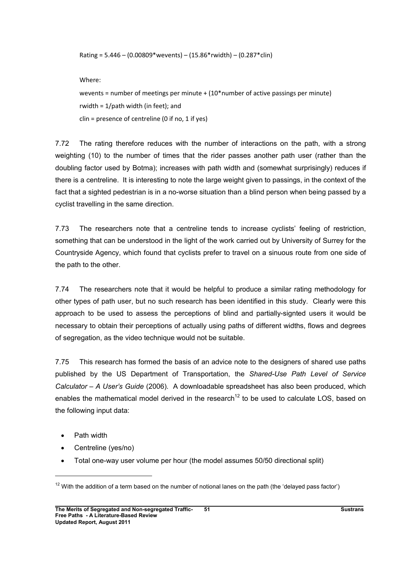Rating =  $5.446 - (0.00809*wevents) - (15.86*rwidth) - (0.287*clin)$ 

Where:

wevents = number of meetings per minute +  $(10<sup>*</sup>$  number of active passings per minute) rwidth = 1/path width (in feet); and  $clin =$  presence of centreline (0 if no, 1 if yes)

7.72 The rating therefore reduces with the number of interactions on the path, with a strong weighting (10) to the number of times that the rider passes another path user (rather than the doubling factor used by Botma); increases with path width and (somewhat surprisingly) reduces if there is a centreline. It is interesting to note the large weight given to passings, in the context of the fact that a sighted pedestrian is in a no-worse situation than a blind person when being passed by a cyclist travelling in the same direction.

7.73 The researchers note that a centreline tends to increase cyclists' feeling of restriction, something that can be understood in the light of the work carried out by University of Surrey for the Countryside Agency, which found that cyclists prefer to travel on a sinuous route from one side of the path to the other.

7.74 The researchers note that it would be helpful to produce a similar rating methodology for other types of path user, but no such research has been identified in this study. Clearly were this approach to be used to assess the perceptions of blind and partially-signted users it would be necessary to obtain their perceptions of actually using paths of different widths, flows and degrees of segregation, as the video technique would not be suitable.

7.75 This research has formed the basis of an advice note to the designers of shared use paths published by the US Department of Transportation, the Shared-Use Path Level of Service  $Calculator - A User's Guide (2006)$ . A downloadable spreadsheet has also been produced, which enables the mathematical model derived in the research<sup>12</sup> to be used to calculate LOS, based on the following input data:

• Path width

- Centreline (yes/no)
- Total one-way user volume per hour (the model assumes 50/50 directional split)

 $12$  With the addition of a term based on the number of notional lanes on the path (the 'delayed pass factor')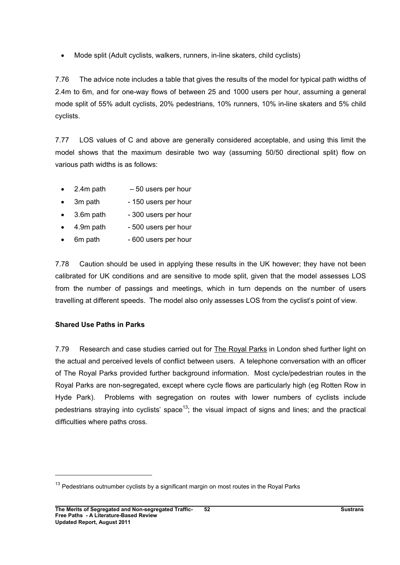• Mode split (Adult cyclists, walkers, runners, in-line skaters, child cyclists)

7.76 The advice note includes a table that gives the results of the model for typical path widths of 2.4m to 6m, and for one-way flows of between 25 and 1000 users per hour, assuming a general mode split of 55% adult cyclists, 20% pedestrians, 10% runners, 10% in-line skaters and 5% child cyclists.

7.77 LOS values of C and above are generally considered acceptable, and using this limit the model shows that the maximum desirable two way (assuming 50/50 directional split) flow on various path widths is as follows:

- $\bullet$  2.4m path  $-50$  users per hour
- 3m path 150 users per hour
- $\bullet$  3.6m path 300 users per hour
- $\bullet$  4.9m path 500 users per hour
- 6m path 600 users per hour

7.78 Caution should be used in applying these results in the UK however; they have not been calibrated for UK conditions and are sensitive to mode split, given that the model assesses LOS from the number of passings and meetings, which in turn depends on the number of users travelling at different speeds. The model also only assesses LOS from the cyclist's point of view.

### Shared Use Paths in Parks

7.79 Research and case studies carried out for The Royal Parks in London shed further light on the actual and perceived levels of conflict between users. A telephone conversation with an officer of The Royal Parks provided further background information. Most cycle/pedestrian routes in the Royal Parks are non-segregated, except where cycle flows are particularly high (eg Rotten Row in Hyde Park). Problems with segregation on routes with lower numbers of cyclists include pedestrians straying into cyclists' space<sup>13</sup>; the visual impact of signs and lines; and the practical difficulties where paths cross.

 $13$  Pedestrians outnumber cyclists by a significant margin on most routes in the Royal Parks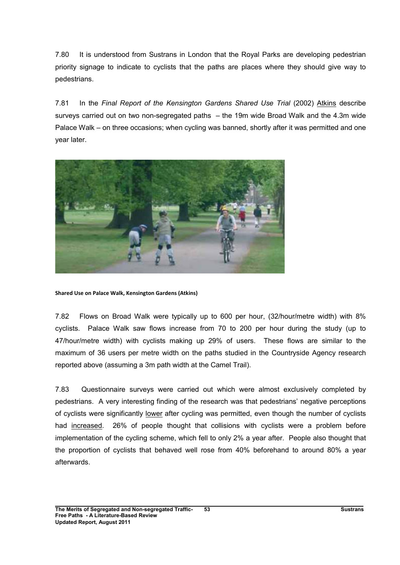7.80 It is understood from Sustrans in London that the Royal Parks are developing pedestrian priority signage to indicate to cyclists that the paths are places where they should give way to pedestrians.

7.81 In the Final Report of the Kensington Gardens Shared Use Trial (2002) Atkins describe surveys carried out on two non-segregated paths – the 19m wide Broad Walk and the 4.3m wide Palace Walk – on three occasions; when cycling was banned, shortly after it was permitted and one year later.



Shared Use on Palace Walk, Kensington Gardens (Atkins)

7.82 Flows on Broad Walk were typically up to 600 per hour, (32/hour/metre width) with 8% cyclists. Palace Walk saw flows increase from 70 to 200 per hour during the study (up to 47/hour/metre width) with cyclists making up 29% of users. These flows are similar to the maximum of 36 users per metre width on the paths studied in the Countryside Agency research reported above (assuming a 3m path width at the Camel Trail).

7.83 Questionnaire surveys were carried out which were almost exclusively completed by pedestrians. A very interesting finding of the research was that pedestrians' negative perceptions of cyclists were significantly lower after cycling was permitted, even though the number of cyclists had increased. 26% of people thought that collisions with cyclists were a problem before implementation of the cycling scheme, which fell to only 2% a year after. People also thought that the proportion of cyclists that behaved well rose from 40% beforehand to around 80% a year afterwards.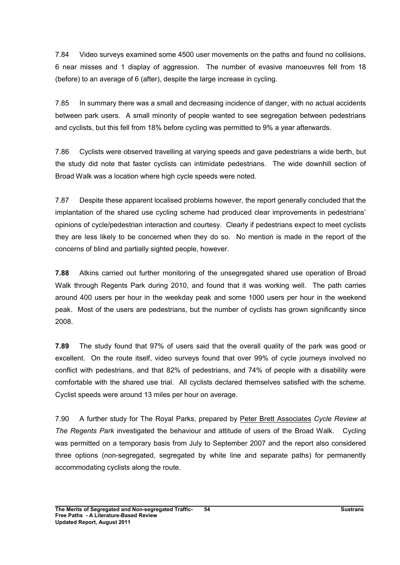7.84 Video surveys examined some 4500 user movements on the paths and found no collisions, 6 near misses and 1 display of aggression. The number of evasive manoeuvres fell from 18 (before) to an average of 6 (after), despite the large increase in cycling.

7.85 In summary there was a small and decreasing incidence of danger, with no actual accidents between park users. A small minority of people wanted to see segregation between pedestrians and cyclists, but this fell from 18% before cycling was permitted to 9% a year afterwards.

7.86 Cyclists were observed travelling at varying speeds and gave pedestrians a wide berth, but the study did note that faster cyclists can intimidate pedestrians. The wide downhill section of Broad Walk was a location where high cycle speeds were noted.

7.87 Despite these apparent localised problems however, the report generally concluded that the implantation of the shared use cycling scheme had produced clear improvements in pedestrians' opinions of cycle/pedestrian interaction and courtesy. Clearly if pedestrians expect to meet cyclists they are less likely to be concerned when they do so. No mention is made in the report of the concerns of blind and partially sighted people, however.

7.88 Atkins carried out further monitoring of the unsegregated shared use operation of Broad Walk through Regents Park during 2010, and found that it was working well. The path carries around 400 users per hour in the weekday peak and some 1000 users per hour in the weekend peak. Most of the users are pedestrians, but the number of cyclists has grown significantly since 2008.

7.89 The study found that 97% of users said that the overall quality of the park was good or excellent. On the route itself, video surveys found that over 99% of cycle journeys involved no conflict with pedestrians, and that 82% of pedestrians, and 74% of people with a disability were comfortable with the shared use trial. All cyclists declared themselves satisfied with the scheme. Cyclist speeds were around 13 miles per hour on average.

7.90 A further study for The Royal Parks, prepared by Peter Brett Associates Cycle Review at The Regents Park investigated the behaviour and attitude of users of the Broad Walk. Cycling was permitted on a temporary basis from July to September 2007 and the report also considered three options (non-segregated, segregated by white line and separate paths) for permanently accommodating cyclists along the route.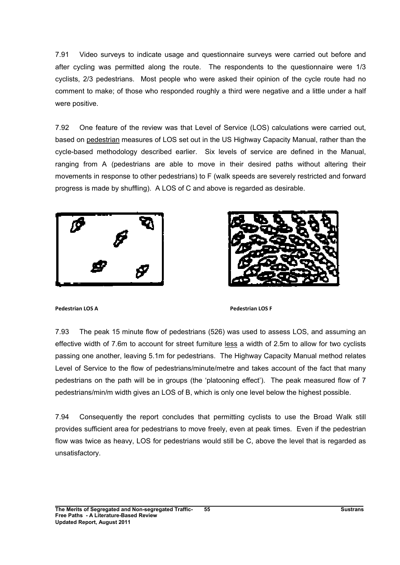7.91 Video surveys to indicate usage and questionnaire surveys were carried out before and after cycling was permitted along the route. The respondents to the questionnaire were 1/3 cyclists, 2/3 pedestrians. Most people who were asked their opinion of the cycle route had no comment to make; of those who responded roughly a third were negative and a little under a half were positive.

7.92 One feature of the review was that Level of Service (LOS) calculations were carried out, based on pedestrian measures of LOS set out in the US Highway Capacity Manual, rather than the cycle-based methodology described earlier. Six levels of service are defined in the Manual, ranging from A (pedestrians are able to move in their desired paths without altering their movements in response to other pedestrians) to F (walk speeds are severely restricted and forward progress is made by shuffling). A LOS of C and above is regarded as desirable.





Pedestrian LOS A Pedestrian LOS F

7.93 The peak 15 minute flow of pedestrians (526) was used to assess LOS, and assuming an effective width of 7.6m to account for street furniture less a width of 2.5m to allow for two cyclists passing one another, leaving 5.1m for pedestrians. The Highway Capacity Manual method relates Level of Service to the flow of pedestrians/minute/metre and takes account of the fact that many pedestrians on the path will be in groups (the 'platooning effect'). The peak measured flow of 7 pedestrians/min/m width gives an LOS of B, which is only one level below the highest possible.

7.94 Consequently the report concludes that permitting cyclists to use the Broad Walk still provides sufficient area for pedestrians to move freely, even at peak times. Even if the pedestrian flow was twice as heavy, LOS for pedestrians would still be C, above the level that is regarded as unsatisfactory.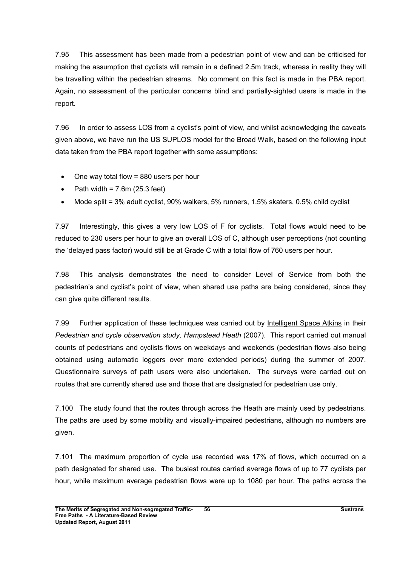7.95 This assessment has been made from a pedestrian point of view and can be criticised for making the assumption that cyclists will remain in a defined 2.5m track, whereas in reality they will be travelling within the pedestrian streams. No comment on this fact is made in the PBA report. Again, no assessment of the particular concerns blind and partially-sighted users is made in the report.

7.96 In order to assess LOS from a cyclist's point of view, and whilst acknowledging the caveats given above, we have run the US SUPLOS model for the Broad Walk, based on the following input data taken from the PBA report together with some assumptions:

- One way total flow = 880 users per hour
- Path width =  $7.6m$  (25.3 feet)
- Mode split = 3% adult cyclist, 90% walkers, 5% runners, 1.5% skaters, 0.5% child cyclist

7.97 Interestingly, this gives a very low LOS of F for cyclists. Total flows would need to be reduced to 230 users per hour to give an overall LOS of C, although user perceptions (not counting the 'delayed pass factor) would still be at Grade C with a total flow of 760 users per hour.

7.98 This analysis demonstrates the need to consider Level of Service from both the pedestrian's and cyclist's point of view, when shared use paths are being considered, since they can give quite different results.

7.99 Further application of these techniques was carried out by Intelligent Space Atkins in their Pedestrian and cycle observation study, Hampstead Heath (2007). This report carried out manual counts of pedestrians and cyclists flows on weekdays and weekends (pedestrian flows also being obtained using automatic loggers over more extended periods) during the summer of 2007. Questionnaire surveys of path users were also undertaken. The surveys were carried out on routes that are currently shared use and those that are designated for pedestrian use only.

7.100 The study found that the routes through across the Heath are mainly used by pedestrians. The paths are used by some mobility and visually-impaired pedestrians, although no numbers are given.

7.101 The maximum proportion of cycle use recorded was 17% of flows, which occurred on a path designated for shared use. The busiest routes carried average flows of up to 77 cyclists per hour, while maximum average pedestrian flows were up to 1080 per hour. The paths across the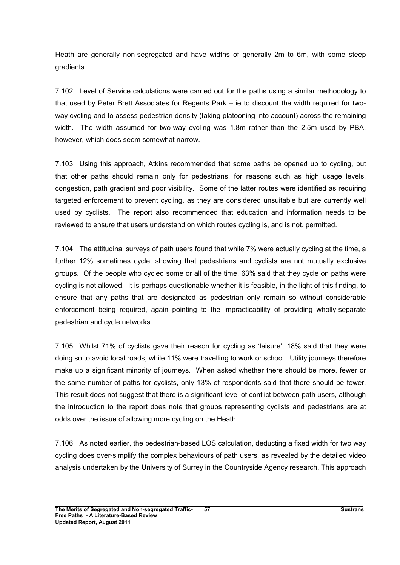Heath are generally non-segregated and have widths of generally 2m to 6m, with some steep gradients.

7.102 Level of Service calculations were carried out for the paths using a similar methodology to that used by Peter Brett Associates for Regents Park – ie to discount the width required for twoway cycling and to assess pedestrian density (taking platooning into account) across the remaining width. The width assumed for two-way cycling was 1.8m rather than the 2.5m used by PBA, however, which does seem somewhat narrow.

7.103 Using this approach, Atkins recommended that some paths be opened up to cycling, but that other paths should remain only for pedestrians, for reasons such as high usage levels, congestion, path gradient and poor visibility. Some of the latter routes were identified as requiring targeted enforcement to prevent cycling, as they are considered unsuitable but are currently well used by cyclists. The report also recommended that education and information needs to be reviewed to ensure that users understand on which routes cycling is, and is not, permitted.

7.104 The attitudinal surveys of path users found that while 7% were actually cycling at the time, a further 12% sometimes cycle, showing that pedestrians and cyclists are not mutually exclusive groups. Of the people who cycled some or all of the time, 63% said that they cycle on paths were cycling is not allowed. It is perhaps questionable whether it is feasible, in the light of this finding, to ensure that any paths that are designated as pedestrian only remain so without considerable enforcement being required, again pointing to the impracticability of providing wholly-separate pedestrian and cycle networks.

7.105 Whilst 71% of cyclists gave their reason for cycling as 'leisure', 18% said that they were doing so to avoid local roads, while 11% were travelling to work or school. Utility journeys therefore make up a significant minority of journeys. When asked whether there should be more, fewer or the same number of paths for cyclists, only 13% of respondents said that there should be fewer. This result does not suggest that there is a significant level of conflict between path users, although the introduction to the report does note that groups representing cyclists and pedestrians are at odds over the issue of allowing more cycling on the Heath.

7.106 As noted earlier, the pedestrian-based LOS calculation, deducting a fixed width for two way cycling does over-simplify the complex behaviours of path users, as revealed by the detailed video analysis undertaken by the University of Surrey in the Countryside Agency research. This approach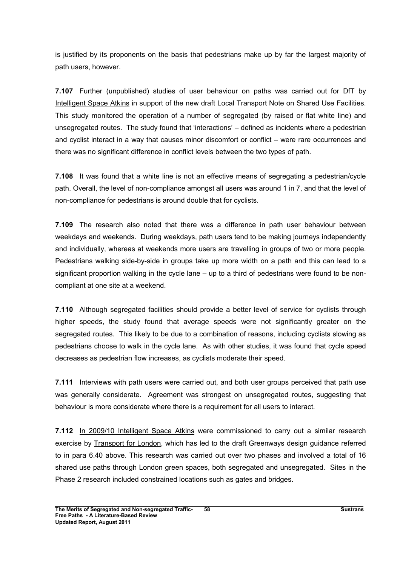is justified by its proponents on the basis that pedestrians make up by far the largest majority of path users, however.

7.107 Further (unpublished) studies of user behaviour on paths was carried out for DfT by Intelligent Space Atkins in support of the new draft Local Transport Note on Shared Use Facilities. This study monitored the operation of a number of segregated (by raised or flat white line) and unsegregated routes. The study found that 'interactions' – defined as incidents where a pedestrian and cyclist interact in a way that causes minor discomfort or conflict – were rare occurrences and there was no significant difference in conflict levels between the two types of path.

7.108 It was found that a white line is not an effective means of segregating a pedestrian/cycle path. Overall, the level of non-compliance amongst all users was around 1 in 7, and that the level of non-compliance for pedestrians is around double that for cyclists.

7.109 The research also noted that there was a difference in path user behaviour between weekdays and weekends. During weekdays, path users tend to be making journeys independently and individually, whereas at weekends more users are travelling in groups of two or more people. Pedestrians walking side-by-side in groups take up more width on a path and this can lead to a significant proportion walking in the cycle lane – up to a third of pedestrians were found to be noncompliant at one site at a weekend.

7.110 Although segregated facilities should provide a better level of service for cyclists through higher speeds, the study found that average speeds were not significantly greater on the segregated routes. This likely to be due to a combination of reasons, including cyclists slowing as pedestrians choose to walk in the cycle lane. As with other studies, it was found that cycle speed decreases as pedestrian flow increases, as cyclists moderate their speed.

7.111 Interviews with path users were carried out, and both user groups perceived that path use was generally considerate. Agreement was strongest on unsegregated routes, suggesting that behaviour is more considerate where there is a requirement for all users to interact.

7.112 In 2009/10 Intelligent Space Atkins were commissioned to carry out a similar research exercise by Transport for London, which has led to the draft Greenways design guidance referred to in para 6.40 above. This research was carried out over two phases and involved a total of 16 shared use paths through London green spaces, both segregated and unsegregated. Sites in the Phase 2 research included constrained locations such as gates and bridges.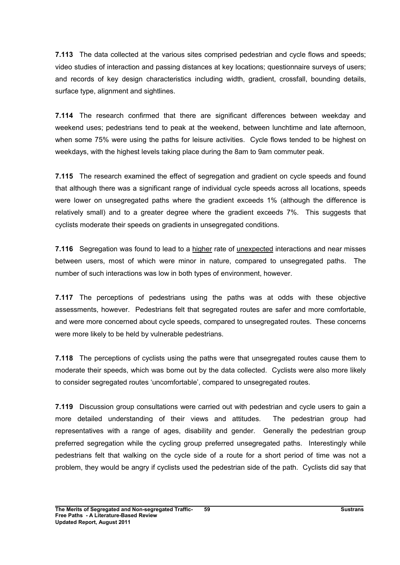7.113 The data collected at the various sites comprised pedestrian and cycle flows and speeds; video studies of interaction and passing distances at key locations; questionnaire surveys of users; and records of key design characteristics including width, gradient, crossfall, bounding details, surface type, alignment and sightlines.

7.114 The research confirmed that there are significant differences between weekday and weekend uses; pedestrians tend to peak at the weekend, between lunchtime and late afternoon, when some 75% were using the paths for leisure activities. Cycle flows tended to be highest on weekdays, with the highest levels taking place during the 8am to 9am commuter peak.

7.115 The research examined the effect of segregation and gradient on cycle speeds and found that although there was a significant range of individual cycle speeds across all locations, speeds were lower on unsegregated paths where the gradient exceeds 1% (although the difference is relatively small) and to a greater degree where the gradient exceeds 7%. This suggests that cyclists moderate their speeds on gradients in unsegregated conditions.

7.116 Segregation was found to lead to a higher rate of <u>unexpected</u> interactions and near misses between users, most of which were minor in nature, compared to unsegregated paths. The number of such interactions was low in both types of environment, however.

7.117 The perceptions of pedestrians using the paths was at odds with these objective assessments, however. Pedestrians felt that segregated routes are safer and more comfortable, and were more concerned about cycle speeds, compared to unsegregated routes. These concerns were more likely to be held by vulnerable pedestrians.

7.118 The perceptions of cyclists using the paths were that unsegregated routes cause them to moderate their speeds, which was borne out by the data collected. Cyclists were also more likely to consider segregated routes 'uncomfortable', compared to unsegregated routes.

7.119 Discussion group consultations were carried out with pedestrian and cycle users to gain a more detailed understanding of their views and attitudes. The pedestrian group had representatives with a range of ages, disability and gender. Generally the pedestrian group preferred segregation while the cycling group preferred unsegregated paths. Interestingly while pedestrians felt that walking on the cycle side of a route for a short period of time was not a problem, they would be angry if cyclists used the pedestrian side of the path. Cyclists did say that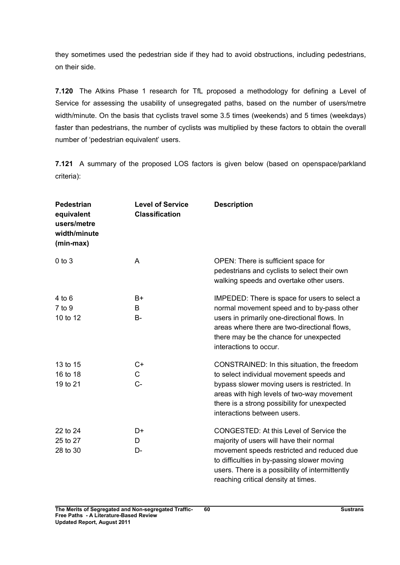they sometimes used the pedestrian side if they had to avoid obstructions, including pedestrians, on their side.

7.120 The Atkins Phase 1 research for TfL proposed a methodology for defining a Level of Service for assessing the usability of unsegregated paths, based on the number of users/metre width/minute. On the basis that cyclists travel some 3.5 times (weekends) and 5 times (weekdays) faster than pedestrians, the number of cyclists was multiplied by these factors to obtain the overall number of 'pedestrian equivalent' users.

7.121 A summary of the proposed LOS factors is given below (based on openspace/parkland criteria):

| <b>Pedestrian</b><br>equivalent<br>users/metre<br>width/minute<br>(min-max) | <b>Level of Service</b><br><b>Classification</b> | <b>Description</b>                                                                                                                                                                                                                                                         |
|-----------------------------------------------------------------------------|--------------------------------------------------|----------------------------------------------------------------------------------------------------------------------------------------------------------------------------------------------------------------------------------------------------------------------------|
| $0$ to $3$                                                                  | Α                                                | OPEN: There is sufficient space for<br>pedestrians and cyclists to select their own<br>walking speeds and overtake other users.                                                                                                                                            |
| $4$ to $6$<br>7 to 9<br>10 to 12                                            | $B+$<br>B<br><b>B-</b>                           | IMPEDED: There is space for users to select a<br>normal movement speed and to by-pass other<br>users in primarily one-directional flows. In<br>areas where there are two-directional flows,<br>there may be the chance for unexpected<br>interactions to occur.            |
| 13 to 15<br>16 to 18<br>19 to 21                                            | $C+$<br>C<br>$C -$                               | CONSTRAINED: In this situation, the freedom<br>to select individual movement speeds and<br>bypass slower moving users is restricted. In<br>areas with high levels of two-way movement<br>there is a strong possibility for unexpected<br>interactions between users.       |
| 22 to 24<br>25 to 27<br>28 to 30                                            | D+<br>D<br>$D-$                                  | CONGESTED: At this Level of Service the<br>majority of users will have their normal<br>movement speeds restricted and reduced due<br>to difficulties in by-passing slower moving<br>users. There is a possibility of intermittently<br>reaching critical density at times. |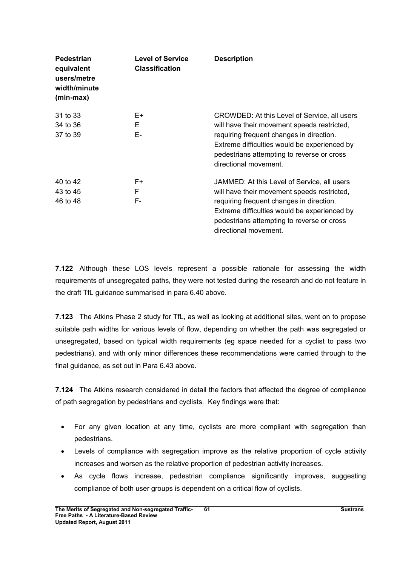| <b>Pedestrian</b><br>equivalent<br>users/metre<br>width/minute<br>(min-max) | <b>Level of Service</b><br><b>Classification</b> | <b>Description</b>                                                                                                                                                                                                                                             |
|-----------------------------------------------------------------------------|--------------------------------------------------|----------------------------------------------------------------------------------------------------------------------------------------------------------------------------------------------------------------------------------------------------------------|
| 31 to 33<br>34 to 36<br>37 to 39                                            | E+<br>Е<br>E-                                    | CROWDED: At this Level of Service, all users<br>will have their movement speeds restricted,<br>requiring frequent changes in direction.<br>Extreme difficulties would be experienced by<br>pedestrians attempting to reverse or cross<br>directional movement. |
| 40 to 42<br>43 to 45<br>46 to 48                                            | $F+$<br>F<br>F-                                  | JAMMED: At this Level of Service, all users<br>will have their movement speeds restricted,<br>requiring frequent changes in direction.<br>Extreme difficulties would be experienced by<br>pedestrians attempting to reverse or cross<br>directional movement.  |

7.122 Although these LOS levels represent a possible rationale for assessing the width requirements of unsegregated paths, they were not tested during the research and do not feature in the draft TfL guidance summarised in para 6.40 above.

7.123 The Atkins Phase 2 study for TfL, as well as looking at additional sites, went on to propose suitable path widths for various levels of flow, depending on whether the path was segregated or unsegregated, based on typical width requirements (eg space needed for a cyclist to pass two pedestrians), and with only minor differences these recommendations were carried through to the final guidance, as set out in Para 6.43 above.

7.124 The Atkins research considered in detail the factors that affected the degree of compliance of path segregation by pedestrians and cyclists. Key findings were that:

- For any given location at any time, cyclists are more compliant with segregation than pedestrians.
- Levels of compliance with segregation improve as the relative proportion of cycle activity increases and worsen as the relative proportion of pedestrian activity increases.
- As cycle flows increase, pedestrian compliance significantly improves, suggesting compliance of both user groups is dependent on a critical flow of cyclists.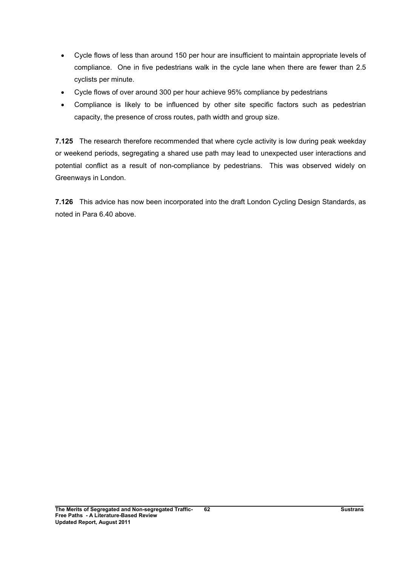- Cycle flows of less than around 150 per hour are insufficient to maintain appropriate levels of compliance. One in five pedestrians walk in the cycle lane when there are fewer than 2.5 cyclists per minute.
- Cycle flows of over around 300 per hour achieve 95% compliance by pedestrians
- Compliance is likely to be influenced by other site specific factors such as pedestrian capacity, the presence of cross routes, path width and group size.

7.125 The research therefore recommended that where cycle activity is low during peak weekday or weekend periods, segregating a shared use path may lead to unexpected user interactions and potential conflict as a result of non-compliance by pedestrians. This was observed widely on Greenways in London.

7.126 This advice has now been incorporated into the draft London Cycling Design Standards, as noted in Para 6.40 above.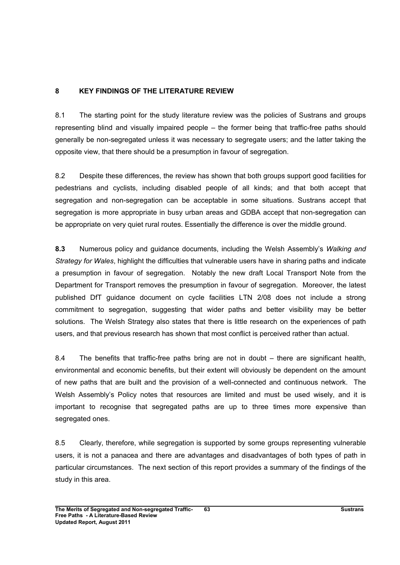## 8 KEY FINDINGS OF THE LITERATURE REVIEW

8.1 The starting point for the study literature review was the policies of Sustrans and groups representing blind and visually impaired people – the former being that traffic-free paths should generally be non-segregated unless it was necessary to segregate users; and the latter taking the opposite view, that there should be a presumption in favour of segregation.

8.2 Despite these differences, the review has shown that both groups support good facilities for pedestrians and cyclists, including disabled people of all kinds; and that both accept that segregation and non-segregation can be acceptable in some situations. Sustrans accept that segregation is more appropriate in busy urban areas and GDBA accept that non-segregation can be appropriate on very quiet rural routes. Essentially the difference is over the middle ground.

8.3 Numerous policy and guidance documents, including the Welsh Assembly's Walking and Strategy for Wales, highlight the difficulties that vulnerable users have in sharing paths and indicate a presumption in favour of segregation. Notably the new draft Local Transport Note from the Department for Transport removes the presumption in favour of segregation. Moreover, the latest published DfT guidance document on cycle facilities LTN 2/08 does not include a strong commitment to segregation, suggesting that wider paths and better visibility may be better solutions. The Welsh Strategy also states that there is little research on the experiences of path users, and that previous research has shown that most conflict is perceived rather than actual.

8.4 The benefits that traffic-free paths bring are not in doubt – there are significant health, environmental and economic benefits, but their extent will obviously be dependent on the amount of new paths that are built and the provision of a well-connected and continuous network. The Welsh Assembly's Policy notes that resources are limited and must be used wisely, and it is important to recognise that segregated paths are up to three times more expensive than segregated ones.

8.5 Clearly, therefore, while segregation is supported by some groups representing vulnerable users, it is not a panacea and there are advantages and disadvantages of both types of path in particular circumstances. The next section of this report provides a summary of the findings of the study in this area.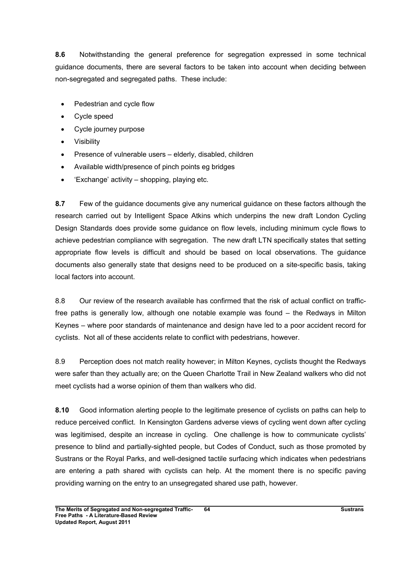8.6 Notwithstanding the general preference for segregation expressed in some technical guidance documents, there are several factors to be taken into account when deciding between non-segregated and segregated paths. These include:

- Pedestrian and cycle flow
- Cycle speed
- Cycle journey purpose
- **Visibility**
- Presence of vulnerable users elderly, disabled, children
- Available width/presence of pinch points eg bridges
- 'Exchange' activity shopping, playing etc.

8.7 Few of the guidance documents give any numerical guidance on these factors although the research carried out by Intelligent Space Atkins which underpins the new draft London Cycling Design Standards does provide some guidance on flow levels, including minimum cycle flows to achieve pedestrian compliance with segregation. The new draft LTN specifically states that setting appropriate flow levels is difficult and should be based on local observations. The guidance documents also generally state that designs need to be produced on a site-specific basis, taking local factors into account.

8.8 Our review of the research available has confirmed that the risk of actual conflict on trafficfree paths is generally low, although one notable example was found – the Redways in Milton Keynes – where poor standards of maintenance and design have led to a poor accident record for cyclists. Not all of these accidents relate to conflict with pedestrians, however.

8.9 Perception does not match reality however; in Milton Keynes, cyclists thought the Redways were safer than they actually are; on the Queen Charlotte Trail in New Zealand walkers who did not meet cyclists had a worse opinion of them than walkers who did.

8.10 Good information alerting people to the legitimate presence of cyclists on paths can help to reduce perceived conflict. In Kensington Gardens adverse views of cycling went down after cycling was legitimised, despite an increase in cycling. One challenge is how to communicate cyclists' presence to blind and partially-sighted people, but Codes of Conduct, such as those promoted by Sustrans or the Royal Parks, and well-designed tactile surfacing which indicates when pedestrians are entering a path shared with cyclists can help. At the moment there is no specific paving providing warning on the entry to an unsegregated shared use path, however.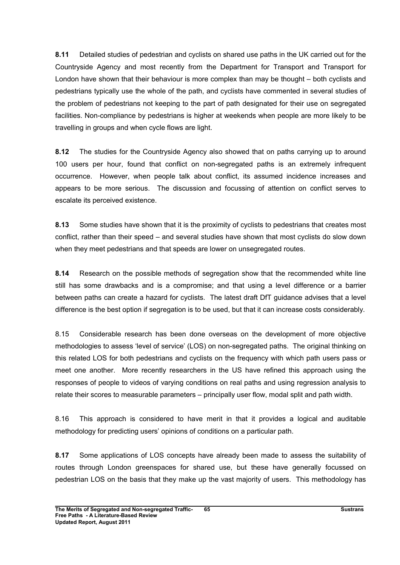8.11 Detailed studies of pedestrian and cyclists on shared use paths in the UK carried out for the Countryside Agency and most recently from the Department for Transport and Transport for London have shown that their behaviour is more complex than may be thought – both cyclists and pedestrians typically use the whole of the path, and cyclists have commented in several studies of the problem of pedestrians not keeping to the part of path designated for their use on segregated facilities. Non-compliance by pedestrians is higher at weekends when people are more likely to be travelling in groups and when cycle flows are light.

8.12 The studies for the Countryside Agency also showed that on paths carrying up to around 100 users per hour, found that conflict on non-segregated paths is an extremely infrequent occurrence. However, when people talk about conflict, its assumed incidence increases and appears to be more serious. The discussion and focussing of attention on conflict serves to escalate its perceived existence.

8.13 Some studies have shown that it is the proximity of cyclists to pedestrians that creates most conflict, rather than their speed – and several studies have shown that most cyclists do slow down when they meet pedestrians and that speeds are lower on unsegregated routes.

8.14 Research on the possible methods of segregation show that the recommended white line still has some drawbacks and is a compromise; and that using a level difference or a barrier between paths can create a hazard for cyclists. The latest draft DfT guidance advises that a level difference is the best option if segregation is to be used, but that it can increase costs considerably.

8.15 Considerable research has been done overseas on the development of more objective methodologies to assess 'level of service' (LOS) on non-segregated paths. The original thinking on this related LOS for both pedestrians and cyclists on the frequency with which path users pass or meet one another. More recently researchers in the US have refined this approach using the responses of people to videos of varying conditions on real paths and using regression analysis to relate their scores to measurable parameters – principally user flow, modal split and path width.

8.16 This approach is considered to have merit in that it provides a logical and auditable methodology for predicting users' opinions of conditions on a particular path.

8.17 Some applications of LOS concepts have already been made to assess the suitability of routes through London greenspaces for shared use, but these have generally focussed on pedestrian LOS on the basis that they make up the vast majority of users. This methodology has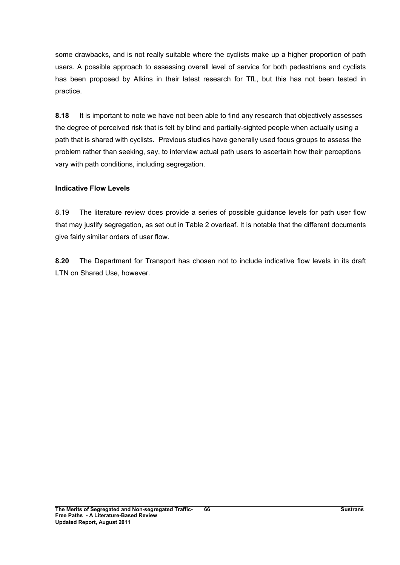some drawbacks, and is not really suitable where the cyclists make up a higher proportion of path users. A possible approach to assessing overall level of service for both pedestrians and cyclists has been proposed by Atkins in their latest research for TfL, but this has not been tested in practice.

8.18 It is important to note we have not been able to find any research that objectively assesses the degree of perceived risk that is felt by blind and partially-sighted people when actually using a path that is shared with cyclists. Previous studies have generally used focus groups to assess the problem rather than seeking, say, to interview actual path users to ascertain how their perceptions vary with path conditions, including segregation.

#### Indicative Flow Levels

8.19 The literature review does provide a series of possible guidance levels for path user flow that may justify segregation, as set out in Table 2 overleaf. It is notable that the different documents give fairly similar orders of user flow.

8.20 The Department for Transport has chosen not to include indicative flow levels in its draft LTN on Shared Use, however.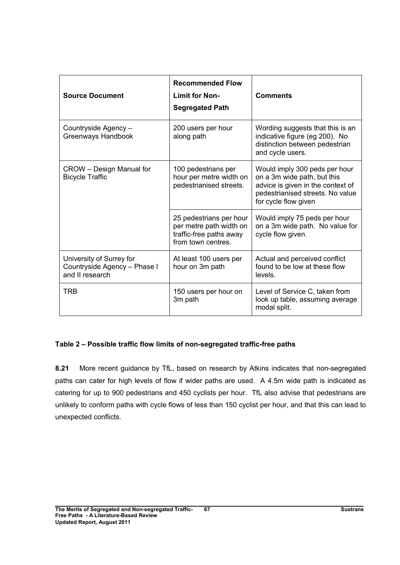| <b>Source Document</b>                                                      | <b>Recommended Flow</b><br><b>Limit for Non-</b><br><b>Segregated Path</b>                          | <b>Comments</b>                                                                                                                                               |
|-----------------------------------------------------------------------------|-----------------------------------------------------------------------------------------------------|---------------------------------------------------------------------------------------------------------------------------------------------------------------|
| Countryside Agency -<br>Greenways Handbook                                  | 200 users per hour<br>along path                                                                    | Wording suggests that this is an<br>indicative figure (eg 200). No<br>distinction between pedestrian<br>and cycle users.                                      |
| CROW - Design Manual for<br><b>Bicycle Traffic</b>                          | 100 pedestrians per<br>hour per metre width on<br>pedestrianised streets.                           | Would imply 300 peds per hour<br>on a 3m wide path, but this<br>advice is given in the context of<br>pedestrianised streets. No value<br>for cycle flow given |
|                                                                             | 25 pedestrians per hour<br>per metre path width on<br>traffic-free paths away<br>from town centres. | Would imply 75 peds per hour<br>on a 3m wide path. No value for<br>cycle flow given.                                                                          |
| University of Surrey for<br>Countryside Agency - Phase I<br>and II research | At least 100 users per<br>hour on 3m path                                                           | Actual and perceived conflict<br>found to be low at these flow<br>levels.                                                                                     |
| <b>TRB</b>                                                                  | 150 users per hour on<br>3m path                                                                    | Level of Service C, taken from<br>look up table, assuming average<br>modal split.                                                                             |

### Table 2 – Possible traffic flow limits of non-segregated traffic-free paths

8.21 More recent guidance by TfL, based on research by Atkins indicates that non-segregated paths can cater for high levels of flow if wider paths are used. A 4.5m wide path is indicated as catering for up to 900 pedestrians and 450 cyclists per hour. TfL also advise that pedestrians are unlikely to conform paths with cycle flows of less than 150 cyclist per hour, and that this can lead to unexpected conflicts.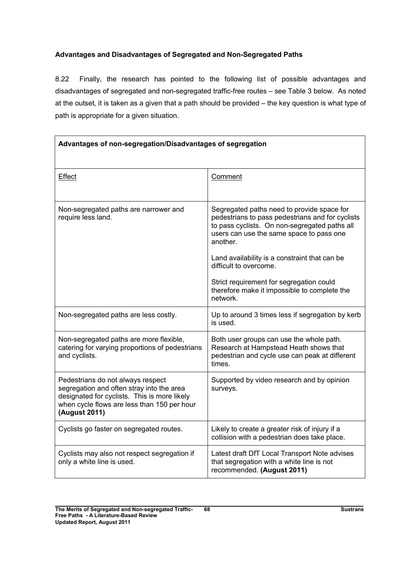## Advantages and Disadvantages of Segregated and Non-Segregated Paths

8.22 Finally, the research has pointed to the following list of possible advantages and disadvantages of segregated and non-segregated traffic-free routes – see Table 3 below. As noted at the outset, it is taken as a given that a path should be provided – the key question is what type of path is appropriate for a given situation.

| Advantages of non-segregation/Disadvantages of segregation                                                                                                                                     |                                                                                                                                                                                                         |  |
|------------------------------------------------------------------------------------------------------------------------------------------------------------------------------------------------|---------------------------------------------------------------------------------------------------------------------------------------------------------------------------------------------------------|--|
| Effect                                                                                                                                                                                         | Comment                                                                                                                                                                                                 |  |
| Non-segregated paths are narrower and<br>require less land.                                                                                                                                    | Segregated paths need to provide space for<br>pedestrians to pass pedestrians and for cyclists<br>to pass cyclists. On non-segregated paths all<br>users can use the same space to pass one<br>another. |  |
|                                                                                                                                                                                                | Land availability is a constraint that can be<br>difficult to overcome.                                                                                                                                 |  |
|                                                                                                                                                                                                | Strict requirement for segregation could<br>therefore make it impossible to complete the<br>network.                                                                                                    |  |
| Non-segregated paths are less costly.                                                                                                                                                          | Up to around 3 times less if segregation by kerb<br>is used.                                                                                                                                            |  |
| Non-segregated paths are more flexible,<br>catering for varying proportions of pedestrians<br>and cyclists.                                                                                    | Both user groups can use the whole path.<br>Research at Hampstead Heath shows that<br>pedestrian and cycle use can peak at different<br>times.                                                          |  |
| Pedestrians do not always respect<br>segregation and often stray into the area<br>designated for cyclists. This is more likely<br>when cycle flows are less than 150 per hour<br>(August 2011) | Supported by video research and by opinion<br>surveys.                                                                                                                                                  |  |
| Cyclists go faster on segregated routes.                                                                                                                                                       | Likely to create a greater risk of injury if a<br>collision with a pedestrian does take place.                                                                                                          |  |
| Cyclists may also not respect segregation if<br>only a white line is used.                                                                                                                     | Latest draft DfT Local Transport Note advises<br>that segregation with a white line is not<br>recommended. (August 2011)                                                                                |  |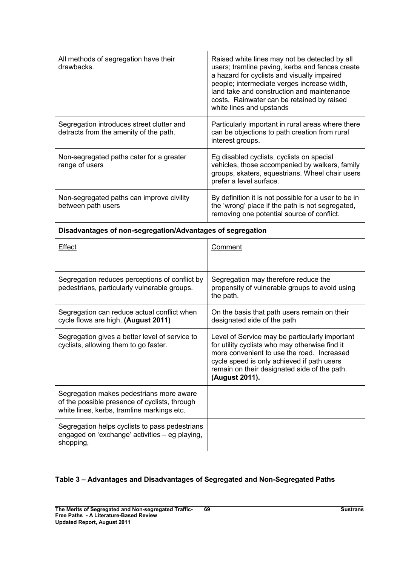| All methods of segregation have their<br>drawbacks.                                                                                     | Raised white lines may not be detected by all<br>users; tramline paving, kerbs and fences create<br>a hazard for cyclists and visually impaired<br>people; intermediate verges increase width,<br>land take and construction and maintenance<br>costs. Rainwater can be retained by raised<br>white lines and upstands |
|-----------------------------------------------------------------------------------------------------------------------------------------|------------------------------------------------------------------------------------------------------------------------------------------------------------------------------------------------------------------------------------------------------------------------------------------------------------------------|
| Segregation introduces street clutter and<br>detracts from the amenity of the path.                                                     | Particularly important in rural areas where there<br>can be objections to path creation from rural<br>interest groups.                                                                                                                                                                                                 |
| Non-segregated paths cater for a greater<br>range of users                                                                              | Eg disabled cyclists, cyclists on special<br>vehicles, those accompanied by walkers, family<br>groups, skaters, equestrians. Wheel chair users<br>prefer a level surface.                                                                                                                                              |
| Non-segregated paths can improve civility<br>between path users                                                                         | By definition it is not possible for a user to be in<br>the 'wrong' place if the path is not segregated,<br>removing one potential source of conflict.                                                                                                                                                                 |
| Disadvantages of non-segregation/Advantages of segregation                                                                              |                                                                                                                                                                                                                                                                                                                        |
| <b>Effect</b>                                                                                                                           | Comment                                                                                                                                                                                                                                                                                                                |
| Segregation reduces perceptions of conflict by<br>pedestrians, particularly vulnerable groups.                                          | Segregation may therefore reduce the<br>propensity of vulnerable groups to avoid using<br>the path.                                                                                                                                                                                                                    |
| Segregation can reduce actual conflict when<br>cycle flows are high. (August 2011)                                                      | On the basis that path users remain on their<br>designated side of the path                                                                                                                                                                                                                                            |
| Segregation gives a better level of service to<br>cyclists, allowing them to go faster.                                                 | Level of Service may be particularly important<br>for utility cyclists who may otherwise find it<br>more convenient to use the road. Increased<br>cycle speed is only achieved if path users<br>remain on their designated side of the path.<br>(August 2011).                                                         |
| Segregation makes pedestrians more aware<br>of the possible presence of cyclists, through<br>white lines, kerbs, tramline markings etc. |                                                                                                                                                                                                                                                                                                                        |
| Segregation helps cyclists to pass pedestrians<br>engaged on 'exchange' activities - eg playing,<br>shopping,                           |                                                                                                                                                                                                                                                                                                                        |

# Table 3 – Advantages and Disadvantages of Segregated and Non-Segregated Paths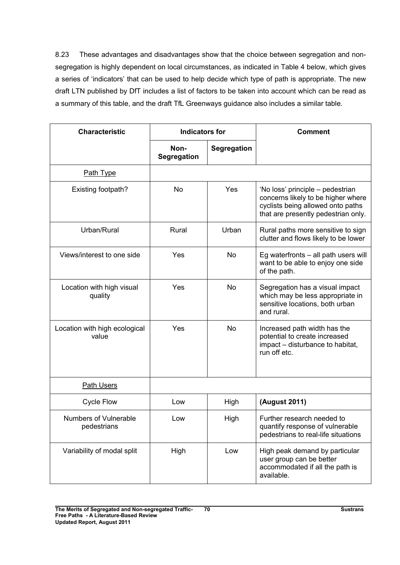8.23 These advantages and disadvantages show that the choice between segregation and nonsegregation is highly dependent on local circumstances, as indicated in Table 4 below, which gives a series of 'indicators' that can be used to help decide which type of path is appropriate. The new draft LTN published by DfT includes a list of factors to be taken into account which can be read as a summary of this table, and the draft TfL Greenways guidance also includes a similar table.

| <b>Characteristic</b>                       | <b>Indicators for</b> |             | <b>Comment</b>                                                                                                                                     |
|---------------------------------------------|-----------------------|-------------|----------------------------------------------------------------------------------------------------------------------------------------------------|
|                                             | Non-<br>Segregation   | Segregation |                                                                                                                                                    |
| Path Type                                   |                       |             |                                                                                                                                                    |
| Existing footpath?                          | <b>No</b>             | Yes         | 'No loss' principle – pedestrian<br>concerns likely to be higher where<br>cyclists being allowed onto paths<br>that are presently pedestrian only. |
| Urban/Rural                                 | Rural                 | Urban       | Rural paths more sensitive to sign<br>clutter and flows likely to be lower                                                                         |
| Views/interest to one side                  | Yes                   | No          | Eg waterfronts $-$ all path users will<br>want to be able to enjoy one side<br>of the path.                                                        |
| Location with high visual<br>quality        | Yes                   | No          | Segregation has a visual impact<br>which may be less appropriate in<br>sensitive locations, both urban<br>and rural.                               |
| Location with high ecological<br>value      | Yes                   | <b>No</b>   | Increased path width has the<br>potential to create increased<br>impact – disturbance to habitat,<br>run off etc.                                  |
| Path Users                                  |                       |             |                                                                                                                                                    |
| <b>Cycle Flow</b>                           | Low                   | High        | (August 2011)                                                                                                                                      |
| <b>Numbers of Vulnerable</b><br>pedestrians | Low                   | High        | Further research needed to<br>quantify response of vulnerable<br>pedestrians to real-life situations                                               |
| Variability of modal split                  | High                  | Low         | High peak demand by particular<br>user group can be better<br>accommodated if all the path is<br>available.                                        |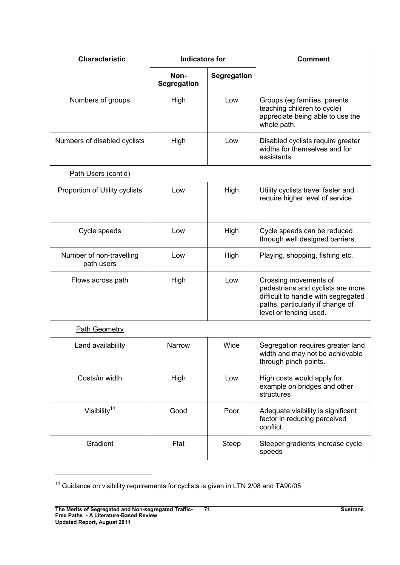| <b>Characteristic</b>                  | <b>Indicators for</b>      |             | <b>Comment</b>                                                                                                                                                  |
|----------------------------------------|----------------------------|-------------|-----------------------------------------------------------------------------------------------------------------------------------------------------------------|
|                                        | Non-<br><b>Segregation</b> | Segregation |                                                                                                                                                                 |
| Numbers of groups                      | High                       | Low         | Groups (eg families, parents<br>teaching children to cycle)<br>appreciate being able to use the<br>whole path.                                                  |
| Numbers of disabled cyclists           | High                       | Low         | Disabled cyclists require greater<br>widths for themselves and for<br>assistants.                                                                               |
| Path Users (cont'd)                    |                            |             |                                                                                                                                                                 |
| Proportion of Utility cyclists         | Low                        | High        | Utility cyclists travel faster and<br>require higher level of service                                                                                           |
| Cycle speeds                           | Low                        | High        | Cycle speeds can be reduced<br>through well designed barriers.                                                                                                  |
| Number of non-travelling<br>path users | Low                        | High        | Playing, shopping, fishing etc.                                                                                                                                 |
| Flows across path                      | High                       | Low         | Crossing movements of<br>pedestrians and cyclists are more<br>difficult to handle with segregated<br>paths, particularly if change of<br>level or fencing used. |
| <b>Path Geometry</b>                   |                            |             |                                                                                                                                                                 |
| Land availability                      | Narrow                     | Wide        | Segregation requires greater land<br>width and may not be achievable<br>through pinch points.                                                                   |
| Costs/m width                          | High                       | Low         | High costs would apply for<br>example on bridges and other<br>structures                                                                                        |
| Visibility <sup>14</sup>               | Good                       | Poor        | Adequate visibility is significant<br>factor in reducing perceived<br>conflict.                                                                                 |
| Gradient                               | Flat                       | Steep       | Steeper gradients increase cycle<br>speeds                                                                                                                      |

 $14$  Guidance on visibility requirements for cyclists is given in LTN 2/08 and TA90/05

 $\overline{a}$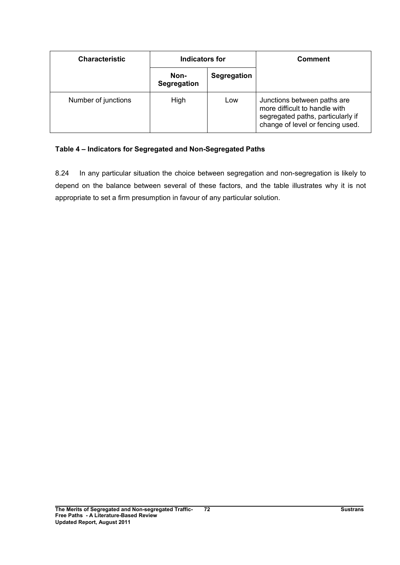| <b>Characteristic</b> | Indicators for      |                    | <b>Comment</b>                                                                                                                        |
|-----------------------|---------------------|--------------------|---------------------------------------------------------------------------------------------------------------------------------------|
|                       | Non-<br>Segregation | <b>Segregation</b> |                                                                                                                                       |
| Number of junctions   | High                | Low                | Junctions between paths are<br>more difficult to handle with<br>segregated paths, particularly if<br>change of level or fencing used. |

### Table 4 – Indicators for Segregated and Non-Segregated Paths

8.24 In any particular situation the choice between segregation and non-segregation is likely to depend on the balance between several of these factors, and the table illustrates why it is not appropriate to set a firm presumption in favour of any particular solution.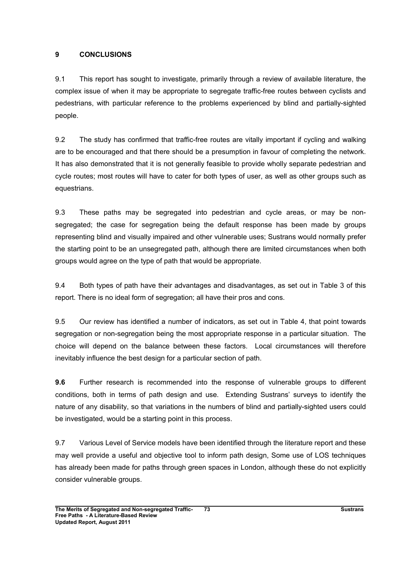### 9 CONCLUSIONS

9.1 This report has sought to investigate, primarily through a review of available literature, the complex issue of when it may be appropriate to segregate traffic-free routes between cyclists and pedestrians, with particular reference to the problems experienced by blind and partially-sighted people.

9.2 The study has confirmed that traffic-free routes are vitally important if cycling and walking are to be encouraged and that there should be a presumption in favour of completing the network. It has also demonstrated that it is not generally feasible to provide wholly separate pedestrian and cycle routes; most routes will have to cater for both types of user, as well as other groups such as equestrians.

9.3 These paths may be segregated into pedestrian and cycle areas, or may be nonsegregated; the case for segregation being the default response has been made by groups representing blind and visually impaired and other vulnerable uses; Sustrans would normally prefer the starting point to be an unsegregated path, although there are limited circumstances when both groups would agree on the type of path that would be appropriate.

9.4 Both types of path have their advantages and disadvantages, as set out in Table 3 of this report. There is no ideal form of segregation; all have their pros and cons.

9.5 Our review has identified a number of indicators, as set out in Table 4, that point towards segregation or non-segregation being the most appropriate response in a particular situation. The choice will depend on the balance between these factors. Local circumstances will therefore inevitably influence the best design for a particular section of path.

9.6 Further research is recommended into the response of vulnerable groups to different conditions, both in terms of path design and use. Extending Sustrans' surveys to identify the nature of any disability, so that variations in the numbers of blind and partially-sighted users could be investigated, would be a starting point in this process.

9.7 Various Level of Service models have been identified through the literature report and these may well provide a useful and objective tool to inform path design, Some use of LOS techniques has already been made for paths through green spaces in London, although these do not explicitly consider vulnerable groups.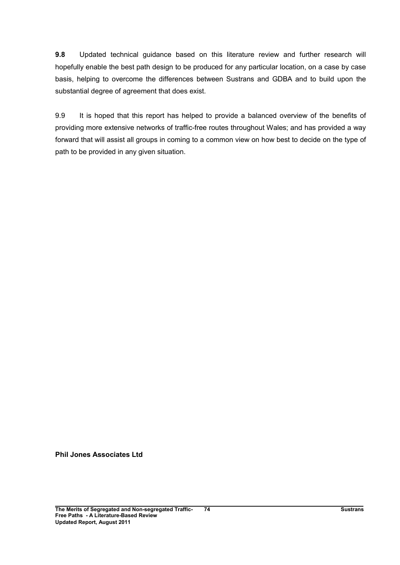9.8 Updated technical guidance based on this literature review and further research will hopefully enable the best path design to be produced for any particular location, on a case by case basis, helping to overcome the differences between Sustrans and GDBA and to build upon the substantial degree of agreement that does exist.

9.9 It is hoped that this report has helped to provide a balanced overview of the benefits of providing more extensive networks of traffic-free routes throughout Wales; and has provided a way forward that will assist all groups in coming to a common view on how best to decide on the type of path to be provided in any given situation.

Phil Jones Associates Ltd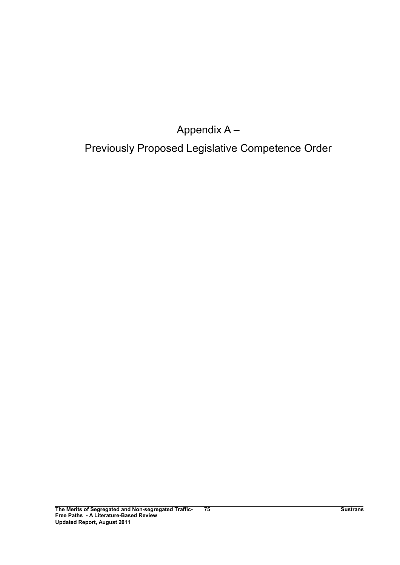Appendix A –

Previously Proposed Legislative Competence Order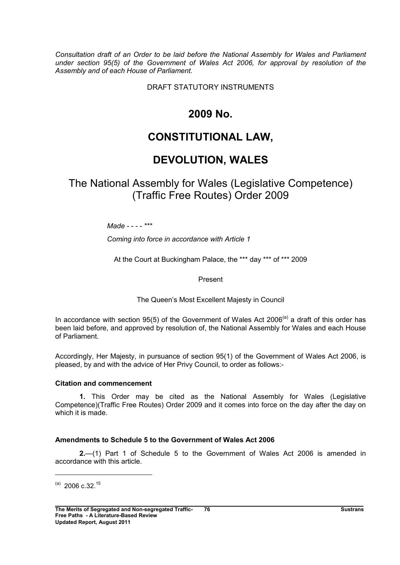Consultation draft of an Order to be laid before the National Assembly for Wales and Parliament under section 95(5) of the Government of Wales Act 2006, for approval by resolution of the Assembly and of each House of Parliament.

DRAFT STATUTORY INSTRUMENTS

# 2009 No.

# CONSTITUTIONAL LAW,

# DEVOLUTION, WALES

# The National Assembly for Wales (Legislative Competence) (Traffic Free Routes) Order 2009

 $M$ ade - - - -  $***$ 

Coming into force in accordance with Article 1

At the Court at Buckingham Palace, the \*\*\* day \*\*\* of \*\*\* 2009

Present

The Queen's Most Excellent Majesty in Council

In accordance with section 95(5) of the Government of Wales Act 2006<sup>(a)</sup> a draft of this order has been laid before, and approved by resolution of, the National Assembly for Wales and each House of Parliament.

Accordingly, Her Majesty, in pursuance of section 95(1) of the Government of Wales Act 2006, is pleased, by and with the advice of Her Privy Council, to order as follows:-

#### Citation and commencement

1. This Order may be cited as the National Assembly for Wales (Legislative Competence)(Traffic Free Routes) Order 2009 and it comes into force on the day after the day on which it is made.

### Amendments to Schedule 5 to the Government of Wales Act 2006

2.—(1) Part 1 of Schedule 5 to the Government of Wales Act 2006 is amended in accordance with this article.

 $^{(a)}$  2006 c.32.<sup>15</sup>

 $\overline{a}$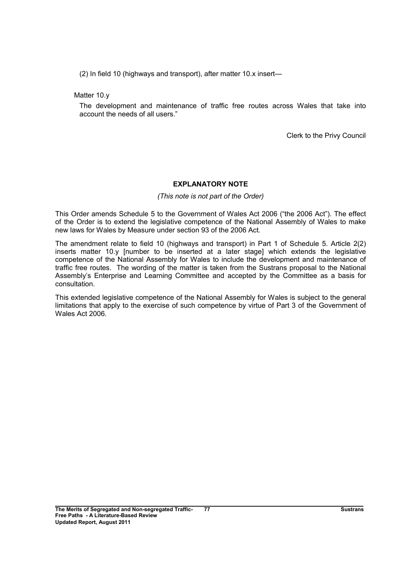(2) In field 10 (highways and transport), after matter 10.x insert—

Matter 10.y

The development and maintenance of traffic free routes across Wales that take into account the needs of all users."

Clerk to the Privy Council

#### EXPLANATORY NOTE

#### (This note is not part of the Order)

This Order amends Schedule 5 to the Government of Wales Act 2006 ("the 2006 Act"). The effect of the Order is to extend the legislative competence of the National Assembly of Wales to make new laws for Wales by Measure under section 93 of the 2006 Act.

The amendment relate to field 10 (highways and transport) in Part 1 of Schedule 5. Article 2(2) inserts matter 10.y [number to be inserted at a later stage] which extends the legislative competence of the National Assembly for Wales to include the development and maintenance of traffic free routes. The wording of the matter is taken from the Sustrans proposal to the National Assembly's Enterprise and Learning Committee and accepted by the Committee as a basis for consultation.

This extended legislative competence of the National Assembly for Wales is subject to the general limitations that apply to the exercise of such competence by virtue of Part 3 of the Government of Wales Act 2006.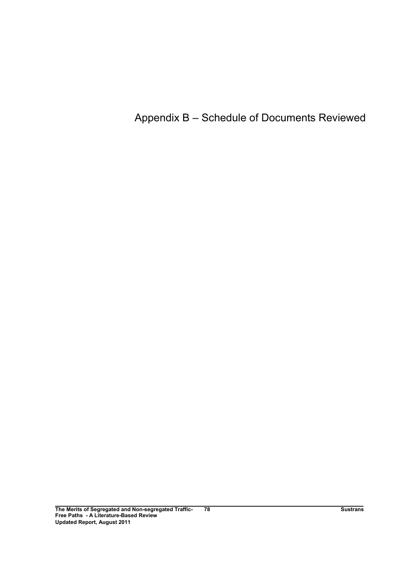# Appendix B – Schedule of Documents Reviewed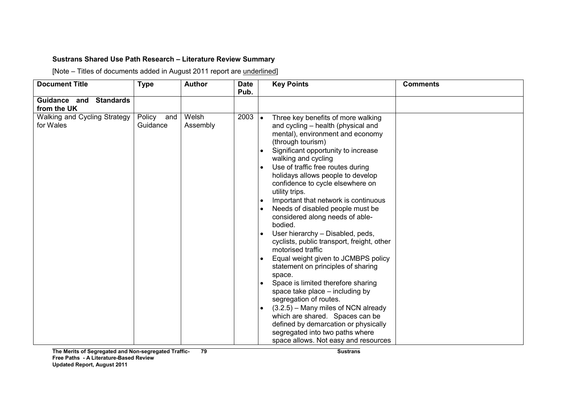### Sustrans Shared Use Path Research – Literature Review Summary

[Note – Titles of documents added in August 2011 report are underlined]

| <b>Author</b>     | <b>Date</b> | <b>Key Points</b>                                                                                                                                                                                                                                                                                                                                                                                                                                                                                                                                                                                                                                                                                                                                                                                                                                                            | <b>Comments</b>                                                                                                                    |
|-------------------|-------------|------------------------------------------------------------------------------------------------------------------------------------------------------------------------------------------------------------------------------------------------------------------------------------------------------------------------------------------------------------------------------------------------------------------------------------------------------------------------------------------------------------------------------------------------------------------------------------------------------------------------------------------------------------------------------------------------------------------------------------------------------------------------------------------------------------------------------------------------------------------------------|------------------------------------------------------------------------------------------------------------------------------------|
|                   |             |                                                                                                                                                                                                                                                                                                                                                                                                                                                                                                                                                                                                                                                                                                                                                                                                                                                                              |                                                                                                                                    |
|                   |             |                                                                                                                                                                                                                                                                                                                                                                                                                                                                                                                                                                                                                                                                                                                                                                                                                                                                              |                                                                                                                                    |
| Welsh<br>Assembly |             | Three key benefits of more walking<br>and cycling - health (physical and<br>mental), environment and economy<br>(through tourism)<br>Significant opportunity to increase<br>walking and cycling<br>Use of traffic free routes during<br>holidays allows people to develop<br>confidence to cycle elsewhere on<br>utility trips.<br>Important that network is continuous<br>Needs of disabled people must be<br>considered along needs of able-<br>bodied.<br>User hierarchy - Disabled, peds,<br>cyclists, public transport, freight, other<br>motorised traffic<br>Equal weight given to JCMBPS policy<br>statement on principles of sharing<br>space.<br>Space is limited therefore sharing<br>space take place – including by<br>segregation of routes.<br>(3.2.5) - Many miles of NCN already<br>which are shared. Spaces can be<br>defined by demarcation or physically |                                                                                                                                    |
|                   |             |                                                                                                                                                                                                                                                                                                                                                                                                                                                                                                                                                                                                                                                                                                                                                                                                                                                                              |                                                                                                                                    |
| Guidance          | and         | Pub.                                                                                                                                                                                                                                                                                                                                                                                                                                                                                                                                                                                                                                                                                                                                                                                                                                                                         | $2003$ $\bullet$<br>$\bullet$<br>$\bullet$<br>$\bullet$<br>segregated into two paths where<br>space allows. Not easy and resources |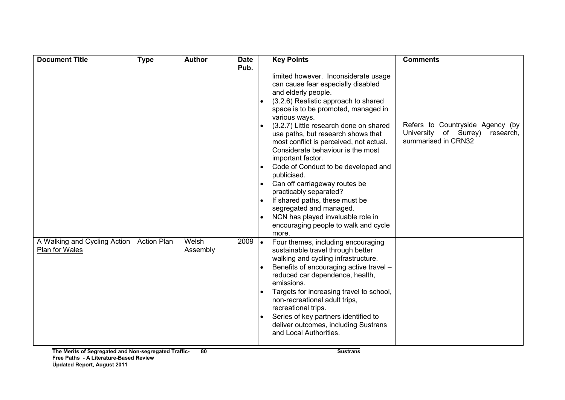| <b>Document Title</b>                          | <b>Type</b>        | <b>Author</b>     | <b>Date</b> |           | <b>Key Points</b>                                                                                                                                                                                                                                                                                                                                                                                                                                                                                                                                                                                                                                          | <b>Comments</b>                                                                               |
|------------------------------------------------|--------------------|-------------------|-------------|-----------|------------------------------------------------------------------------------------------------------------------------------------------------------------------------------------------------------------------------------------------------------------------------------------------------------------------------------------------------------------------------------------------------------------------------------------------------------------------------------------------------------------------------------------------------------------------------------------------------------------------------------------------------------------|-----------------------------------------------------------------------------------------------|
|                                                |                    |                   | Pub.        |           | limited however. Inconsiderate usage<br>can cause fear especially disabled<br>and elderly people.<br>(3.2.6) Realistic approach to shared<br>space is to be promoted, managed in<br>various ways.<br>(3.2.7) Little research done on shared<br>use paths, but research shows that<br>most conflict is perceived, not actual.<br>Considerate behaviour is the most<br>important factor.<br>Code of Conduct to be developed and<br>publicised.<br>Can off carriageway routes be<br>practicably separated?<br>If shared paths, these must be<br>segregated and managed.<br>NCN has played invaluable role in<br>encouraging people to walk and cycle<br>more. | Refers to Countryside Agency (by<br>University of Surrey)<br>research,<br>summarised in CRN32 |
| A Walking and Cycling Action<br>Plan for Wales | <b>Action Plan</b> | Welsh<br>Assembly | 2009        | $\bullet$ | Four themes, including encouraging<br>sustainable travel through better<br>walking and cycling infrastructure.<br>Benefits of encouraging active travel -<br>reduced car dependence, health,<br>emissions.<br>Targets for increasing travel to school,<br>non-recreational adult trips,<br>recreational trips.<br>Series of key partners identified to<br>deliver outcomes, including Sustrans<br>and Local Authorities.                                                                                                                                                                                                                                   |                                                                                               |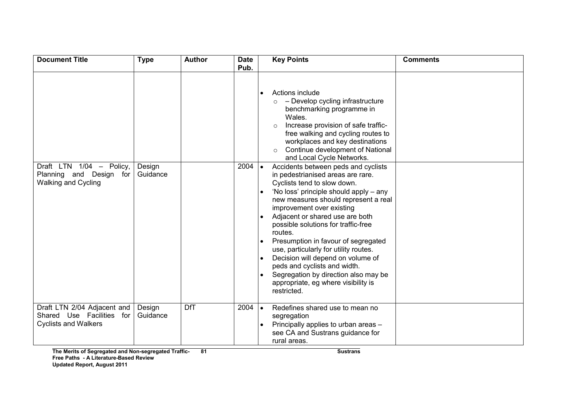| <b>Document Title</b>                                                                   | <b>Type</b>        | <b>Author</b> | <b>Date</b><br>Pub. |                        | <b>Key Points</b>                                                                                                                                                                                                                                                                                                                                                                                                                                                                                                                                              | <b>Comments</b> |
|-----------------------------------------------------------------------------------------|--------------------|---------------|---------------------|------------------------|----------------------------------------------------------------------------------------------------------------------------------------------------------------------------------------------------------------------------------------------------------------------------------------------------------------------------------------------------------------------------------------------------------------------------------------------------------------------------------------------------------------------------------------------------------------|-----------------|
|                                                                                         |                    |               |                     |                        | Actions include<br>- Develop cycling infrastructure<br>$\circ$<br>benchmarking programme in<br>Wales.<br>Increase provision of safe traffic-<br>free walking and cycling routes to<br>workplaces and key destinations<br>Continue development of National<br>$\circ$<br>and Local Cycle Networks.                                                                                                                                                                                                                                                              |                 |
| Draft LTN $1/04 -$<br>Policy,<br>Planning and Design for<br><b>Walking and Cycling</b>  | Design<br>Guidance |               | 2004                | $\bullet$<br>$\bullet$ | Accidents between peds and cyclists<br>in pedestrianised areas are rare.<br>Cyclists tend to slow down.<br>'No loss' principle should apply – any<br>new measures should represent a real<br>improvement over existing<br>Adjacent or shared use are both<br>possible solutions for traffic-free<br>routes.<br>Presumption in favour of segregated<br>use, particularly for utility routes.<br>Decision will depend on volume of<br>peds and cyclists and width.<br>Segregation by direction also may be<br>appropriate, eg where visibility is<br>restricted. |                 |
| Draft LTN 2/04 Adjacent and<br>Shared Use Facilities for<br><b>Cyclists and Walkers</b> | Design<br>Guidance | <b>DfT</b>    | $2004$ $\bullet$    | $\bullet$              | Redefines shared use to mean no<br>segregation<br>Principally applies to urban areas -<br>see CA and Sustrans guidance for<br>rural areas.                                                                                                                                                                                                                                                                                                                                                                                                                     |                 |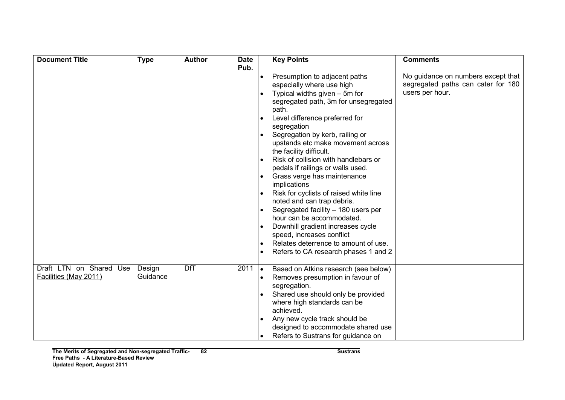| <b>Document Title</b>   | <b>Type</b> | <b>Author</b> | <b>Date</b> |           | <b>Key Points</b>                      | <b>Comments</b>                    |
|-------------------------|-------------|---------------|-------------|-----------|----------------------------------------|------------------------------------|
|                         |             |               | Pub.        |           |                                        |                                    |
|                         |             |               |             |           | Presumption to adjacent paths          | No guidance on numbers except that |
|                         |             |               |             |           | especially where use high              | segregated paths can cater for 180 |
|                         |             |               |             |           | Typical widths given $-5m$ for         | users per hour.                    |
|                         |             |               |             |           | segregated path, 3m for unsegregated   |                                    |
|                         |             |               |             |           | path.                                  |                                    |
|                         |             |               |             |           | Level difference preferred for         |                                    |
|                         |             |               |             |           | segregation                            |                                    |
|                         |             |               |             |           | Segregation by kerb, railing or        |                                    |
|                         |             |               |             |           | upstands etc make movement across      |                                    |
|                         |             |               |             |           | the facility difficult.                |                                    |
|                         |             |               |             |           | Risk of collision with handlebars or   |                                    |
|                         |             |               |             |           | pedals if railings or walls used.      |                                    |
|                         |             |               |             |           | Grass verge has maintenance            |                                    |
|                         |             |               |             |           | implications                           |                                    |
|                         |             |               |             |           | Risk for cyclists of raised white line |                                    |
|                         |             |               |             |           | noted and can trap debris.             |                                    |
|                         |             |               |             |           | Segregated facility - 180 users per    |                                    |
|                         |             |               |             |           | hour can be accommodated.              |                                    |
|                         |             |               |             |           | Downhill gradient increases cycle      |                                    |
|                         |             |               |             |           | speed, increases conflict              |                                    |
|                         |             |               |             |           | Relates deterrence to amount of use.   |                                    |
|                         |             |               |             |           | Refers to CA research phases 1 and 2   |                                    |
|                         |             |               |             |           |                                        |                                    |
| Draft LTN on Shared Use | Design      | <b>DfT</b>    | 2011        | $\bullet$ | Based on Atkins research (see below)   |                                    |
| Facilities (May 2011)   | Guidance    |               |             |           | Removes presumption in favour of       |                                    |
|                         |             |               |             |           | segregation.                           |                                    |
|                         |             |               |             |           | Shared use should only be provided     |                                    |
|                         |             |               |             |           | where high standards can be            |                                    |
|                         |             |               |             |           | achieved.                              |                                    |
|                         |             |               |             |           | Any new cycle track should be          |                                    |
|                         |             |               |             |           | designed to accommodate shared use     |                                    |
|                         |             |               |             |           | Refers to Sustrans for guidance on     |                                    |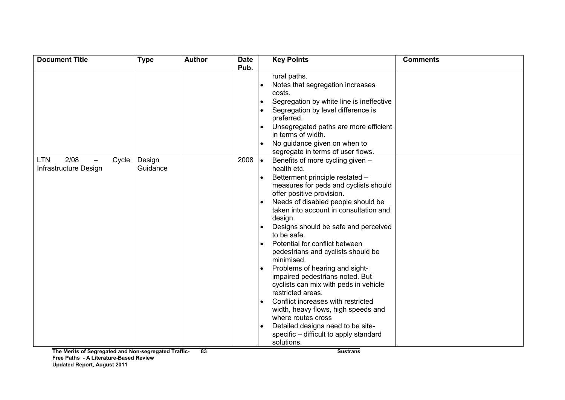| <b>Document Title</b>                   | <b>Type</b>   | <b>Author</b> | <b>Date</b> |           | <b>Key Points</b>                                           | <b>Comments</b> |
|-----------------------------------------|---------------|---------------|-------------|-----------|-------------------------------------------------------------|-----------------|
|                                         |               |               | Pub.        |           |                                                             |                 |
|                                         |               |               |             |           | rural paths.                                                |                 |
|                                         |               |               |             |           | Notes that segregation increases                            |                 |
|                                         |               |               |             |           | costs.                                                      |                 |
|                                         |               |               |             | $\bullet$ | Segregation by white line is ineffective                    |                 |
|                                         |               |               |             |           | Segregation by level difference is                          |                 |
|                                         |               |               |             |           | preferred.                                                  |                 |
|                                         |               |               |             |           | Unsegregated paths are more efficient<br>in terms of width. |                 |
|                                         |               |               |             |           | No guidance given on when to                                |                 |
|                                         |               |               |             |           | segregate in terms of user flows.                           |                 |
| 2/08<br><b>LTN</b><br>Cycle             | Design        |               | 2008        | $\bullet$ | Benefits of more cycling given -                            |                 |
| Infrastructure Design                   | Guidance      |               |             |           | health etc.                                                 |                 |
|                                         |               |               |             |           | Betterment principle restated -                             |                 |
|                                         |               |               |             |           | measures for peds and cyclists should                       |                 |
|                                         |               |               |             |           | offer positive provision.                                   |                 |
|                                         |               |               |             |           | Needs of disabled people should be                          |                 |
|                                         |               |               |             |           | taken into account in consultation and                      |                 |
|                                         |               |               |             |           | design.                                                     |                 |
|                                         |               |               |             | $\bullet$ | Designs should be safe and perceived                        |                 |
|                                         |               |               |             |           | to be safe.                                                 |                 |
|                                         |               |               |             |           | Potential for conflict between                              |                 |
|                                         |               |               |             |           | pedestrians and cyclists should be                          |                 |
|                                         |               |               |             |           | minimised.                                                  |                 |
|                                         |               |               |             |           | Problems of hearing and sight-                              |                 |
|                                         |               |               |             |           | impaired pedestrians noted. But                             |                 |
|                                         |               |               |             |           | cyclists can mix with peds in vehicle<br>restricted areas.  |                 |
|                                         |               |               |             |           | Conflict increases with restricted                          |                 |
|                                         |               |               |             |           | width, heavy flows, high speeds and                         |                 |
|                                         |               |               |             |           | where routes cross                                          |                 |
|                                         |               |               |             |           | Detailed designs need to be site-                           |                 |
|                                         |               |               |             |           | specific – difficult to apply standard                      |                 |
|                                         |               |               |             |           | solutions.                                                  |                 |
| The Merits of Convented and Nep conveni | ataal Tuaffis | <b>OO</b>     |             |           | 0.104                                                       |                 |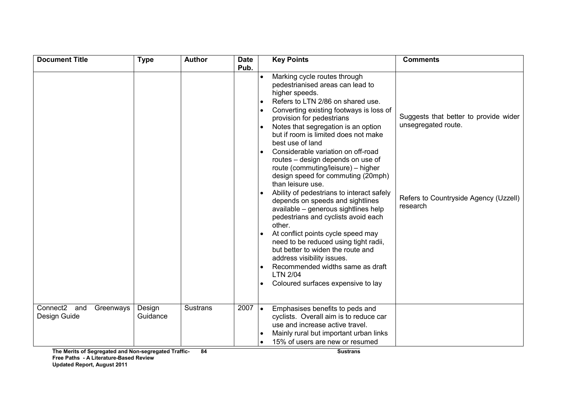| <b>Document Title</b>                    |           | <b>Type</b>        | <b>Author</b>   | <b>Date</b><br>Pub. |           | <b>Key Points</b>                                                                                                                                                                                                                                                                                                                                                                                                                                                                                                                                                                                                                                                                                                                                                                                                                                                                                       | <b>Comments</b>                                                                                                   |
|------------------------------------------|-----------|--------------------|-----------------|---------------------|-----------|---------------------------------------------------------------------------------------------------------------------------------------------------------------------------------------------------------------------------------------------------------------------------------------------------------------------------------------------------------------------------------------------------------------------------------------------------------------------------------------------------------------------------------------------------------------------------------------------------------------------------------------------------------------------------------------------------------------------------------------------------------------------------------------------------------------------------------------------------------------------------------------------------------|-------------------------------------------------------------------------------------------------------------------|
|                                          |           |                    |                 |                     | $\bullet$ | Marking cycle routes through<br>pedestrianised areas can lead to<br>higher speeds.<br>Refers to LTN 2/86 on shared use.<br>Converting existing footways is loss of<br>provision for pedestrians<br>Notes that segregation is an option<br>but if room is limited does not make<br>best use of land<br>Considerable variation on off-road<br>routes - design depends on use of<br>route (commuting/leisure) - higher<br>design speed for commuting (20mph)<br>than leisure use.<br>Ability of pedestrians to interact safely<br>depends on speeds and sightlines<br>available - generous sightlines help<br>pedestrians and cyclists avoid each<br>other.<br>At conflict points cycle speed may<br>need to be reduced using tight radii,<br>but better to widen the route and<br>address visibility issues.<br>Recommended widths same as draft<br><b>LTN 2/04</b><br>Coloured surfaces expensive to lay | Suggests that better to provide wider<br>unsegregated route.<br>Refers to Countryside Agency (Uzzell)<br>research |
| Connect <sub>2</sub> and<br>Design Guide | Greenways | Design<br>Guidance | <b>Sustrans</b> | $2007$ $\bullet$    |           | Emphasises benefits to peds and<br>cyclists. Overall aim is to reduce car<br>use and increase active travel.<br>Mainly rural but important urban links<br>15% of users are new or resumed                                                                                                                                                                                                                                                                                                                                                                                                                                                                                                                                                                                                                                                                                                               |                                                                                                                   |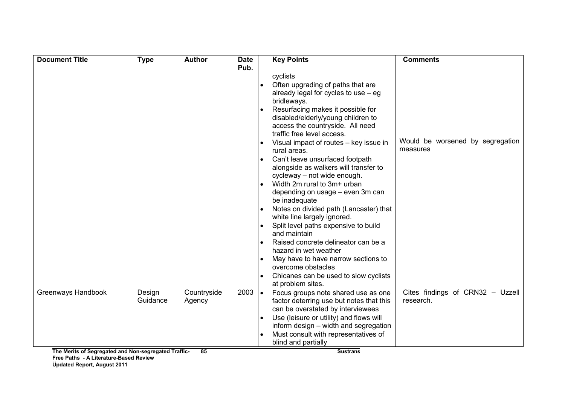| <b>Document Title</b> | <b>Type</b>        | <b>Author</b>         | <b>Date</b> |                                                  | <b>Key Points</b>                                                                                                                                                                                                                                                                                                                                                                                                                                                                                                                                                                                                                                                                                             | <b>Comments</b>                               |
|-----------------------|--------------------|-----------------------|-------------|--------------------------------------------------|---------------------------------------------------------------------------------------------------------------------------------------------------------------------------------------------------------------------------------------------------------------------------------------------------------------------------------------------------------------------------------------------------------------------------------------------------------------------------------------------------------------------------------------------------------------------------------------------------------------------------------------------------------------------------------------------------------------|-----------------------------------------------|
|                       |                    |                       | Pub.        | $\bullet$<br>$\bullet$<br>$\bullet$<br>$\bullet$ | cyclists<br>Often upgrading of paths that are<br>already legal for cycles to use $-$ eg<br>bridleways.<br>Resurfacing makes it possible for<br>disabled/elderly/young children to<br>access the countryside. All need<br>traffic free level access.<br>Visual impact of routes - key issue in<br>rural areas.<br>Can't leave unsurfaced footpath<br>alongside as walkers will transfer to<br>cycleway - not wide enough.<br>Width 2m rural to 3m+ urban<br>depending on usage - even 3m can<br>be inadequate<br>Notes on divided path (Lancaster) that<br>white line largely ignored.<br>Split level paths expensive to build<br>and maintain<br>Raised concrete delineator can be a<br>hazard in wet weather | Would be worsened by segregation<br>measures  |
|                       |                    |                       |             |                                                  | May have to have narrow sections to<br>overcome obstacles<br>Chicanes can be used to slow cyclists<br>at problem sites.                                                                                                                                                                                                                                                                                                                                                                                                                                                                                                                                                                                       |                                               |
| Greenways Handbook    | Design<br>Guidance | Countryside<br>Agency | 2003        | $\bullet$                                        | Focus groups note shared use as one<br>factor deterring use but notes that this<br>can be overstated by interviewees<br>Use (leisure or utility) and flows will<br>inform design - width and segregation                                                                                                                                                                                                                                                                                                                                                                                                                                                                                                      | Cites findings of CRN32 - Uzzell<br>research. |
|                       |                    |                       |             |                                                  | Must consult with representatives of<br>blind and partially                                                                                                                                                                                                                                                                                                                                                                                                                                                                                                                                                                                                                                                   |                                               |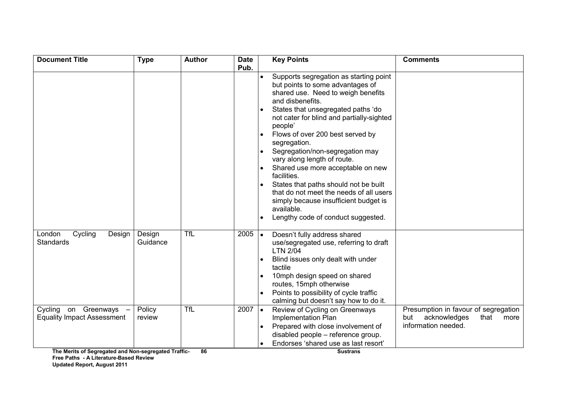| <b>Document Title</b>                                       | <b>Type</b>        | <b>Author</b> | <b>Date</b><br>Pub. |           | <b>Key Points</b>                                                                                                                                                                                                                                                                                                                                                                                                                                                                                                                                                                             | <b>Comments</b>                                                                                    |
|-------------------------------------------------------------|--------------------|---------------|---------------------|-----------|-----------------------------------------------------------------------------------------------------------------------------------------------------------------------------------------------------------------------------------------------------------------------------------------------------------------------------------------------------------------------------------------------------------------------------------------------------------------------------------------------------------------------------------------------------------------------------------------------|----------------------------------------------------------------------------------------------------|
|                                                             |                    |               |                     |           | Supports segregation as starting point<br>but points to some advantages of<br>shared use. Need to weigh benefits<br>and disbenefits.<br>States that unsegregated paths 'do<br>not cater for blind and partially-sighted<br>people'<br>Flows of over 200 best served by<br>segregation.<br>Segregation/non-segregation may<br>vary along length of route.<br>Shared use more acceptable on new<br>facilities.<br>States that paths should not be built<br>that do not meet the needs of all users<br>simply because insufficient budget is<br>available.<br>Lengthy code of conduct suggested. |                                                                                                    |
| Cycling<br>London<br>Design<br><b>Standards</b>             | Design<br>Guidance | <b>TfL</b>    | $2005$ $\bullet$    |           | Doesn't fully address shared<br>use/segregated use, referring to draft<br><b>LTN 2/04</b><br>Blind issues only dealt with under<br>tactile<br>10mph design speed on shared<br>routes, 15mph otherwise<br>Points to possibility of cycle traffic<br>calming but doesn't say how to do it.                                                                                                                                                                                                                                                                                                      |                                                                                                    |
| Cycling on Greenways -<br><b>Equality Impact Assessment</b> | Policy<br>review   | <b>TfL</b>    | 2007                | $\bullet$ | Review of Cycling on Greenways<br>Implementation Plan<br>Prepared with close involvement of<br>disabled people - reference group.<br>Endorses 'shared use as last resort'                                                                                                                                                                                                                                                                                                                                                                                                                     | Presumption in favour of segregation<br>but<br>acknowledges<br>that<br>more<br>information needed. |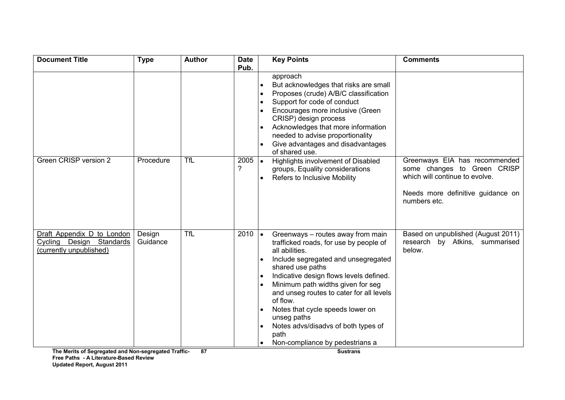| <b>Document Title</b>                                | <b>Type</b> | <b>Author</b> | <b>Date</b>      | <b>Key Points</b>                                         | <b>Comments</b>                    |
|------------------------------------------------------|-------------|---------------|------------------|-----------------------------------------------------------|------------------------------------|
|                                                      |             |               | Pub.             |                                                           |                                    |
|                                                      |             |               |                  | approach                                                  |                                    |
|                                                      |             |               |                  | But acknowledges that risks are small                     |                                    |
|                                                      |             |               |                  | Proposes (crude) A/B/C classification                     |                                    |
|                                                      |             |               |                  | Support for code of conduct                               |                                    |
|                                                      |             |               |                  | Encourages more inclusive (Green<br>CRISP) design process |                                    |
|                                                      |             |               |                  | Acknowledges that more information                        |                                    |
|                                                      |             |               |                  | needed to advise proportionality                          |                                    |
|                                                      |             |               |                  | Give advantages and disadvantages                         |                                    |
|                                                      |             |               |                  | of shared use.                                            |                                    |
| Green CRISP version 2                                | Procedure   | <b>TfL</b>    | $2005$ $\bullet$ | Highlights involvement of Disabled                        | Greenways EIA has recommended      |
|                                                      |             |               | ?                | groups, Equality considerations                           | some changes to Green CRISP        |
|                                                      |             |               |                  | <b>Refers to Inclusive Mobility</b>                       | which will continue to evolve.     |
|                                                      |             |               |                  |                                                           |                                    |
|                                                      |             |               |                  |                                                           | Needs more definitive guidance on  |
|                                                      |             |               |                  |                                                           | numbers etc.                       |
|                                                      |             |               |                  |                                                           |                                    |
|                                                      |             |               |                  |                                                           |                                    |
| Draft Appendix D to London                           | Design      | <b>TfL</b>    | $2010$ $\bullet$ | Greenways - routes away from main                         | Based on unpublished (August 2011) |
| Cycling Design Standards                             | Guidance    |               |                  | trafficked roads, for use by people of                    | research by Atkins, summarised     |
| (currently unpublished)                              |             |               |                  | all abilities.                                            | below.                             |
|                                                      |             |               |                  | Include segregated and unsegregated                       |                                    |
|                                                      |             |               |                  | shared use paths                                          |                                    |
|                                                      |             |               |                  | Indicative design flows levels defined.                   |                                    |
|                                                      |             |               |                  | Minimum path widths given for seg                         |                                    |
|                                                      |             |               |                  | and unseg routes to cater for all levels                  |                                    |
|                                                      |             |               |                  | of flow.                                                  |                                    |
|                                                      |             |               |                  | Notes that cycle speeds lower on                          |                                    |
|                                                      |             |               |                  | unseg paths                                               |                                    |
|                                                      |             |               |                  | Notes advs/disadvs of both types of                       |                                    |
|                                                      |             |               |                  | path                                                      |                                    |
|                                                      |             |               |                  | Non-compliance by pedestrians a                           |                                    |
| The Merits of Segregated and Non-segregated Traffic- |             | 87            |                  | <b>Sustrans</b>                                           |                                    |

The Merits of Segregated and Non-segregated Traffic-Free Paths - A Literature-Based Review Up Updated Report, August 2011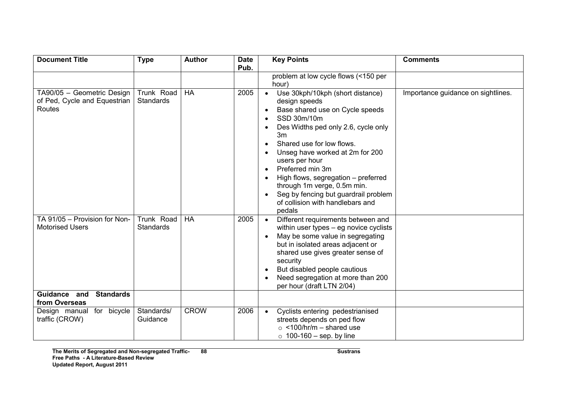| <b>Document Title</b>                                                       | <b>Type</b>                    | <b>Author</b> | <b>Date</b> | <b>Key Points</b>                                                                                                                                                                                                                                                                                                                                                                                                                            | <b>Comments</b>                    |
|-----------------------------------------------------------------------------|--------------------------------|---------------|-------------|----------------------------------------------------------------------------------------------------------------------------------------------------------------------------------------------------------------------------------------------------------------------------------------------------------------------------------------------------------------------------------------------------------------------------------------------|------------------------------------|
|                                                                             |                                |               | Pub.        | problem at low cycle flows (<150 per<br>hour)                                                                                                                                                                                                                                                                                                                                                                                                |                                    |
| TA90/05 - Geometric Design<br>of Ped, Cycle and Equestrian<br><b>Routes</b> | Trunk Road<br><b>Standards</b> | $H$ A         | 2005        | Use 30kph/10kph (short distance)<br>design speeds<br>Base shared use on Cycle speeds<br>$\bullet$<br>SSD 30m/10m<br>Des Widths ped only 2.6, cycle only<br>3m<br>Shared use for low flows.<br>Unseg have worked at 2m for 200<br>users per hour<br>Preferred min 3m<br>$\bullet$<br>High flows, segregation - preferred<br>through 1m verge, 0.5m min.<br>Seg by fencing but guardrail problem<br>of collision with handlebars and<br>pedals | Importance guidance on sightlines. |
| TA 91/05 - Provision for Non-<br><b>Motorised Users</b>                     | Trunk Road<br><b>Standards</b> | HA            | 2005        | Different requirements between and<br>within user types - eg novice cyclists<br>May be some value in segregating<br>but in isolated areas adjacent or<br>shared use gives greater sense of<br>security<br>But disabled people cautious<br>Need segregation at more than 200<br>per hour (draft LTN 2/04)                                                                                                                                     |                                    |
| Guidance and<br><b>Standards</b><br>from Overseas                           |                                |               |             |                                                                                                                                                                                                                                                                                                                                                                                                                                              |                                    |
| Design manual for bicycle<br>traffic (CROW)                                 | Standards/<br>Guidance         | <b>CROW</b>   | 2006        | Cyclists entering pedestrianised<br>streets depends on ped flow<br>$\circ$ <100/hr/m – shared use<br>$\circ$ 100-160 – sep. by line                                                                                                                                                                                                                                                                                                          |                                    |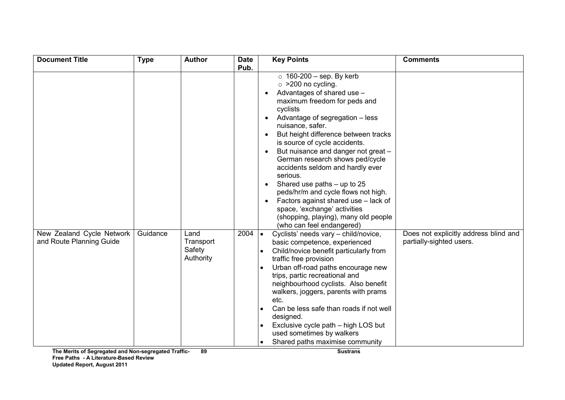| <b>Document Title</b>                                 | <b>Type</b> | <b>Author</b>                            | <b>Date</b> | <b>Key Points</b>                                                                                                                                                                                                                                                                                                                                                                                                                                                                                                                                                                                                              | <b>Comments</b>                                                   |
|-------------------------------------------------------|-------------|------------------------------------------|-------------|--------------------------------------------------------------------------------------------------------------------------------------------------------------------------------------------------------------------------------------------------------------------------------------------------------------------------------------------------------------------------------------------------------------------------------------------------------------------------------------------------------------------------------------------------------------------------------------------------------------------------------|-------------------------------------------------------------------|
|                                                       |             |                                          | Pub.        | $\circ$ 160-200 - sep. By kerb<br>$\circ$ >200 no cycling.<br>Advantages of shared use -<br>maximum freedom for peds and<br>cyclists<br>Advantage of segregation - less<br>nuisance, safer.<br>But height difference between tracks<br>is source of cycle accidents.<br>But nuisance and danger not great -<br>$\bullet$<br>German research shows ped/cycle<br>accidents seldom and hardly ever<br>serious.<br>Shared use paths - up to 25<br>peds/hr/m and cycle flows not high.<br>Factors against shared use - lack of<br>space, 'exchange' activities<br>(shopping, playing), many old people<br>(who can feel endangered) |                                                                   |
| New Zealand Cycle Network<br>and Route Planning Guide | Guidance    | Land<br>Transport<br>Safety<br>Authority | 2004        | Cyclists' needs vary - child/novice,<br>$\bullet$<br>basic competence, experienced<br>Child/novice benefit particularly from<br>traffic free provision<br>Urban off-road paths encourage new<br>trips, partic recreational and<br>neighbourhood cyclists. Also benefit<br>walkers, joggers, parents with prams<br>etc.<br>Can be less safe than roads if not well<br>designed.<br>Exclusive cycle path - high LOS but<br>used sometimes by walkers<br>Shared paths maximise community<br>$\bullet$                                                                                                                             | Does not explicitly address blind and<br>partially-sighted users. |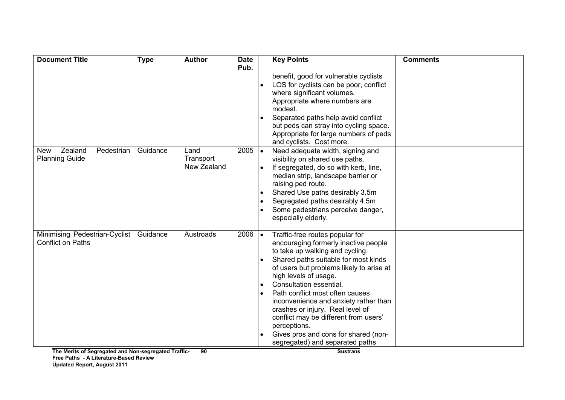| <b>Document Title</b>                                        | <b>Type</b> | <b>Author</b>                    | <b>Date</b> |           | <b>Key Points</b>                                                                                                                                                                                                                                                                                                                                                                                                                                                                                      | <b>Comments</b> |
|--------------------------------------------------------------|-------------|----------------------------------|-------------|-----------|--------------------------------------------------------------------------------------------------------------------------------------------------------------------------------------------------------------------------------------------------------------------------------------------------------------------------------------------------------------------------------------------------------------------------------------------------------------------------------------------------------|-----------------|
|                                                              |             |                                  | Pub.        |           | benefit, good for vulnerable cyclists<br>LOS for cyclists can be poor, conflict<br>where significant volumes.<br>Appropriate where numbers are<br>modest.<br>Separated paths help avoid conflict<br>but peds can stray into cycling space.<br>Appropriate for large numbers of peds<br>and cyclists. Cost more.                                                                                                                                                                                        |                 |
| Zealand<br>Pedestrian<br><b>New</b><br><b>Planning Guide</b> | Guidance    | Land<br>Transport<br>New Zealand | 2005        | $\bullet$ | Need adequate width, signing and<br>visibility on shared use paths.<br>If segregated, do so with kerb, line,<br>median strip, landscape barrier or<br>raising ped route.<br>Shared Use paths desirably 3.5m<br>Segregated paths desirably 4.5m<br>Some pedestrians perceive danger,<br>especially elderly.                                                                                                                                                                                             |                 |
| Minimising Pedestrian-Cyclist<br><b>Conflict on Paths</b>    | Guidance    | Austroads                        | 2006        | $\bullet$ | Traffic-free routes popular for<br>encouraging formerly inactive people<br>to take up walking and cycling.<br>Shared paths suitable for most kinds<br>of users but problems likely to arise at<br>high levels of usage.<br>Consultation essential.<br>Path conflict most often causes<br>inconvenience and anxiety rather than<br>crashes or injury. Real level of<br>conflict may be different from users'<br>perceptions.<br>Gives pros and cons for shared (non-<br>segregated) and separated paths |                 |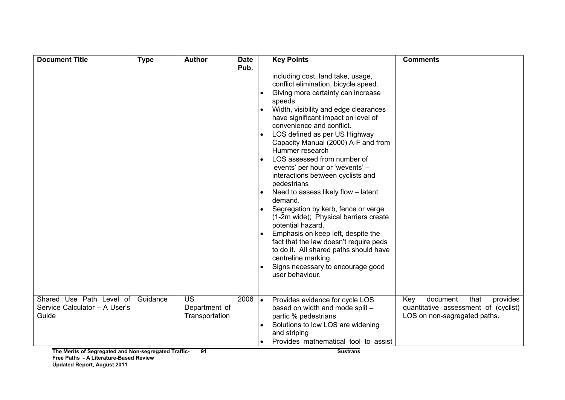| <b>Document Title</b>                                              | <b>Type</b> | <b>Author</b>                                | <b>Date</b><br>Pub. | <b>Key Points</b>                                                                                                                                                                                                                                                                                                                                                                                                                                                                                                                                                                                                                                                                                                                                                                                                         | <b>Comments</b>                                                                                             |
|--------------------------------------------------------------------|-------------|----------------------------------------------|---------------------|---------------------------------------------------------------------------------------------------------------------------------------------------------------------------------------------------------------------------------------------------------------------------------------------------------------------------------------------------------------------------------------------------------------------------------------------------------------------------------------------------------------------------------------------------------------------------------------------------------------------------------------------------------------------------------------------------------------------------------------------------------------------------------------------------------------------------|-------------------------------------------------------------------------------------------------------------|
|                                                                    |             |                                              |                     | including cost, land take, usage,<br>conflict elimination, bicycle speed.<br>Giving more certainty can increase<br>speeds.<br>Width, visibility and edge clearances<br>have significant impact on level of<br>convenience and conflict.<br>LOS defined as per US Highway<br>Capacity Manual (2000) A-F and from<br>Hummer research<br>LOS assessed from number of<br>'events' per hour or 'wevents' -<br>interactions between cyclists and<br>pedestrians<br>Need to assess likely flow - latent<br>demand.<br>Segregation by kerb, fence or verge<br>(1-2m wide); Physical barriers create<br>potential hazard.<br>Emphasis on keep left, despite the<br>fact that the law doesn't require peds<br>to do it. All shared paths should have<br>centreline marking.<br>Signs necessary to encourage good<br>user behaviour. |                                                                                                             |
| Shared Use Path Level of<br>Service Calculator - A User's<br>Guide | Guidance    | <b>US</b><br>Department of<br>Transportation | $2006$ $\bullet$    | Provides evidence for cycle LOS<br>based on width and mode split -<br>partic % pedestrians<br>Solutions to low LOS are widening<br>and striping<br>Provides mathematical tool to assist                                                                                                                                                                                                                                                                                                                                                                                                                                                                                                                                                                                                                                   | document<br>that<br>provides<br>Key<br>quantitative assessment of (cyclist)<br>LOS on non-segregated paths. |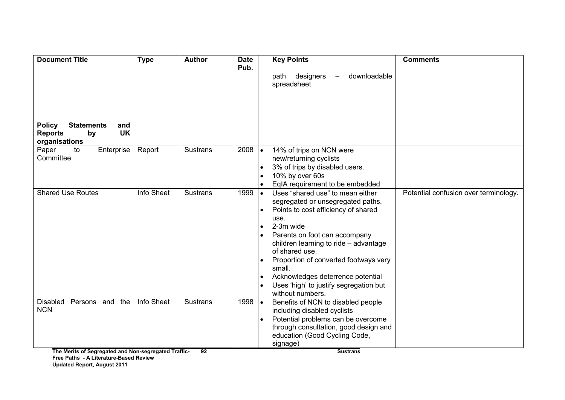| <b>Document Title</b>                                                                           | <b>Type</b>                             | <b>Author</b>   | <b>Date</b><br>Pub. | <b>Key Points</b>                                                                                                                                                                                                                                                                                                                                                                                             | <b>Comments</b>                       |
|-------------------------------------------------------------------------------------------------|-----------------------------------------|-----------------|---------------------|---------------------------------------------------------------------------------------------------------------------------------------------------------------------------------------------------------------------------------------------------------------------------------------------------------------------------------------------------------------------------------------------------------------|---------------------------------------|
|                                                                                                 |                                         |                 |                     | downloadable<br>path designers<br>$\frac{1}{2}$<br>spreadsheet                                                                                                                                                                                                                                                                                                                                                |                                       |
| <b>Policy</b><br><b>Statements</b><br>and<br><b>UK</b><br><b>Reports</b><br>by<br>organisations |                                         |                 |                     |                                                                                                                                                                                                                                                                                                                                                                                                               |                                       |
| Enterprise<br>Paper<br>to<br>Committee                                                          | Report                                  | Sustrans        | 2008                | 14% of trips on NCN were<br>$\bullet$<br>new/returning cyclists<br>3% of trips by disabled users.<br>10% by over 60s<br>EqIA requirement to be embedded                                                                                                                                                                                                                                                       |                                       |
| <b>Shared Use Routes</b>                                                                        | <b>Info Sheet</b>                       | <b>Sustrans</b> | 1999                | Uses "shared use" to mean either<br>$\bullet$<br>segregated or unsegregated paths.<br>Points to cost efficiency of shared<br>use.<br>2-3m wide<br>$\bullet$<br>Parents on foot can accompany<br>children learning to ride - advantage<br>of shared use.<br>Proportion of converted footways very<br>small.<br>Acknowledges deterrence potential<br>Uses 'high' to justify segregation but<br>without numbers. | Potential confusion over terminology. |
| Disabled<br>Persons and<br>the<br><b>NCN</b><br>$T_{\rm tot}$ . Mostless of $\Omega$ .          | Info Sheet<br>$\mathbf{r} = \mathbf{r}$ | <b>Sustrans</b> | 1998                | Benefits of NCN to disabled people<br>$\bullet$<br>including disabled cyclists<br>Potential problems can be overcome<br>through consultation, good design and<br>education (Good Cycling Code,<br>signage)                                                                                                                                                                                                    |                                       |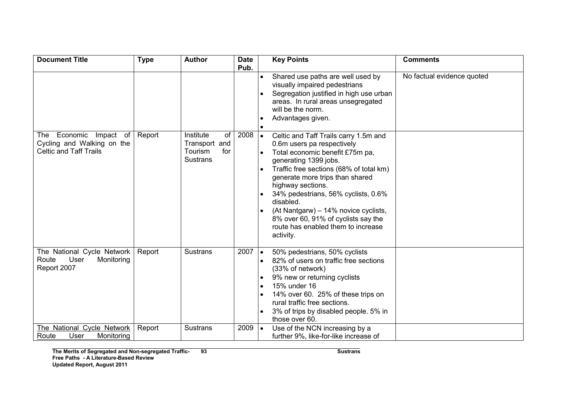| <b>Document Title</b>                                                                    | <b>Type</b> | <b>Author</b>                                                         | <b>Date</b>      |           | <b>Key Points</b>                                                                                                                                                                                                                                                                                                                                                                                                        | <b>Comments</b>            |
|------------------------------------------------------------------------------------------|-------------|-----------------------------------------------------------------------|------------------|-----------|--------------------------------------------------------------------------------------------------------------------------------------------------------------------------------------------------------------------------------------------------------------------------------------------------------------------------------------------------------------------------------------------------------------------------|----------------------------|
|                                                                                          |             |                                                                       | Pub.             |           | Shared use paths are well used by<br>visually impaired pedestrians<br>Segregation justified in high use urban<br>areas. In rural areas unsegregated<br>will be the norm.<br>Advantages given.                                                                                                                                                                                                                            | No factual evidence quoted |
| Economic Impact of<br>The<br>Cycling and Walking on the<br><b>Celtic and Taff Trails</b> | Report      | Institute<br>of<br>Transport and<br>Tourism<br>for<br><b>Sustrans</b> | 2008             | $\bullet$ | Celtic and Taff Trails carry 1.5m and<br>0.6m users pa respectively<br>Total economic benefit £75m pa,<br>generating 1399 jobs.<br>Traffic free sections (68% of total km)<br>generate more trips than shared<br>highway sections.<br>34% pedestrians, 56% cyclists, 0.6%<br>disabled.<br>(At Nantgarw) - 14% novice cyclists,<br>8% over 60, 91% of cyclists say the<br>route has enabled them to increase<br>activity. |                            |
| The National Cycle Network<br>Route<br>User<br>Monitoring<br>Report 2007                 | Report      | <b>Sustrans</b>                                                       | $2007$ $\bullet$ | $\bullet$ | 50% pedestrians, 50% cyclists<br>82% of users on traffic free sections<br>(33% of network)<br>9% new or returning cyclists<br>15% under 16<br>14% over 60. 25% of these trips on<br>rural traffic free sections.<br>3% of trips by disabled people. 5% in<br>those over 60.                                                                                                                                              |                            |
| The National Cycle Network<br>Monitoring<br>Route<br>User                                | Report      | <b>Sustrans</b>                                                       | 2009             | $\bullet$ | Use of the NCN increasing by a<br>further 9%, like-for-like increase of                                                                                                                                                                                                                                                                                                                                                  |                            |

example and the sustrans of the Sustrans of the Sustrans of the Sustrans of the Sustrans of the Sustrans of the Sustrans of the Sustrans of the Sustrans of the Sustrans of the Sustrance of the Sustrance of the Sustrance of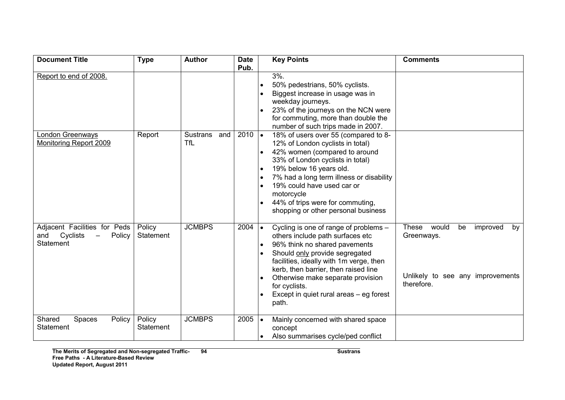| <b>Document Title</b>                                                                                     | <b>Type</b>                | <b>Author</b>          | <b>Date</b>      |                        | <b>Key Points</b>                                                                                                                                                                                                                                                                                                                         | <b>Comments</b>                                                                                        |
|-----------------------------------------------------------------------------------------------------------|----------------------------|------------------------|------------------|------------------------|-------------------------------------------------------------------------------------------------------------------------------------------------------------------------------------------------------------------------------------------------------------------------------------------------------------------------------------------|--------------------------------------------------------------------------------------------------------|
| Report to end of 2008.                                                                                    |                            |                        | Pub.             | $\bullet$              | $3%$ .<br>50% pedestrians, 50% cyclists.<br>Biggest increase in usage was in<br>weekday journeys.<br>23% of the journeys on the NCN were                                                                                                                                                                                                  |                                                                                                        |
| London Greenways                                                                                          | Report                     | <b>Sustrans</b><br>and | $2010$ $\bullet$ |                        | for commuting, more than double the<br>number of such trips made in 2007.<br>18% of users over 55 (compared to 8-                                                                                                                                                                                                                         |                                                                                                        |
| <b>Monitoring Report 2009</b>                                                                             |                            | <b>TfL</b>             |                  | $\bullet$              | 12% of London cyclists in total)<br>42% women (compared to around<br>33% of London cyclists in total)<br>19% below 16 years old.<br>7% had a long term illness or disability<br>19% could have used car or<br>motorcycle<br>44% of trips were for commuting,<br>shopping or other personal business                                       |                                                                                                        |
| Adjacent Facilities for Peds<br>Cyclists<br>and<br>Policy<br>$\overline{\phantom{m}}$<br><b>Statement</b> | Policy<br>Statement        | <b>JCMBPS</b>          | 2004             | $\bullet$<br>$\bullet$ | Cycling is one of range of problems -<br>others include path surfaces etc<br>96% think no shared pavements<br>Should only provide segregated<br>facilities, ideally with 1m verge, then<br>kerb, then barrier, then raised line<br>Otherwise make separate provision<br>for cyclists.<br>Except in quiet rural areas – eg forest<br>path. | These<br>would<br>be<br>improved<br>by<br>Greenways.<br>Unlikely to see any improvements<br>therefore. |
| Spaces<br>Shared<br>Policy<br><b>Statement</b>                                                            | Policy<br><b>Statement</b> | <b>JCMBPS</b>          | 2005             | $\bullet$              | Mainly concerned with shared space<br>concept<br>Also summarises cycle/ped conflict                                                                                                                                                                                                                                                       |                                                                                                        |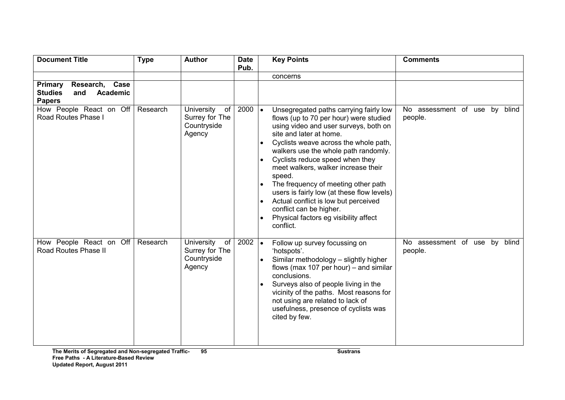| <b>Document Title</b>                                                                  | <b>Type</b> | <b>Author</b>                                               | <b>Date</b><br>Pub. | <b>Key Points</b>                                                                                                                                                                                                                                                                                                                                                                                                                                                                                                                                    | <b>Comments</b>                             |
|----------------------------------------------------------------------------------------|-------------|-------------------------------------------------------------|---------------------|------------------------------------------------------------------------------------------------------------------------------------------------------------------------------------------------------------------------------------------------------------------------------------------------------------------------------------------------------------------------------------------------------------------------------------------------------------------------------------------------------------------------------------------------------|---------------------------------------------|
| Research, Case<br>Primary<br><b>Studies</b><br>and<br><b>Academic</b><br><b>Papers</b> |             |                                                             |                     | concerns                                                                                                                                                                                                                                                                                                                                                                                                                                                                                                                                             |                                             |
| How People React on Off<br>Road Routes Phase I                                         | Research    | University<br>of<br>Surrey for The<br>Countryside<br>Agency | 2000                | Unsegregated paths carrying fairly low<br>$\bullet$<br>flows (up to 70 per hour) were studied<br>using video and user surveys, both on<br>site and later at home.<br>Cyclists weave across the whole path,<br>walkers use the whole path randomly.<br>Cyclists reduce speed when they<br>meet walkers, walker increase their<br>speed.<br>The frequency of meeting other path<br>users is fairly low (at these flow levels)<br>Actual conflict is low but perceived<br>conflict can be higher.<br>Physical factors eg visibility affect<br>conflict. | No assessment of use by<br>blind<br>people. |
| How People React on Off<br>Road Routes Phase II                                        | Research    | University<br>of<br>Surrey for The<br>Countryside<br>Agency | 2002                | Follow up survey focussing on<br>$\bullet$<br>'hotspots'.<br>Similar methodology - slightly higher<br>flows (max 107 per hour) – and similar<br>conclusions.<br>Surveys also of people living in the<br>vicinity of the paths. Most reasons for<br>not using are related to lack of<br>usefulness, presence of cyclists was<br>cited by few.                                                                                                                                                                                                         | No assessment of use by<br>blind<br>people. |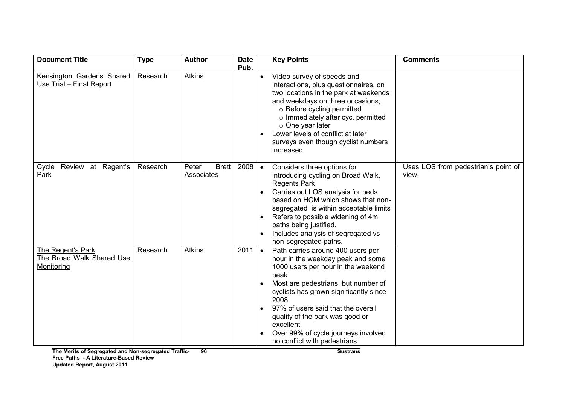| <b>Document Title</b>                                        | <b>Type</b> | <b>Author</b>                       | <b>Date</b><br>Pub. |           | <b>Key Points</b>                                                                                                                                                                                                                                                                                                                                                             | <b>Comments</b>                              |
|--------------------------------------------------------------|-------------|-------------------------------------|---------------------|-----------|-------------------------------------------------------------------------------------------------------------------------------------------------------------------------------------------------------------------------------------------------------------------------------------------------------------------------------------------------------------------------------|----------------------------------------------|
| Kensington Gardens Shared<br>Use Trial - Final Report        | Research    | <b>Atkins</b>                       |                     | $\bullet$ | Video survey of speeds and<br>interactions, plus questionnaires, on<br>two locations in the park at weekends<br>and weekdays on three occasions;<br>o Before cycling permitted<br>o Immediately after cyc. permitted<br>$\circ$ One year later<br>Lower levels of conflict at later<br>surveys even though cyclist numbers<br>increased.                                      |                                              |
| Review at Regent's<br>Cycle<br>Park                          | Research    | <b>Brett</b><br>Peter<br>Associates | 2008                | $\bullet$ | Considers three options for<br>introducing cycling on Broad Walk,<br><b>Regents Park</b><br>Carries out LOS analysis for peds<br>based on HCM which shows that non-<br>segregated is within acceptable limits<br>Refers to possible widening of 4m<br>paths being justified.<br>Includes analysis of segregated vs<br>non-segregated paths.                                   | Uses LOS from pedestrian's point of<br>view. |
| The Regent's Park<br>The Broad Walk Shared Use<br>Monitoring | Research    | <b>Atkins</b>                       | $2011$ $\bullet$    |           | Path carries around 400 users per<br>hour in the weekday peak and some<br>1000 users per hour in the weekend<br>peak.<br>Most are pedestrians, but number of<br>cyclists has grown significantly since<br>2008.<br>97% of users said that the overall<br>quality of the park was good or<br>excellent.<br>Over 99% of cycle journeys involved<br>no conflict with pedestrians |                                              |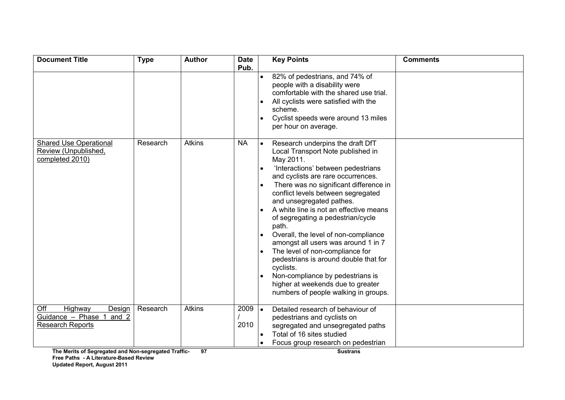| <b>Document Title</b>                                                                                                                      | <b>Type</b> | <b>Author</b>       | <b>Date</b>  | <b>Key Points</b>                                                                                                                                                                                                                                                                                                                                                                                                                                                                                                                                                                                                                                           | <b>Comments</b> |
|--------------------------------------------------------------------------------------------------------------------------------------------|-------------|---------------------|--------------|-------------------------------------------------------------------------------------------------------------------------------------------------------------------------------------------------------------------------------------------------------------------------------------------------------------------------------------------------------------------------------------------------------------------------------------------------------------------------------------------------------------------------------------------------------------------------------------------------------------------------------------------------------------|-----------------|
|                                                                                                                                            |             |                     | Pub.         | 82% of pedestrians, and 74% of<br>people with a disability were<br>comfortable with the shared use trial.<br>All cyclists were satisfied with the<br>scheme.<br>Cyclist speeds were around 13 miles<br>per hour on average.                                                                                                                                                                                                                                                                                                                                                                                                                                 |                 |
| <b>Shared Use Operational</b><br>Review (Unpublished,<br>completed 2010)                                                                   | Research    | <b>Atkins</b>       | <b>NA</b>    | Research underpins the draft DfT<br>Local Transport Note published in<br>May 2011.<br>'Interactions' between pedestrians<br>and cyclists are rare occurrences.<br>There was no significant difference in<br>conflict levels between segregated<br>and unsegregated pathes.<br>A white line is not an effective means<br>of segregating a pedestrian/cycle<br>path.<br>Overall, the level of non-compliance<br>amongst all users was around 1 in 7<br>The level of non-compliance for<br>pedestrians is around double that for<br>cyclists.<br>Non-compliance by pedestrians is<br>higher at weekends due to greater<br>numbers of people walking in groups. |                 |
| Off<br>Highway<br>Design<br>Guidance - Phase 1<br>and 2<br><b>Research Reports</b><br>The Merits of Segregated and Non-segregated Traffic- | Research    | <b>Atkins</b><br>97 | 2009<br>2010 | Detailed research of behaviour of<br>pedestrians and cyclists on<br>segregated and unsegregated paths<br>Total of 16 sites studied<br>Focus group research on pedestrian<br><b>Sustrans</b>                                                                                                                                                                                                                                                                                                                                                                                                                                                                 |                 |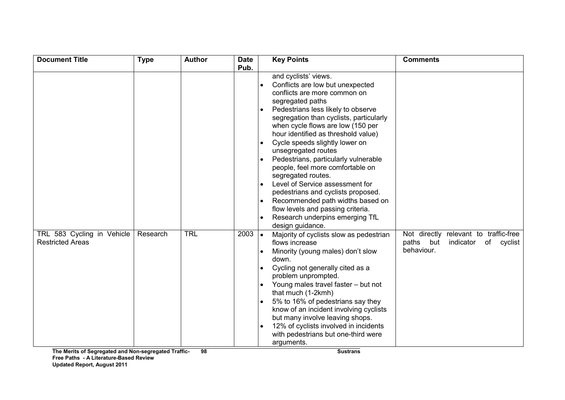| <b>Document Title</b>                                 | <b>Type</b> | <b>Author</b> | <b>Date</b>  |           | <b>Key Points</b>                                                                                                                                                                                                                                                                                                                                                                                                                                                                                                                                                                                                                                                                                                                                                                                                                                                                                                                                                                                                                                                                  | <b>Comments</b>                                                                             |
|-------------------------------------------------------|-------------|---------------|--------------|-----------|------------------------------------------------------------------------------------------------------------------------------------------------------------------------------------------------------------------------------------------------------------------------------------------------------------------------------------------------------------------------------------------------------------------------------------------------------------------------------------------------------------------------------------------------------------------------------------------------------------------------------------------------------------------------------------------------------------------------------------------------------------------------------------------------------------------------------------------------------------------------------------------------------------------------------------------------------------------------------------------------------------------------------------------------------------------------------------|---------------------------------------------------------------------------------------------|
| TRL 583 Cycling in Vehicle<br><b>Restricted Areas</b> | Research    | <b>TRL</b>    | Pub.<br>2003 | $\bullet$ | and cyclists' views.<br>Conflicts are low but unexpected<br>conflicts are more common on<br>segregated paths<br>Pedestrians less likely to observe<br>segregation than cyclists, particularly<br>when cycle flows are low (150 per<br>hour identified as threshold value)<br>Cycle speeds slightly lower on<br>unsegregated routes<br>Pedestrians, particularly vulnerable<br>people, feel more comfortable on<br>segregated routes.<br>Level of Service assessment for<br>pedestrians and cyclists proposed.<br>Recommended path widths based on<br>flow levels and passing criteria.<br>Research underpins emerging TfL<br>design guidance.<br>Majority of cyclists slow as pedestrian<br>flows increase<br>Minority (young males) don't slow<br>down.<br>Cycling not generally cited as a<br>problem unprompted.<br>Young males travel faster - but not<br>that much (1-2kmh)<br>5% to 16% of pedestrians say they<br>know of an incident involving cyclists<br>but many involve leaving shops.<br>12% of cyclists involved in incidents<br>with pedestrians but one-third were | Not directly relevant to traffic-free<br>paths but<br>indicator<br>of cyclist<br>behaviour. |
|                                                       |             |               |              |           | arguments.                                                                                                                                                                                                                                                                                                                                                                                                                                                                                                                                                                                                                                                                                                                                                                                                                                                                                                                                                                                                                                                                         |                                                                                             |

The Merits of Segregated and Non-segregated Traffic-Free Paths - A Literature-Based Review Up Updated Report, August 2011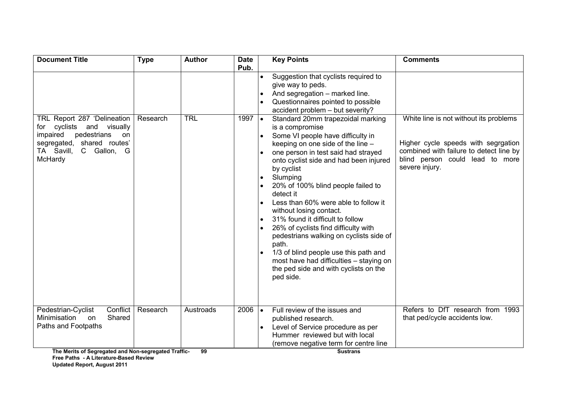| <b>Document Title</b>                                                                                                                                                     | <b>Type</b> | <b>Author</b>   | <b>Date</b>              |                         | <b>Key Points</b>                                                                                                                                                                                                                                                                                                                                                                                                                                                                                                                                                                                                                                                                                                                                                                                                  | <b>Comments</b>                                                                                                                                                               |
|---------------------------------------------------------------------------------------------------------------------------------------------------------------------------|-------------|-----------------|--------------------------|-------------------------|--------------------------------------------------------------------------------------------------------------------------------------------------------------------------------------------------------------------------------------------------------------------------------------------------------------------------------------------------------------------------------------------------------------------------------------------------------------------------------------------------------------------------------------------------------------------------------------------------------------------------------------------------------------------------------------------------------------------------------------------------------------------------------------------------------------------|-------------------------------------------------------------------------------------------------------------------------------------------------------------------------------|
| TRL Report 287 'Delineation<br>cyclists and visually<br>for<br>pedestrians<br>impaired<br><b>on</b><br>segregated, shared routes'<br>TA Savill,<br>C Gallon, G<br>McHardy | Research    | <b>TRL</b>      | Pub.<br>$1997$ $\bullet$ | $\bullet$<br>$\bullet$  | Suggestion that cyclists required to<br>give way to peds.<br>And segregation - marked line.<br>Questionnaires pointed to possible<br>accident problem - but severity?<br>Standard 20mm trapezoidal marking<br>is a compromise<br>Some VI people have difficulty in<br>keeping on one side of the line -<br>one person in test said had strayed<br>onto cyclist side and had been injured<br>by cyclist<br>Slumping<br>20% of 100% blind people failed to<br>detect it<br>Less than 60% were able to follow it<br>without losing contact.<br>31% found it difficult to follow<br>26% of cyclists find difficulty with<br>pedestrians walking on cyclists side of<br>path.<br>1/3 of blind people use this path and<br>most have had difficulties - staying on<br>the ped side and with cyclists on the<br>ped side. | White line is not without its problems<br>Higher cycle speeds with segrgation<br>combined with failure to detect line by<br>blind person could lead to more<br>severe injury. |
| Pedestrian-Cyclist<br>Conflict<br>Shared<br>Minimisation<br>on<br>Paths and Footpaths<br>The Merits of Segregated and Non-segregated Traffic-                             | Research    | Austroads<br>99 | 2006                     | $\overline{\mathbf{I}}$ | Full review of the issues and<br>published research.<br>Level of Service procedure as per<br>Hummer reviewed but with local<br>(remove negative term for centre line<br><b>Sustrans</b>                                                                                                                                                                                                                                                                                                                                                                                                                                                                                                                                                                                                                            | Refers to DfT research from 1993<br>that ped/cycle accidents low.                                                                                                             |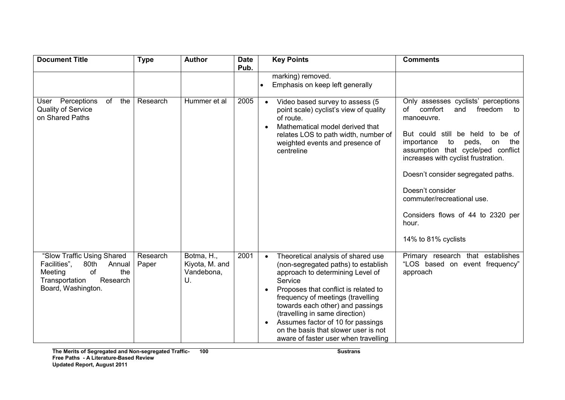| <b>Document Title</b>                                                                                                                    | <b>Type</b>       | <b>Author</b>                                    | <b>Date</b><br>Pub. |           | <b>Key Points</b>                                                                                                                                                                                                                                                                                                                                                                                | <b>Comments</b>                                                                                                                                                                                                                                                                                                                                                                                                       |
|------------------------------------------------------------------------------------------------------------------------------------------|-------------------|--------------------------------------------------|---------------------|-----------|--------------------------------------------------------------------------------------------------------------------------------------------------------------------------------------------------------------------------------------------------------------------------------------------------------------------------------------------------------------------------------------------------|-----------------------------------------------------------------------------------------------------------------------------------------------------------------------------------------------------------------------------------------------------------------------------------------------------------------------------------------------------------------------------------------------------------------------|
|                                                                                                                                          |                   |                                                  |                     |           | marking) removed.<br>Emphasis on keep left generally                                                                                                                                                                                                                                                                                                                                             |                                                                                                                                                                                                                                                                                                                                                                                                                       |
| the<br>User Perceptions<br>of<br><b>Quality of Service</b><br>on Shared Paths                                                            | Research          | Hummer et al                                     | 2005                |           | Video based survey to assess (5<br>point scale) cyclist's view of quality<br>of route.<br>Mathematical model derived that<br>relates LOS to path width, number of<br>weighted events and presence of<br>centreline                                                                                                                                                                               | Only assesses cyclists' perceptions<br>of<br>comfort<br>and<br>freedom<br>to<br>manoeuvre.<br>But could still be held to<br>be of<br>peds,<br>the<br>importance<br>to<br>on<br>assumption that cycle/ped conflict<br>increases with cyclist frustration.<br>Doesn't consider segregated paths.<br>Doesn't consider<br>commuter/recreational use.<br>Considers flows of 44 to 2320 per<br>hour.<br>14% to 81% cyclists |
| "Slow Traffic Using Shared<br>80th<br>Facilities",<br>Annual<br>Meeting<br>of<br>the<br>Transportation<br>Research<br>Board, Washington. | Research<br>Paper | Botma, H.,<br>Kiyota, M. and<br>Vandebona,<br>U. | 2001                | $\bullet$ | Theoretical analysis of shared use<br>(non-segregated paths) to establish<br>approach to determining Level of<br>Service<br>Proposes that conflict is related to<br>frequency of meetings (travelling<br>towards each other) and passings<br>(travelling in same direction)<br>Assumes factor of 10 for passings<br>on the basis that slower user is not<br>aware of faster user when travelling | Primary research that establishes<br>"LOS based on event frequency"<br>approach                                                                                                                                                                                                                                                                                                                                       |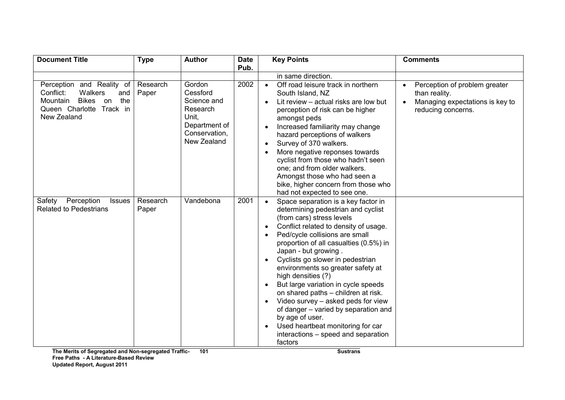| <b>Document Title</b>                                                                                                                           | <b>Type</b>       | <b>Author</b>                                                                                           | <b>Date</b><br>Pub. | <b>Key Points</b>                                                                                                                                                                                                                                                                                                                                                                                                                                                                                                                                                                                                                                  | <b>Comments</b>                                                                                         |
|-------------------------------------------------------------------------------------------------------------------------------------------------|-------------------|---------------------------------------------------------------------------------------------------------|---------------------|----------------------------------------------------------------------------------------------------------------------------------------------------------------------------------------------------------------------------------------------------------------------------------------------------------------------------------------------------------------------------------------------------------------------------------------------------------------------------------------------------------------------------------------------------------------------------------------------------------------------------------------------------|---------------------------------------------------------------------------------------------------------|
| Perception and Reality of<br>Walkers<br>Conflict:<br>and<br><b>Bikes</b><br>the<br>Mountain<br>on<br>Queen Charlotte<br>Track in<br>New Zealand | Research<br>Paper | Gordon<br>Cessford<br>Science and<br>Research<br>Unit.<br>Department of<br>Conservation,<br>New Zealand | 2002                | in same direction.<br>Off road leisure track in northern<br>$\bullet$<br>South Island, NZ<br>Lit review - actual risks are low but<br>perception of risk can be higher<br>amongst peds<br>Increased familiarity may change<br>$\bullet$<br>hazard perceptions of walkers<br>Survey of 370 walkers.<br>$\bullet$<br>More negative reponses towards<br>cyclist from those who hadn't seen<br>one; and from older walkers.<br>Amongst those who had seen a<br>bike, higher concern from those who<br>had not expected to see one.                                                                                                                     | Perception of problem greater<br>than reality.<br>Managing expectations is key to<br>reducing concerns. |
| Perception<br>Safety<br><b>Issues</b><br><b>Related to Pedestrians</b>                                                                          | Research<br>Paper | Vandebona                                                                                               | 2001                | Space separation is a key factor in<br>determining pedestrian and cyclist<br>(from cars) stress levels<br>Conflict related to density of usage.<br>$\bullet$<br>Ped/cycle collisions are small<br>proportion of all casualties (0.5%) in<br>Japan - but growing.<br>Cyclists go slower in pedestrian<br>environments so greater safety at<br>high densities (?)<br>But large variation in cycle speeds<br>$\bullet$<br>on shared paths - children at risk.<br>Video survey - asked peds for view<br>of danger - varied by separation and<br>by age of user.<br>Used heartbeat monitoring for car<br>interactions – speed and separation<br>factors |                                                                                                         |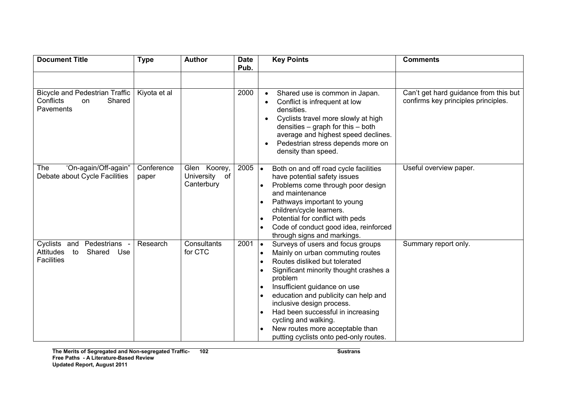| <b>Document Title</b>                                                                | <b>Type</b>         | <b>Author</b>                                  | <b>Date</b><br>Pub. | <b>Key Points</b>                                                                                                                                                                                                                                                                                                                                                                                                       | <b>Comments</b>                                                              |
|--------------------------------------------------------------------------------------|---------------------|------------------------------------------------|---------------------|-------------------------------------------------------------------------------------------------------------------------------------------------------------------------------------------------------------------------------------------------------------------------------------------------------------------------------------------------------------------------------------------------------------------------|------------------------------------------------------------------------------|
|                                                                                      |                     |                                                |                     |                                                                                                                                                                                                                                                                                                                                                                                                                         |                                                                              |
| <b>Bicycle and Pedestrian Traffic</b><br>Conflicts<br>Shared<br>on<br>Pavements      | Kiyota et al        |                                                | 2000                | Shared use is common in Japan.<br>Conflict is infrequent at low<br>densities.<br>Cyclists travel more slowly at high<br>densities $-$ graph for this $-$ both<br>average and highest speed declines.<br>Pedestrian stress depends more on<br>density than speed.                                                                                                                                                        | Can't get hard guidance from this but<br>confirms key principles principles. |
| 'On-again/Off-again"<br><b>The</b><br>Debate about Cycle Facilities                  | Conference<br>paper | Glen Koorey,<br>University<br>of<br>Canterbury | 2005                | Both on and off road cycle facilities<br>$\bullet$<br>have potential safety issues<br>Problems come through poor design<br>and maintenance<br>Pathways important to young<br>children/cycle learners.<br>Potential for conflict with peds<br>Code of conduct good idea, reinforced<br>through signs and markings.                                                                                                       | Useful overview paper.                                                       |
| Cyclists and<br>Pedestrians<br>Attitudes<br>Shared<br>Use<br>to<br><b>Facilities</b> | Research            | Consultants<br>for CTC                         | 2001                | Surveys of users and focus groups<br>$\bullet$<br>Mainly on urban commuting routes<br>Routes disliked but tolerated<br>Significant minority thought crashes a<br>problem<br>Insufficient guidance on use<br>education and publicity can help and<br>inclusive design process.<br>Had been successful in increasing<br>cycling and walking.<br>New routes more acceptable than<br>putting cyclists onto ped-only routes. | Summary report only.                                                         |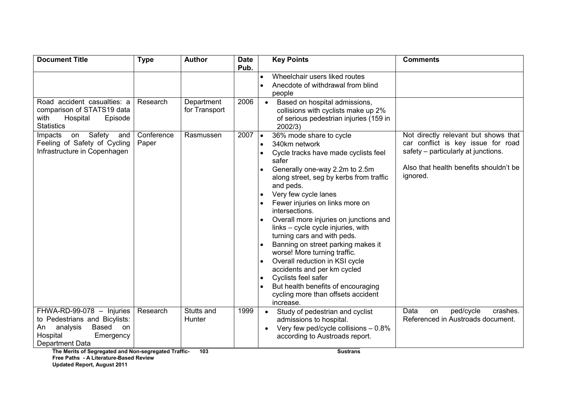| <b>Document Title</b>                                                                                                                                                                           | <b>Type</b>         | <b>Author</b>               | <b>Date</b><br>Pub. | <b>Key Points</b>                                                                                                                                                                                                                                                                                                                                                                                                                                                                                                                                                                                                         | <b>Comments</b>                                                                                                                                                         |
|-------------------------------------------------------------------------------------------------------------------------------------------------------------------------------------------------|---------------------|-----------------------------|---------------------|---------------------------------------------------------------------------------------------------------------------------------------------------------------------------------------------------------------------------------------------------------------------------------------------------------------------------------------------------------------------------------------------------------------------------------------------------------------------------------------------------------------------------------------------------------------------------------------------------------------------------|-------------------------------------------------------------------------------------------------------------------------------------------------------------------------|
|                                                                                                                                                                                                 |                     |                             |                     | Wheelchair users liked routes<br>Anecdote of withdrawal from blind<br>people                                                                                                                                                                                                                                                                                                                                                                                                                                                                                                                                              |                                                                                                                                                                         |
| Road accident casualties: a<br>comparison of STATS19 data<br>with<br>Hospital<br>Episode<br><b>Statistics</b>                                                                                   | Research            | Department<br>for Transport | 2006                | Based on hospital admissions,<br>collisions with cyclists make up 2%<br>of serious pedestrian injuries (159 in<br>2002/3)                                                                                                                                                                                                                                                                                                                                                                                                                                                                                                 |                                                                                                                                                                         |
| on Safety<br>Impacts<br>and<br>Feeling of Safety of Cycling<br>Infrastructure in Copenhagen                                                                                                     | Conference<br>Paper | Rasmussen                   | $2007$ $\bullet$    | 36% mode share to cycle<br>340km network<br>Cycle tracks have made cyclists feel<br>safer<br>Generally one-way 2.2m to 2.5m<br>along street, seg by kerbs from traffic<br>and peds.<br>Very few cycle lanes<br>Fewer injuries on links more on<br>intersections.<br>Overall more injuries on junctions and<br>links - cycle cycle injuries, with<br>turning cars and with peds.<br>Banning on street parking makes it<br>worse! More turning traffic.<br>Overall reduction in KSI cycle<br>accidents and per km cycled<br>Cyclists feel safer<br>But health benefits of encouraging<br>cycling more than offsets accident | Not directly relevant but shows that<br>car conflict is key issue for road<br>safety – particularly at junctions.<br>Also that health benefits shouldn't be<br>ignored. |
| FHWA-RD-99-078 - Injuries<br>to Pedestrians and Bicylists:<br>Based<br>An<br>analysis<br>on<br>Hospital<br>Emergency<br>Department Data<br>The Merits of Segregated and Non-segregated Traffic- | Research            | Stutts and<br>Hunter<br>103 | 1999                | increase.<br>Study of pedestrian and cyclist<br>admissions to hospital.<br>Very few ped/cycle collisions $-0.8\%$<br>according to Austroads report.<br><b>Sustrans</b>                                                                                                                                                                                                                                                                                                                                                                                                                                                    | ped/cycle<br>Data<br>crashes.<br>on<br>Referenced in Austroads document.                                                                                                |

The Merits of Segregated and Non-segregated Traffic-Free Paths - A Literature-Based Review

Up Updated Report, August 2011